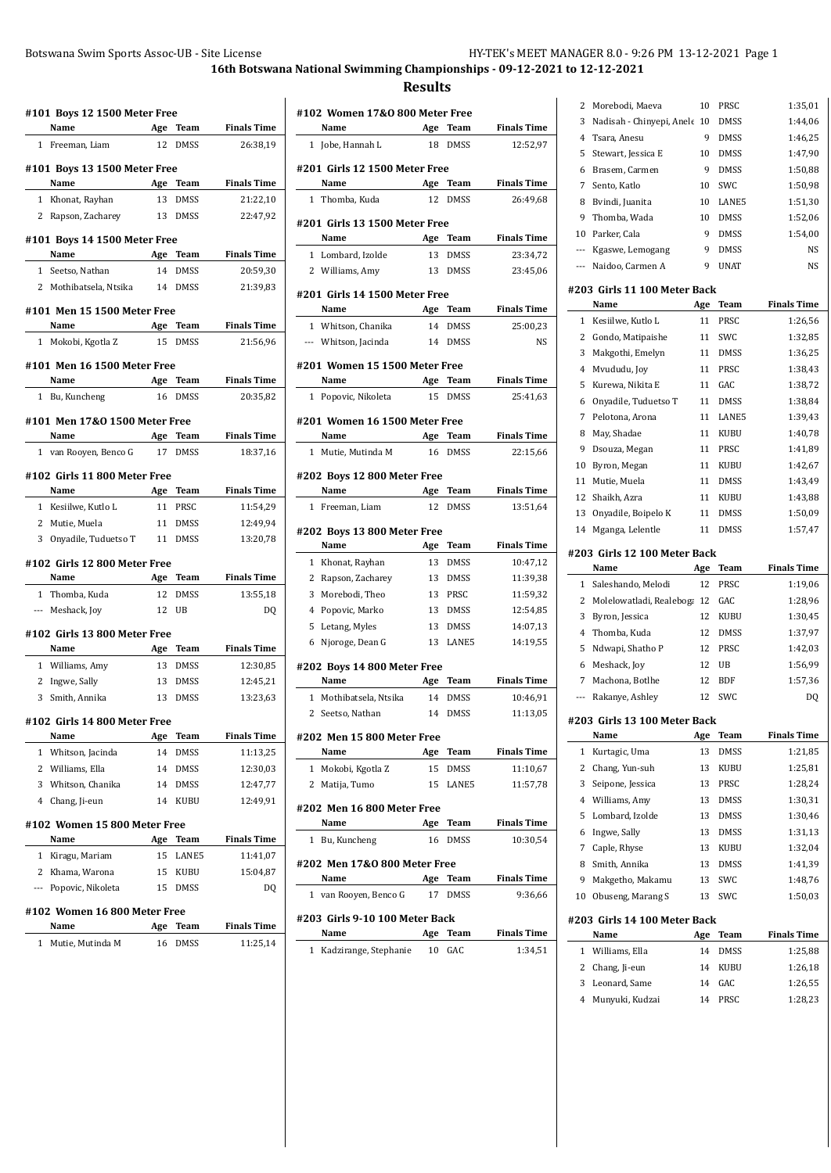**#101 Boys 12 1500 Meter Free Name Age Team Finals Time** 1 Freeman, Liam 12 DMSS 26:38,19 **#101 Boys 13 1500 Meter Free Name Age Team Finals Time** 1 Khonat, Rayhan 13 DMSS 21:22,10 2 Rapson, Zacharey 13 DMSS 22:47,92 **#101 Boys 14 1500 Meter Free Name Age Team Finals Time** 1 Seetso, Nathan 14 DMSS 20:59,30 2 Mothibatsela, Ntsika 14 DMSS 21:39,83 **#101 Men 15 1500 Meter Free Name Age Team Finals Time** 1 Mokobi, Kgotla Z 15 DMSS 21:56,96 **#101 Men 16 1500 Meter Free Name Age Team Finals Time** 1 Bu, Kuncheng 16 DMSS 20:35,82 **#101 Men 17&O 1500 Meter Free Name Age Team Finals Time** 1 van Rooyen, Benco G 17 DMSS 18:37,16 **#102 Girls 11 800 Meter Free Name Age Team Finals Time** 1 Kesiilwe, Kutlo L 11 PRSC 11:54,29 2 Mutie, Muela 11 DMSS 12:49,94 3 Onyadile, Tuduetso T 11 DMSS 13:20,78 **#102 Girls 12 800 Meter Free Name Age Team Finals Time** 1 Thomba, Kuda 12 DMSS 13:55,18 --- Meshack, Joy 12 UB DQ **#102 Girls 13 800 Meter Free Name Age Team Finals Time** 1 Williams, Amy 13 DMSS 12:30,85 2 Ingwe, Sally 13 DMSS 12:45,21 3 Smith, Annika 13 DMSS 13:23,63 **#102 Girls 14 800 Meter Free Name Age Team Finals Time** 1 Whitson, Jacinda 14 DMSS 11:13,25 2 Williams, Ella 14 DMSS 12:30,03 3 Whitson, Chanika 14 DMSS 12:47,77 4 Chang, Ji-eun 14 KUBU 12:49,91 **#102 Women 15 800 Meter Free Name Age Team Finals Time** 1 Kiragu, Mariam 15 LANE5 11:41,07 2 Khama, Warona 15 KUBU 15:04,87 --- Popovic, Nikoleta 15 DMSS DQ **#102 Women 16 800 Meter Free Name Age Team Finals Time** 1 Mutie, Mutinda M 16 DMSS 11:25,14

|              | #102 Women 17&0 800 Meter Free      |     |                         |                    |
|--------------|-------------------------------------|-----|-------------------------|--------------------|
|              | Name                                | Age | Team                    | <b>Finals Time</b> |
|              | 1 Jobe, Hannah L                    | 18  | <b>DMSS</b>             | 12:52,97           |
|              | #201 Girls 12 1500 Meter Free       |     |                         |                    |
|              | Name                                | Age | Team                    | <b>Finals Time</b> |
| 1            | Thomba, Kuda                        | 12  | <b>DMSS</b>             | 26:49,68           |
|              | #201 Girls 13 1500 Meter Free       |     |                         |                    |
|              | Name                                |     | Age Team                | <b>Finals Time</b> |
|              | 1 Lombard, Izolde                   | 13  | <b>DMSS</b>             | 23:34,72           |
|              | 2 Williams, Amy                     |     | 13 DMSS                 | 23:45,06           |
|              | #201 Girls 14 1500 Meter Free       |     |                         |                    |
|              | Name                                | Age | Team                    | <b>Finals Time</b> |
| $\mathbf{1}$ | Whitson, Chanika                    |     | 14 DMSS                 | 25:00,23           |
|              | --- Whitson, Jacinda                |     | 14 DMSS                 | NS                 |
|              | #201 Women 15 1500 Meter Free       |     |                         |                    |
|              | Name                                | Age | <b>Team</b>             | <b>Finals Time</b> |
|              | 1 Popovic, Nikoleta                 | 15  | <b>DMSS</b>             | 25:41,63           |
|              | #201 Women 16 1500 Meter Free       |     |                         |                    |
|              | Name                                |     | Age Team<br><b>DMSS</b> | <b>Finals Time</b> |
|              | 1 Mutie, Mutinda M                  | 16  |                         | 22:15,66           |
|              | #202 Boys 12 800 Meter Free         |     |                         |                    |
|              | Name                                | Age | Team                    | <b>Finals Time</b> |
|              | 1 Freeman, Liam                     | 12  | <b>DMSS</b>             | 13:51,64           |
|              | #202 Boys 13 800 Meter Free         |     |                         |                    |
|              | Name                                |     | Age Team                | <b>Finals Time</b> |
| 1            | Khonat, Rayhan                      | 13  | <b>DMSS</b>             | 10:47,12           |
| 2            | Rapson, Zacharey                    | 13  | <b>DMSS</b>             | 11:39,38           |
| 3            | Morebodi, Theo                      | 13  | PRSC                    | 11:59,32           |
|              | 4 Popovic, Marko                    | 13  | <b>DMSS</b>             | 12:54,85           |
|              | 5 Letang, Myles                     | 13  | <b>DMSS</b>             | 14:07,13           |
| 6            | Njoroge, Dean G                     | 13  | LANE5                   | 14:19,55           |
|              | #202 Boys 14 800 Meter Free<br>Name |     |                         | <b>Finals Time</b> |
|              | 1 Mothibatsela, Ntsika              |     | Age Team<br>14 DMSS     | 10:46,91           |
|              | 2 Seetso, Nathan                    | 14  | <b>DMSS</b>             | 11:13,05           |
|              |                                     |     |                         |                    |
|              | #202 Men 15 800 Meter Free<br>Name  | Age | Team                    | <b>Finals Time</b> |
| 1            | Mokobi, Kgotla Z                    | 15  | <b>DMSS</b>             | 11:10,67           |
|              | 2 Matija, Tumo                      | 15  | LANE5                   | 11:57,78           |
|              |                                     |     |                         |                    |
|              | #202 Men 16 800 Meter Free<br>Name  | Age | Team                    | <b>Finals Time</b> |
|              | 1 Bu, Kuncheng                      | 16  | <b>DMSS</b>             | 10:30,54           |
|              | #202 Men 17&0 800 Meter Free        |     |                         |                    |
|              | Name                                | Age | Team                    | <b>Finals Time</b> |
|              | 1 van Rooyen, Benco G               | 17  | <b>DMSS</b>             | 9:36,66            |
|              | #203 Girls 9-10 100 Meter Back      |     |                         |                    |
|              | Name                                | Age | Team                    | <b>Finals Time</b> |
|              |                                     |     |                         |                    |

| 2                   | Morebodi, Maeva                         | 10       | PRSC        | 1:35,01            |
|---------------------|-----------------------------------------|----------|-------------|--------------------|
| 3                   | Nadisah - Chinyepi, Anele 10            |          | DMSS        | 1:44,06            |
| $\overline{4}$      | Tsara, Anesu                            | 9        | DMSS        | 1:46,25            |
| 5                   | Stewart, Jessica E                      | 10       | DMSS        | 1:47,90            |
| 6                   | Brasem, Carmen                          | 9        | DMSS        | 1:50,88            |
| 7                   | Sento, Katlo                            | 10       | SWC         | 1:50,98            |
| 8                   | Bvindi, Juanita                         | 10       | LANE5       | 1:51,30            |
| 9                   | Thomba, Wada                            | 10       | <b>DMSS</b> | 1:52,06            |
| 10 <sup>1</sup>     | Parker. Cala                            | 9        | <b>DMSS</b> | 1:54,00            |
| ---                 | Kgaswe, Lemogang                        | 9        | DMSS        | NS                 |
| ---                 | Naidoo, Carmen A                        | 9        | <b>UNAT</b> | <b>NS</b>          |
|                     | #203 Girls 11 100 Meter Back            |          |             |                    |
|                     | Name                                    | Age      | <b>Team</b> | <b>Finals Time</b> |
| 1                   | Kesiilwe, Kutlo L                       | 11       | PRSC        | 1:26,56            |
| 2                   | Gondo, Matipaishe                       | 11       | SWC         | 1:32,85            |
| 3                   | Makgothi, Emelyn                        | 11       | <b>DMSS</b> | 1:36,25            |
| 4                   | Mvududu, Jov                            | 11       | PRSC        |                    |
|                     |                                         | 11       | GAC         | 1:38,43<br>1:38,72 |
| 5                   | Kurewa, Nikita E                        | 11       |             |                    |
| 6                   | Onyadile, Tuduetso T<br>Pelotona, Arona |          | <b>DMSS</b> | 1:38,84            |
| 7                   |                                         | 11       | LANE5       | 1:39,43            |
| 8                   | May, Shadae                             | 11       | <b>KUBU</b> | 1:40,78            |
| 9                   | Dsouza, Megan                           | 11       | PRSC        | 1:41.89            |
| 10                  | Byron, Megan                            | 11       | KUBU        | 1:42,67            |
| 11                  | Mutie, Muela                            | 11       | DMSS        | 1:43,49            |
| 12                  | Shaikh, Azra                            | 11       | KUBU        | 1:43,88            |
| 13                  | Onyadile, Boipelo K                     | 11       | DMSS        | 1:50,09            |
| 14                  | Mganga, Lelentle                        | 11       | <b>DMSS</b> | 1:57,47            |
|                     |                                         |          |             |                    |
|                     | #203 Girls 12 100 Meter Back            |          |             |                    |
|                     | Name                                    | Age      | <b>Team</b> | <b>Finals Time</b> |
| $\mathbf{1}$        | Saleshando, Melodi                      | 12       | PRSC        | 1:19,06            |
| 2                   | Molelowatladi, Realeboga 12             |          | GAC         | 1:28,96            |
| 3                   | Byron, Jessica                          | 12       | <b>KUBU</b> | 1:30,45            |
| 4                   |                                         | 12       | DMSS        | 1:37,97            |
| 5                   | Thomba, Kuda<br>Ndwapi, Shatho P        | 12       | PRSC        | 1:42,03            |
| 6                   | Meshack, Joy                            | 12       | UB          |                    |
| 7                   |                                         | 12       | BDF         | 1:56,99            |
| ---                 | Machona, Botlhe                         | 12       | SWC         | 1:57,36            |
|                     | Rakanye, Ashley                         |          |             | DQ                 |
|                     | #203 Girls 13 100 Meter Back            |          |             |                    |
|                     | Name                                    | Age      | Team        | <b>Finals Time</b> |
| 1                   | Kurtagic, Uma                           | 13       | <b>DMSS</b> | 1:21,85            |
| 2                   | Chang, Yun-suh                          | 13       | KUBU        | 1:25,81            |
| 3                   | Seipone, Jessica                        | 13       | PRSC        | 1:28,24            |
| 4                   | Williams, Amy                           | 13       | <b>DMSS</b> | 1:30,31            |
| 5                   | Lombard, Izolde                         | 13       | DMSS        | 1:30,46            |
| 6                   | Ingwe, Sally                            | 13       | DMSS        | 1:31,13            |
| 7                   | Caple, Rhyse                            | 13       | KUBU        | 1:32,04            |
| 8                   | Smith, Annika                           | 13       | DMSS        | 1:41,39            |
| 9                   | Makgetho, Makamu                        | 13       | SWC         | 1:48,76            |
| 10                  | Obuseng, Marang S                       | 13       | SWC         | 1:50,03            |
|                     |                                         |          |             |                    |
|                     | #203 Girls 14 100 Meter Back            |          |             |                    |
|                     | Name                                    | Age      | Team        | <b>Finals Time</b> |
| 1                   | Williams, Ella                          | 14       | DMSS        | 1:25,88            |
| 2                   | Chang, Ji-eun                           | 14       | KUBU        | 1:26,18            |
| 3<br>$\overline{4}$ | Leonard, Same<br>Munyuki, Kudzai        | 14<br>14 | GAC<br>PRSC | 1:26,55<br>1:28,23 |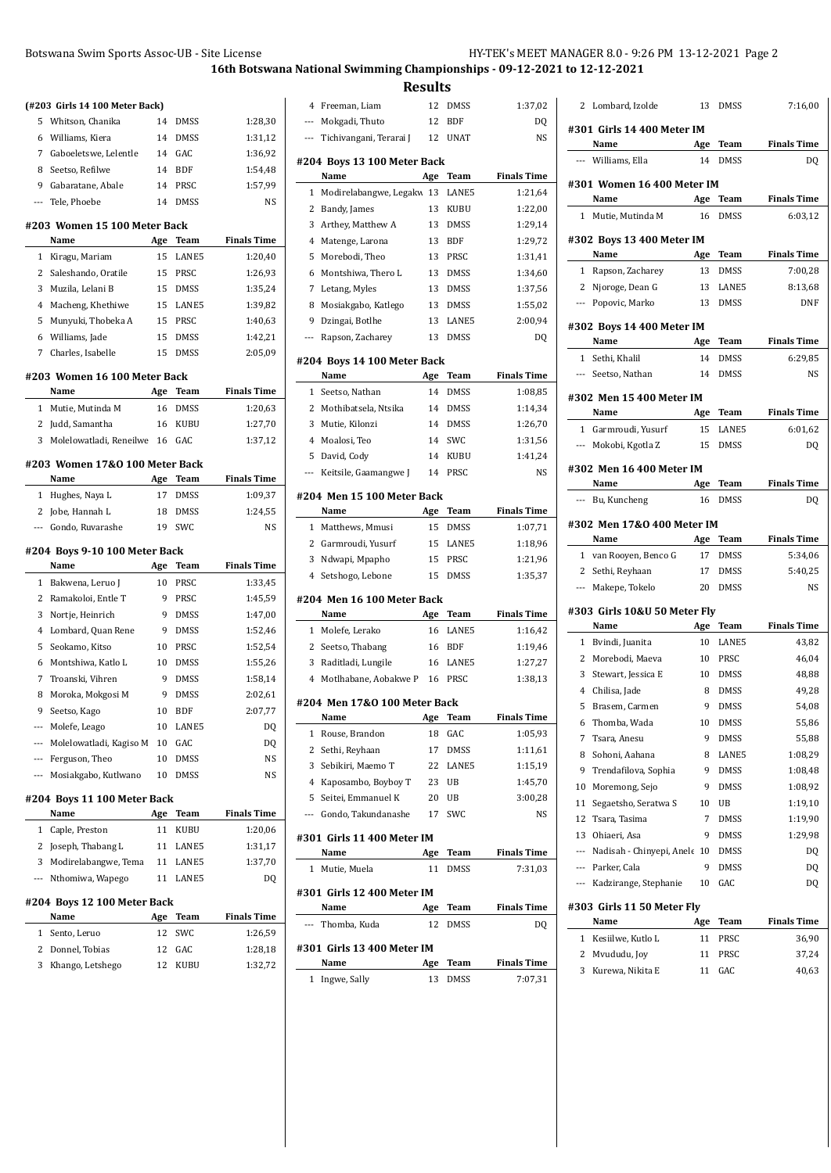.<br>جا دره

 $\overline{a}$ 

 $\overline{a}$ 

 $\overline{a}$ 

 $\overline{a}$ 

 $\overline{a}$ 

 $\overline{a}$ 

 $\overline{a}$ 

 $\overline{a}$ 

|              | Botswana Swim Sports Assoc-UB - Site License |          |                     |                    |
|--------------|----------------------------------------------|----------|---------------------|--------------------|
|              |                                              |          |                     | 16th Botswa        |
|              | (#203 Girls 14 100 Meter Back)               |          |                     |                    |
| 5            | Whitson, Chanika                             | 14       | DMSS                | 1:28,30            |
| 6            | Williams, Kiera                              | 14       | DMSS                | 1:31,12            |
| 7            | Gaboeletswe, Lelentle                        | 14       | GAC                 | 1:36,92            |
| 8            | Seetso, Refilwe                              | 14       | BDF                 | 1:54,48            |
| 9            | Gabaratane, Abale                            | 14       | PRSC                | 1:57,99            |
| ---          | Tele, Phoebe                                 | 14       | <b>DMSS</b>         | <b>NS</b>          |
|              | #203 Women 15 100 Meter Back                 |          |                     |                    |
|              | Name                                         | Age      | Team                | <b>Finals Time</b> |
| $\mathbf{1}$ | Kiragu, Mariam                               | 15       | LANE5               | 1:20,40            |
| 2            | Saleshando, Oratile                          | 15       | PRSC                | 1:26,93            |
| 3            | Muzila, Lelani B                             | 15       | <b>DMSS</b>         | 1:35,24            |
| 4            | Macheng, Khethiwe                            | 15       | LANE5               | 1:39,82            |
| 5            | Munyuki, Thobeka A                           | 15       | PRSC                | 1:40,63            |
| 6            | Williams, Jade                               | 15       | DMSS                | 1:42,21            |
| 7            | Charles, Isabelle                            | 15       | <b>DMSS</b>         | 2:05,09            |
|              | #203 Women 16 100 Meter Back                 |          |                     |                    |
|              | Name                                         | Age      | <b>Team</b>         | <b>Finals Time</b> |
| $\mathbf{1}$ | Mutie, Mutinda M                             | 16       | <b>DMSS</b>         | 1:20,63            |
| 2            | Judd, Samantha                               | 16       | KUBU                | 1:27,70            |
| 3            | Molelowatladi, Reneilwe                      | 16       | GAC                 | 1:37,12            |
|              |                                              |          |                     |                    |
|              | #203 Women 17&0 100 Meter Back               |          |                     |                    |
|              | Name                                         | Age      | Team                | <b>Finals Time</b> |
| 1            | Hughes, Naya L                               | 17       | <b>DMSS</b>         | 1:09,37            |
| 2            | Jobe, Hannah L                               | 18       | DMSS                | 1:24,55            |
| ---          | Gondo, Ruvarashe                             | 19       | SWC                 | NS                 |
|              | #204 Boys 9-10 100 Meter Back                |          |                     |                    |
|              | Name                                         | Age      | Team                | <b>Finals Time</b> |
|              | 1 Bakwena, Leruo J                           | 10       | PRSC                | 1:33,45            |
|              | 2 Ramakoloi, Entle T                         | 9        | PRSC                | 1:45,59            |
| 3            | Nortie, Heinrich                             | 9        | <b>DMSS</b>         | 1:47,00            |
| 4            | Lombard, Quan Rene                           | 9        | <b>DMSS</b>         | 1:52,46            |
| 5            | Seokamo, Kitso                               | 10       | PRSC                | 1:52,54            |
| 6            | Montshiwa, Katlo L                           | 10       | <b>DMSS</b>         | 1:55,26            |
| 7            | Troanski, Vihren                             | 9        | DMSS                | 1:58,14            |
| 8            | Moroka, Mokgosi M                            | 9        | <b>DMSS</b>         | 2:02,61            |
| 9            | Seetso, Kago                                 | 10       | <b>BDF</b>          | 2:07,77            |
| ---          | Molefe, Leago                                | 10       | LANE5               | DQ                 |
| ---          | Molelowatladi, Kagiso M                      | 10       | GAC                 | DQ                 |
| ---<br>---   | Ferguson, Theo<br>Mosiakgabo, Kutlwano       | 10<br>10 | <b>DMSS</b><br>DMSS | NS<br>NS           |
|              |                                              |          |                     |                    |
|              | #204 Boys 11 100 Meter Back<br>Name          | Age      | Team                | <b>Finals Time</b> |
| 1            | Caple, Preston                               | 11       | KUBU                | 1:20,06            |
| 2            | Joseph, Thabang L                            | 11       | LANE5               | 1:31,17            |
| 3            | Modirelabangwe, Tema                         | 11       | LANE5               | 1:37,70            |

## **#204 Boys 12 100 Meter Back Name Age Team Finals Time** 1 Sento, Leruo 12 SWC 1:26,59

| 12 KUBU | 2 Donnel, Tobias   | 12 GAC | 1:28,18 |
|---------|--------------------|--------|---------|
|         | 3 Khango, Letshego |        | 1:32,72 |

|              |                              | Results |             |                    |
|--------------|------------------------------|---------|-------------|--------------------|
| 4            | Freeman, Liam                | 12      | DMSS        | 1:37,02            |
| ---          | Mokgadi, Thuto               | 12      | <b>BDF</b>  | DQ                 |
| ---          | Tichivangani, Terarai J      | 12      | <b>UNAT</b> | NS                 |
|              | #204 Boys 13 100 Meter Back  |         |             |                    |
|              | Name                         | Age     | Team        | <b>Finals Time</b> |
| 1            | Modirelabangwe, Legakw       | 13      | LANE5       | 1:21,64            |
| 2            | Bandy, James                 | 13      | KUBU        | 1:22,00            |
| 3            | Arthey, Matthew A            | 13      | DMSS        | 1:29,14            |
| 4            | Matenge, Larona              | 13      | <b>BDF</b>  | 1:29,72            |
| 5            | Morebodi, Theo               | 13      | PRSC        | 1:31,41            |
| 6            | Montshiwa, Thero L           | 13      | DMSS        | 1:34,60            |
| 7            | Letang, Myles                | 13      | DMSS        | 1:37,56            |
| 8            | Mosiakgabo, Katlego          | 13      | DMSS        | 1:55,02            |
| 9            | Dzingai, Botlhe              | 13      | LANE5       | 2:00,94            |
| ---          | Rapson, Zacharey             | 13      | <b>DMSS</b> | DQ                 |
|              | #204 Boys 14 100 Meter Back  |         |             |                    |
|              | Name                         | Age     | Team        | <b>Finals Time</b> |
| $\mathbf{1}$ | Seetso, Nathan               | 14      | DMSS        | 1:08,85            |
| 2            | Mothibatsela, Ntsika         | 14      | DMSS        | 1:14,34            |
| 3            | Mutie, Kilonzi               | 14      | <b>DMSS</b> | 1:26,70            |
|              | 4 Moalosi, Teo               | 14      | SWC         | 1:31,56            |
| 5            | David, Cody                  | 14      | <b>KUBU</b> | 1:41,24            |
| ---          | Keitsile, Gaamangwe J        | 14      | PRSC        | <b>NS</b>          |
|              | #204 Men 15 100 Meter Back   |         |             |                    |
|              | Name                         | Age     | Team        | <b>Finals Time</b> |
| 1            | Matthews, Mmusi              | 15      | DMSS        | 1:07,71            |
|              | 2 Garmroudi, Yusurf          | 15      | LANE5       | 1:18,96            |
| 3            | Ndwapi, Mpapho               | 15      | PRSC        | 1:21,96            |
| 4            | Setshogo, Lebone             | 15      | DMSS        | 1:35,37            |
|              | #204 Men 16 100 Meter Back   |         |             |                    |
|              | Name                         | Age     | Team        | <b>Finals Time</b> |
| 1            | Molefe, Lerako               | 16      | LANE5       | 1:16,42            |
| 2            | Seetso, Thabang              | 16      | <b>BDF</b>  | 1:19,46            |
| 3            | Raditladi, Lungile           | 16      | LANE5       | 1:27,27            |
| 4            | Motlhabane, Aobakwe P        | 16      | PRSC        | 1:38,13            |
|              | #204 Men 17&0 100 Meter Back |         |             |                    |
|              | Name                         | Age     | Team        | <b>Finals Time</b> |
| 1            | Rouse, Brandon               | 18      | GAC         | 1:05,93            |
| 2            | Sethi, Reyhaan               | 17      | DMSS        | 1:11,61            |
| 3            | Sebikiri, Maemo T            | 22      | LANE5       | 1:15,19            |
| 4            | Kaposambo, Boyboy T          | 23      | UB          | 1:45,70            |
| 5            | Seitei, Emmanuel K           | 20      | UB          | 3:00,28            |
| ---          | Gondo, Takundanashe          | 17      | SWC         | NS                 |
|              | #301  Girls 11 400 Meter IM  |         |             |                    |
|              | Name                         | Age     | Team        | <b>Finals Time</b> |
| 1            | Mutie, Muela                 | 11      | DMSS        | 7:31,03            |
|              | #301  Girls 12 400 Meter IM  |         |             |                    |
|              | Name                         | Age     | Team        | <b>Finals Time</b> |
|              | Thomba, Kuda                 | 12      | DMSS        | DQ                 |
|              | #301  Girls 13 400 Meter IM  |         |             |                    |
|              | Name                         | Age     | Team        | <b>Finals Time</b> |
| 1            | Ingwe, Sally                 | 13      | DMSS        | 7:07,31            |

| 2                        | Lombard, Izolde                        | 13      | DMSS                | 7:16,00            |
|--------------------------|----------------------------------------|---------|---------------------|--------------------|
|                          |                                        |         |                     |                    |
|                          | #301 Girls 14 400 Meter IM             |         |                     |                    |
|                          | Name                                   | Age     | Team                | <b>Finals Time</b> |
| $---$                    | Williams, Ella                         | 14      | DMSS                | DQ                 |
|                          | #301 Women 16 400 Meter IM             |         |                     |                    |
|                          | Name                                   | Age     | Team                | <b>Finals Time</b> |
| $\mathbf{1}$             | Mutie, Mutinda M                       | 16      | DMSS                | 6:03,12            |
|                          |                                        |         |                     |                    |
|                          | #302 Boys 13 400 Meter IM              |         |                     |                    |
|                          | Name                                   | Age     | Team                | <b>Finals Time</b> |
|                          | 1 Rapson, Zacharey                     | 13      | DMSS                | 7:00,28            |
| $\overline{2}$           | Njoroge, Dean G                        | 13      | LANE5               | 8:13,68            |
|                          | --- Popovic, Marko                     | 13      | DMSS                | DNF                |
|                          | #302 Boys 14 400 Meter IM              |         |                     |                    |
|                          | Name                                   | Age     | Team                | <b>Finals Time</b> |
| $\mathbf{1}$             | Sethi, Khalil                          | 14      | DMSS                | 6:29,85            |
|                          | --- Seetso, Nathan                     | 14      | DMSS                | <b>NS</b>          |
|                          |                                        |         |                     |                    |
|                          | #302 Men 15 400 Meter IM               |         |                     |                    |
|                          | Name                                   | Age     | Team                | <b>Finals Time</b> |
| $\mathbf{1}$             | Garmroudi, Yusurf                      | 15      | LANE5               | 6:01,62            |
| $---$                    | Mokobi, Kgotla Z                       | 15      | DMSS                | DQ                 |
|                          | #302 Men 16 400 Meter IM               |         |                     |                    |
|                          | Name                                   | Age     | Team                | <b>Finals Time</b> |
| ---                      | Bu, Kuncheng                           | 16      | <b>DMSS</b>         | DQ                 |
|                          |                                        |         |                     |                    |
|                          | #302 Men 17&0 400 Meter IM             |         |                     |                    |
|                          |                                        |         |                     | <b>Finals Time</b> |
|                          | Name                                   | Age     | Team                |                    |
| $\mathbf{1}$             | van Rooyen, Benco G                    | 17      | DMSS                | 5:34,06            |
| $\overline{2}$           | Sethi, Reyhaan                         | 17      | DMSS                | 5:40,25            |
|                          | --- Makepe, Tokelo                     | 20      | DMSS                | <b>NS</b>          |
|                          | #303 Girls 10&U 50 Meter Fly           |         |                     |                    |
|                          | Name                                   | Age     | Team                | <b>Finals Time</b> |
| 1                        | Bvindi, Juanita                        | 10      | LANE5               | 43,82              |
| $\overline{2}$           | Morebodi, Maeva                        | 10      | PRSC                | 46,04              |
| 3                        | Stewart, Jessica E                     | 10      | <b>DMSS</b>         | 48,88              |
| 4                        | Chilisa, Jade                          | 8       | <b>DMSS</b>         | 49,28              |
| 5                        | Brasem, Carmen                         | 9       | <b>DMSS</b>         | 54,08              |
| 6                        | Thomba, Wada                           | 10      | DMSS                |                    |
| 7                        | Tsara, Anesu                           | 9       | <b>DMSS</b>         | 55,86<br>55,88     |
| 8                        |                                        | 8       | LANE5               | 1:08,29            |
| 9                        | Sohoni, Aahana<br>Trendafilova, Sophia | 9       | DMSS                | 1:08,48            |
| 10                       | Moremong, Sejo                         | 9       | <b>DMSS</b>         | 1:08,92            |
|                          |                                        |         |                     |                    |
| 11<br>12                 | Segaetsho, Seratwa S<br>Tsara, Tasima  | 10<br>7 | UB                  | 1:19,10            |
| 13                       | Ohiaeri, Asa                           | 9       | <b>DMSS</b><br>DMSS | 1:19,90            |
| $\overline{\phantom{a}}$ |                                        |         |                     | 1:29,98            |
| $\overline{\phantom{a}}$ | Nadisah - Chinyepi, Anele              | 10<br>9 | DMSS                | DQ                 |
| $---$                    | Parker, Cala                           |         | DMSS                | DQ                 |
|                          | Kadzirange, Stephanie                  | 10      | GAC                 | DQ                 |
|                          | #303 Girls 11 50 Meter Fly             |         |                     |                    |
|                          | Name                                   | Age     | Team                | <b>Finals Time</b> |
| 1                        | Kesiilwe, Kutlo L                      | 11      | PRSC                | 36,90              |
| 2                        | Mvududu, Joy                           | 11      | PRSC                | 37,24              |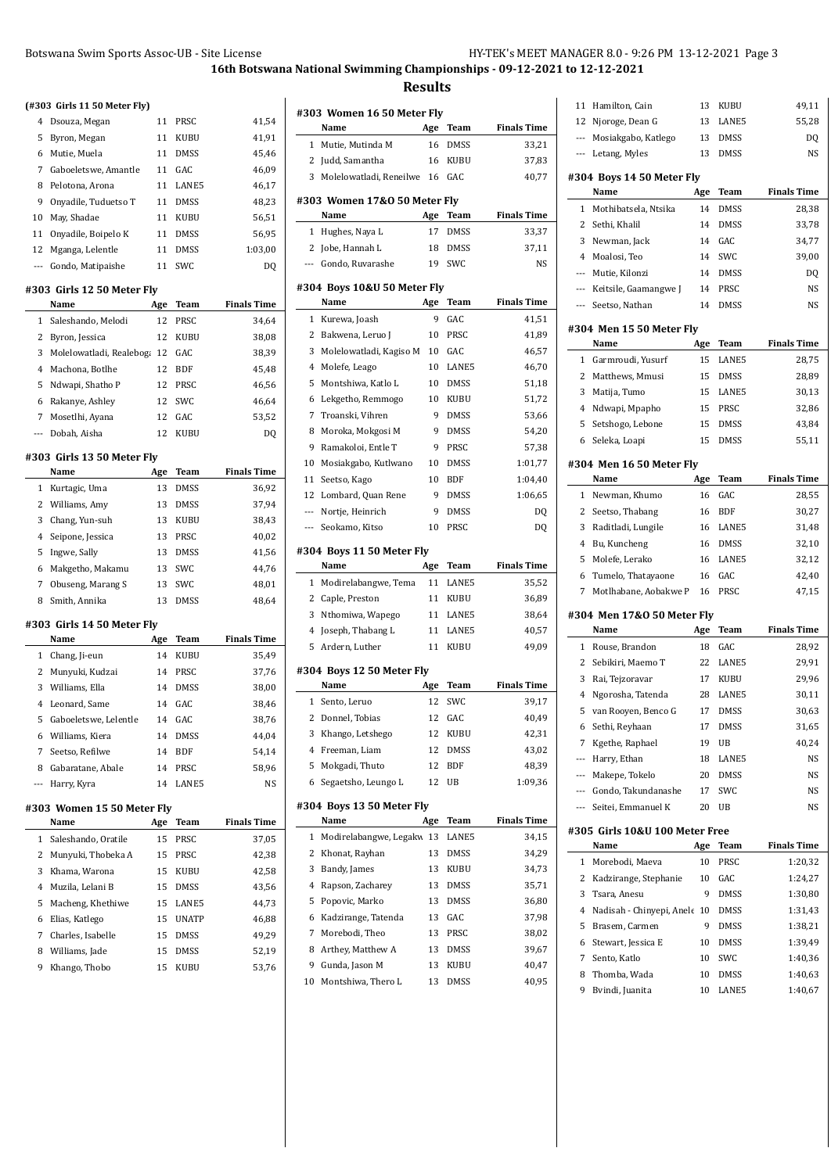|       | Botswana Swim Sports Assoc-UB - Site License |           |              |                    |
|-------|----------------------------------------------|-----------|--------------|--------------------|
|       |                                              |           |              | 16th Botswa        |
|       |                                              |           |              |                    |
|       | (#303 Girls 11 50 Meter Fly)                 |           |              |                    |
| 4     | Dsouza, Megan                                | 11        | PRSC         | 41,54              |
| 5     | Byron, Megan                                 | 11        | KUBU         | 41,91              |
| 6     | Mutie, Muela                                 | 11        | <b>DMSS</b>  | 45,46              |
| 7     | Gaboeletswe, Amantle                         | 11        | GAC          | 46,09              |
| 8     | Pelotona, Arona                              | 11        | LANE5        | 46,17              |
| 9     | Onyadile, Tuduetso T                         | 11        | <b>DMSS</b>  | 48,23              |
| 10    | May, Shadae                                  | 11        | KUBU         | 56,51              |
| 11    | Onyadile, Boipelo K                          | 11        | <b>DMSS</b>  | 56,95              |
| 12    | Mganga, Lelentle                             | 11        | <b>DMSS</b>  | 1:03,00            |
| $---$ | Gondo, Matipaishe                            | 11        | SWC          | DQ                 |
|       | #303 Girls 12 50 Meter Fly                   |           |              |                    |
|       | Name                                         | Age       | Team         | <b>Finals Time</b> |
| 1     | Saleshando, Melodi                           | 12        | PRSC         | 34,64              |
| 2     | Byron, Jessica                               | 12        | KUBU         | 38,08              |
| 3     | Molelowatladi, Realeboga                     | 12        | GAC          | 38,39              |
| 4     | Machona, Botlhe                              | 12        | <b>BDF</b>   | 45,48              |
| 5     | Ndwapi, Shatho P                             | 12        | PRSC         | 46,56              |
| 6     | Rakanye, Ashley                              | 12        | <b>SWC</b>   | 46,64              |
| 7     | Mosetlhi, Ayana                              | 12        | GAC          | 53,52              |
| ---   | Dobah, Aisha                                 | 12        | KUBU         | DQ                 |
|       | #303 Girls 13 50 Meter Fly                   |           |              |                    |
|       | Name                                         | Age       | Team         | <b>Finals Time</b> |
| 1     | Kurtagic, Uma                                | 13        | DMSS         | 36,92              |
| 2     | Williams, Amy                                | 13        | DMSS         | 37,94              |
| 3     | Chang, Yun-suh                               | 13        | KUBU         | 38,43              |
| 4     | Seipone, Jessica                             | 13        | PRSC         | 40,02              |
| 5     | Ingwe, Sally                                 | 13        | <b>DMSS</b>  | 41,56              |
| 6     | Makgetho, Makamu                             | 13        | SWC          | 44,76              |
| 7     | Obuseng, Marang S                            | 13        | SWC          | 48,01              |
| 8     | Smith, Annika                                | 13        | <b>DMSS</b>  | 48,64              |
|       | #303 Girls 14 50 Meter Fly                   |           |              |                    |
|       | Name                                         | Age       | Team         | <b>Finals Time</b> |
| 1     | Chang, Ji-eun                                | 14        | KUBU         | 35,49              |
| 2     | Munyuki, Kudzai                              | 14        | PRSC         | 37,76              |
| 3     | Williams, Ella                               | 14        | DMSS         | 38,00              |
| 4     | Leonard, Same                                | 14        | GAC          | 38,46              |
| 5     | Gaboeletswe, Lelentle                        | 14        | GAC          | 38,76              |
| 6     | Williams, Kiera                              | 14        | <b>DMSS</b>  | 44,04              |
| 7     | Seetso, Refilwe                              | 14        | BDF          | 54,14              |
| 8     | Gabaratane, Abale                            | 14        | PRSC         | 58,96              |
| ---   | Harry, Kyra                                  | 14        | LANE5        | NS                 |
|       |                                              |           |              |                    |
|       | #303 Women 15 50 Meter Fly<br>Name           |           | Team         | <b>Finals Time</b> |
| 1     | Saleshando, Oratile                          | Age<br>15 | PRSC         | 37,05              |
|       |                                              |           |              |                    |
| 2     | Munyuki, Thobeka A                           | 15        | PRSC         | 42,38              |
| 3     | Khama, Warona                                | 15        | KUBU         | 42,58              |
| 4     | Muzila, Lelani B                             | 15        | <b>DMSS</b>  | 43,56              |
| 5     | Macheng, Khethiwe                            | 15        | LANE5        | 44,73              |
| 6     | Elias, Katlego                               | 15        | <b>UNATP</b> | 46,88              |
| 7     | Charles, Isabelle                            | 15        | DMSS         | 49,29              |
| 8     | Williams, Jade                               | 15        | DMSS         | 52,19              |
| 9     | Khango, Thobo                                | 15        | KUBU         | 53,76              |
|       |                                              |           |              |                    |
|       |                                              |           |              |                    |

|                | #303 Women 16 50 Meter Fly   |     |             |                                                                                                                                                                                                                                |
|----------------|------------------------------|-----|-------------|--------------------------------------------------------------------------------------------------------------------------------------------------------------------------------------------------------------------------------|
|                | Name                         | Age | Team        | <b>Finals Time</b>                                                                                                                                                                                                             |
| $\mathbf{1}$   | Mutie, Mutinda M             | 16  | DMSS        | 33,21                                                                                                                                                                                                                          |
| 2              | Judd, Samantha               | 16  | KUBU        | 37,83                                                                                                                                                                                                                          |
| 3              | Molelowatladi, Reneilwe      | 16  | GAC         | 40,77                                                                                                                                                                                                                          |
|                | #303 Women 17&0 50 Meter Fly |     |             |                                                                                                                                                                                                                                |
|                | Name                         | Age | Team        | <b>Finals Time</b>                                                                                                                                                                                                             |
| 1              | Hughes, Naya L               | 17  | <b>DMSS</b> | 33,37                                                                                                                                                                                                                          |
| 2              | Jobe, Hannah L               | 18  | <b>DMSS</b> | 37,11                                                                                                                                                                                                                          |
| ---            | Gondo, Ruvarashe             | 19  | SWC         | NS                                                                                                                                                                                                                             |
|                | #304 Boys 10&U 50 Meter Fly  |     |             |                                                                                                                                                                                                                                |
|                | Name                         | Age | <b>Team</b> | <b>Finals Time</b>                                                                                                                                                                                                             |
| 1              | Kurewa, Joash                | 9   | GAC         | 41,51                                                                                                                                                                                                                          |
| 2              | Bakwena, Leruo J             | 10  | PRSC        | 41,89                                                                                                                                                                                                                          |
| 3              | Molelowatladi, Kagiso M      | 10  | GAC         | 46,57                                                                                                                                                                                                                          |
| 4              | Molefe, Leago                | 10  | LANE5       | 46,70                                                                                                                                                                                                                          |
| 5              | Montshiwa, Katlo L           | 10  | <b>DMSS</b> | 51,18                                                                                                                                                                                                                          |
| 6              | Lekgetho, Remmogo            | 10  | KUBU        | 51,72                                                                                                                                                                                                                          |
| 7              | Troanski, Vihren             | 9   | <b>DMSS</b> | 53,66                                                                                                                                                                                                                          |
| 8              | Moroka, Mokgosi M            | 9   | <b>DMSS</b> | 54,20                                                                                                                                                                                                                          |
| 9              | Ramakoloi, Entle T           | 9   | PRSC        | 57,38                                                                                                                                                                                                                          |
| 10             | Mosiakgabo, Kutlwano         | 10  | <b>DMSS</b> | 1:01,77                                                                                                                                                                                                                        |
| 11             | Seetso, Kago                 | 10  | <b>BDF</b>  | 1:04,40                                                                                                                                                                                                                        |
| 12             | Lombard, Quan Rene           | 9   | <b>DMSS</b> | 1:06,65                                                                                                                                                                                                                        |
| $---$          | Nortje, Heinrich             | 9   | DMSS        | DQ                                                                                                                                                                                                                             |
| ---            | Seokamo, Kitso               | 10  | PRSC        | DQ                                                                                                                                                                                                                             |
|                | #304 Boys 11 50 Meter Fly    |     |             |                                                                                                                                                                                                                                |
|                | Name                         | Age | Team        | <b>Finals Time</b>                                                                                                                                                                                                             |
| $\mathbf{1}$   | Modirelabangwe, Tema         | 11  | LANE5       | 35,52                                                                                                                                                                                                                          |
|                |                              |     |             |                                                                                                                                                                                                                                |
| $\overline{c}$ | Caple, Preston               | 11  | KUBU        |                                                                                                                                                                                                                                |
| 3              | Nthomiwa, Wapego             | 11  | LANE5       |                                                                                                                                                                                                                                |
| 4              | Joseph, Thabang L            | 11  | LANE5       |                                                                                                                                                                                                                                |
| 5              | Ardern, Luther               | 11  | <b>KUBU</b> |                                                                                                                                                                                                                                |
|                | #304 Boys 12 50 Meter Fly    |     |             |                                                                                                                                                                                                                                |
|                | Name                         | Age | Team        |                                                                                                                                                                                                                                |
| 1              | Sento, Leruo                 | 12  | SWC         |                                                                                                                                                                                                                                |
| $\mathbf{z}$   | Donnel, Tobias               | 12  | GAC         |                                                                                                                                                                                                                                |
| 3              | Khango, Letshego             | 12  | KUBU        |                                                                                                                                                                                                                                |
| 4              | Freeman, Liam                | 12  | DMSS        |                                                                                                                                                                                                                                |
| 5              | Mokgadi, Thuto               | 12  | <b>BDF</b>  |                                                                                                                                                                                                                                |
| 6              | Segaetsho, Leungo L          | 12  | UB          |                                                                                                                                                                                                                                |
|                | #304 Boys 13 50 Meter Fly    |     |             |                                                                                                                                                                                                                                |
|                | Name                         | Age | Team        |                                                                                                                                                                                                                                |
| 1              | Modirelabangwe, Legakw 13    |     | LANE5       |                                                                                                                                                                                                                                |
| 2              | Khonat, Rayhan               | 13  | DMSS        |                                                                                                                                                                                                                                |
| 3              | Bandy, James                 | 13  | KUBU        |                                                                                                                                                                                                                                |
| 4              | Rapson, Zacharey             | 13  | DMSS        |                                                                                                                                                                                                                                |
| 5              | Popovic, Marko               | 13  | DMSS        |                                                                                                                                                                                                                                |
| 6              | Kadzirange, Tatenda          | 13  | GAC         |                                                                                                                                                                                                                                |
| 7              | Morebodi, Theo               | 13  | PRSC        |                                                                                                                                                                                                                                |
| 8              | Arthey, Matthew A            | 13  | DMSS        |                                                                                                                                                                                                                                |
| 9              | Gunda, Jason M               | 13  | KUBU        |                                                                                                                                                                                                                                |
| 10             | Montshiwa, Thero L           | 13  | DMSS        | 36,89<br>38,64<br>40,57<br>49,09<br><b>Finals Time</b><br>39,17<br>40,49<br>42,31<br>43,02<br>48,39<br>1:09,36<br><b>Finals Time</b><br>34,15<br>34,29<br>34,73<br>35,71<br>36,80<br>37,98<br>38,02<br>39,67<br>40,47<br>40,95 |

| 11                       | Hamilton, Cain                         | 13        | KUBU          | 49,11              |
|--------------------------|----------------------------------------|-----------|---------------|--------------------|
| 12                       | Njoroge, Dean G                        | 13        | LANE5         | 55,28              |
| $\overline{\phantom{a}}$ | Mosiakgabo, Katlego                    | 13        | <b>DMSS</b>   | DQ                 |
| $\overline{\phantom{a}}$ | Letang, Myles                          | 13        | DMSS          | NS                 |
|                          | #304 Boys 14 50 Meter Fly              |           |               |                    |
|                          | Name                                   | Age       | Team          | <b>Finals Time</b> |
| 1                        | Mothibatsela, Ntsika                   | 14        | DMSS          | 28,38              |
| 2                        | Sethi, Khalil                          | 14        | DMSS          | 33,78              |
| 3                        | Newman, Jack                           | 14        | GAC           | 34,77              |
| $\overline{4}$           | Moalosi, Teo                           | 14        | SWC           | 39,00              |
| ---                      | Mutie, Kilonzi                         | 14        | DMSS          | DQ                 |
| $---$                    | Keitsile, Gaamangwe J                  | 14        | PRSC          | NS                 |
| $\overline{\phantom{a}}$ | Seetso, Nathan                         | 14        | DMSS          | NS                 |
|                          |                                        |           |               |                    |
|                          | #304 Men 15 50 Meter Fly               |           |               |                    |
| 1                        | Name                                   | Age       | Team          | <b>Finals Time</b> |
|                          | Garmroudi, Yusurf                      | 15        | LANE5         | 28,75              |
| 2                        | Matthews, Mmusi                        | 15        | DMSS          | 28,89              |
| 3                        | Matija, Tumo                           | 15        | LANE5         | 30,13              |
| 4                        | Ndwapi, Mpapho                         | 15        | PRSC          | 32,86              |
| 5                        | Setshogo, Lebone                       | 15        | DMSS          | 43,84              |
| 6                        | Seleka, Loapi                          | 15        | DMSS          | 55,11              |
|                          | #304 Men 16 50 Meter Fly               |           |               |                    |
|                          | Name                                   | Age       | Team          | <b>Finals Time</b> |
| 1                        | Newman, Khumo                          | 16        | GAC           | 28,55              |
| 2                        | Seetso, Thabang                        | 16        | BDF           | 30,27              |
| 3                        | Raditladi, Lungile                     | 16        | LANE5         | 31,48              |
| 4                        | Bu, Kuncheng                           | 16        | DMSS          | 32,10              |
| 5                        | Molefe, Lerako                         | 16        | LANE5         | 32,12              |
| 6                        | Tumelo, Thatayaone                     | 16        | GAC           | 42,40              |
| 7                        | Motlhabane, Aobakwe P                  | 16        | PRSC          | 47,15              |
|                          |                                        |           |               |                    |
|                          |                                        |           |               |                    |
|                          | #304 Men 17&0 50 Meter Fly<br>Name     | Age       | Team          | Finals Time        |
| 1                        | Rouse, Brandon                         | 18        | GAC           | 28,92              |
| 2                        | Sebikiri, Maemo T                      | 22        | LANE5         | 29,91              |
| 3                        | Rai, Tejzoravar                        | 17        | <b>KUBU</b>   | 29,96              |
| 4                        | Ngorosha, Tatenda                      | 28        | LANE5         | 30,11              |
| 5                        | van Rooyen, Benco G                    | 17        | <b>DMSS</b>   | 30,63              |
|                          | 6 Sethi, Reyhaan                       | 17        | DMSS          | 31,65              |
| 7                        | Kgethe, Raphael                        | 19        | UB            | 40,24              |
| ---                      | Harry, Ethan                           | 18        | LANE5         | NS                 |
| $\overline{a}$           | Makepe, Tokelo                         | 20        | DMSS          | NS                 |
| $\cdots$                 | Gondo, Takundanashe                    | 17        | SWC           | NS                 |
| $\qquad \qquad -$        | Seitei, Emmanuel K                     | 20        | UB            | NS                 |
|                          |                                        |           |               |                    |
|                          | #305 Girls 10&U 100 Meter Free<br>Name |           |               | <b>Finals Time</b> |
| 1                        | Morebodi, Maeva                        | Age<br>10 | Team<br>PRSC  |                    |
| 2                        |                                        | 10        | GAC           | 1:20,32<br>1:24,27 |
| 3                        | Kadzirange, Stephanie<br>Tsara, Anesu  | 9         | <b>DMSS</b>   |                    |
|                          |                                        | 10        |               | 1:30,80            |
| 4                        | Nadisah - Chinyepi, Anele              |           | DMSS          | 1:31,43            |
| 5                        | Brasem, Carmen                         | 9         | DMSS          | 1:38,21            |
| 6                        | Stewart, Jessica E                     | 10        | DMSS          | 1:39,49            |
| 7<br>8                   | Sento, Katlo                           | 10        | SWC           | 1:40,36            |
| 9                        | Thomba, Wada<br>Bvindi, Juanita        | 10<br>10  | DMSS<br>LANE5 | 1:40,63<br>1:40,67 |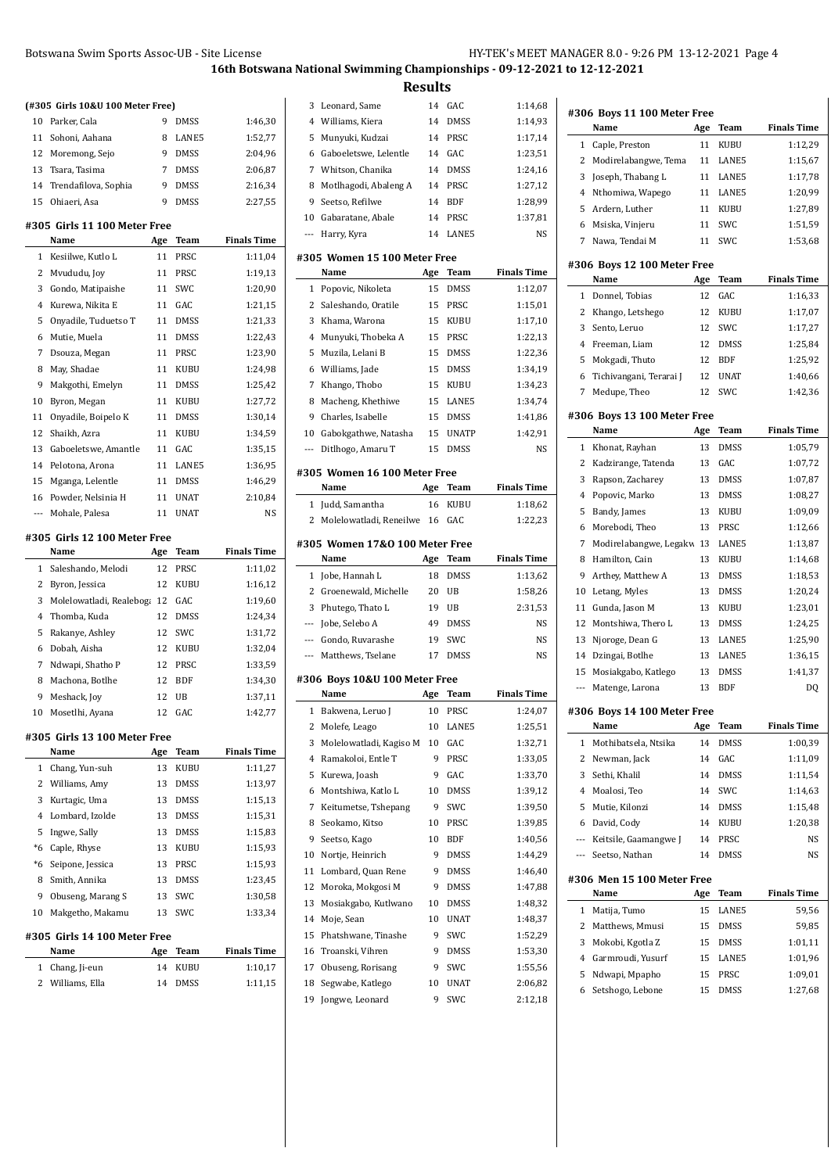# Botswana Swim Sports Assoc-UB - Site License

| HY-TEK's MEET MANAGER 8.0 - 9:26 PM 13-12-2021 Page 4 |
|-------------------------------------------------------|
|-------------------------------------------------------|

# **16th Botswana National Swimming Championships - 09-12-2021 to 12-12-2021**

|       | (#305 Girls 10&U 100 Meter Free) |           |             |                    |
|-------|----------------------------------|-----------|-------------|--------------------|
| 10    | Parker, Cala                     | 9         | DMSS        | 1:46,30            |
| 11    | Sohoni, Aahana                   | 8         | LANE5       | 1:52,77            |
| 12    | Moremong, Sejo                   | 9         | DMSS        | 2:04,96            |
| 13    | Tsara, Tasima                    | 7         | DMSS        | 2:06,87            |
| 14    | Trendafilova, Sophia             | 9         | DMSS        | 2:16,34            |
| 15    | Ohiaeri, Asa                     | 9         | DMSS        | 2:27,55            |
|       | #305 Girls 11 100 Meter Free     |           |             |                    |
|       | Name                             | Age       | Team        | <b>Finals Time</b> |
| 1     | Kesiilwe, Kutlo L                | 11        | PRSC        | 1:11,04            |
| 2     | Mvududu, Joy                     | 11        | PRSC        | 1:19,13            |
| 3     | Gondo, Matipaishe                | 11        | SWC         | 1:20,90            |
| 4     | Kurewa, Nikita E                 | 11        | GAC         | 1:21,15            |
| 5     | Onyadile, Tuduetso T             | 11        | DMSS        | 1:21,33            |
| 6     | Mutie, Muela                     | 11        | DMSS        | 1:22,43            |
| 7     | Dsouza, Megan                    | 11        | PRSC        | 1:23,90            |
| 8     | May, Shadae                      | 11        | KUBU        | 1:24,98            |
| 9     | Makgothi, Emelyn                 | 11        | DMSS        | 1:25,42            |
| 10    | Byron, Megan                     | 11        | KUBU        | 1:27,72            |
| 11    | Onyadile, Boipelo K              | 11        | DMSS        | 1:30,14            |
| 12    | Shaikh, Azra                     | 11        | KUBU        | 1:34,59            |
| 13    | Gaboeletswe, Amantle             | 11        | GAC         | 1:35,15            |
| 14    | Pelotona, Arona                  | 11        | LANE5       | 1:36,95            |
| 15    | Mganga, Lelentle                 | 11        | DMSS        | 1:46,29            |
| 16    | Powder, Nelsinia H               | 11        | UNAT        | 2:10,84            |
| $---$ | Mohale, Palesa                   | 11        | <b>UNAT</b> | NS                 |
|       |                                  |           |             |                    |
|       | #305 Girls 12 100 Meter Free     |           |             |                    |
|       | Name                             |           | Team        | <b>Finals Time</b> |
| 1     |                                  | Age<br>12 | PRSC        |                    |
| 2     | Saleshando, Melodi               | 12        | KUBU        | 1:11,02            |
| 3     | Byron, Jessica                   |           | GAC         | 1:16,12            |
|       | Molelowatladi, Realeboga 12      |           |             | 1:19,60            |
| 4     | Thomba, Kuda                     | 12        | DMSS        | 1:24,34            |
| 5     | Rakanye, Ashley                  | 12        | SWC         | 1:31,72            |
| 6     | Dobah, Aisha                     | 12        | KUBU        | 1:32,04            |
| 7     | Ndwapi, Shatho P                 | 12        | PRSC        | 1:33,59            |
| 8     | Machona, Botlhe                  | 12        | BDF         | 1:34,30            |
| 9     | Meshack, Joy                     | 12        | UB          | 1:37,11            |
| 10    | Mosetlhi, Ayana                  | 12        | GAC         | 1:42,77            |
|       | #305 Girls 13 100 Meter Free     |           |             |                    |
|       | Name                             | Age       | Team        | <b>Finals Time</b> |
| 1     | Chang, Yun-suh                   | 13        | KUBU        | 1:11,27            |
| 2     | Williams, Amy                    | 13        | DMSS        | 1:13,97            |
| 3     | Kurtagic, Uma                    | 13        | DMSS        | 1:15,13            |
| 4     | Lombard, Izolde                  | 13        | DMSS        | 1:15,31            |
| 5     | Ingwe, Sally                     | 13        | DMSS        | 1:15,83            |
| $*6$  | Caple, Rhyse                     | 13        | KUBU        | 1:15,93            |
| *6    | Seipone, Jessica                 | 13        | PRSC        | 1:15,93            |
| 8     | Smith, Annika                    | 13        | DMSS        | 1:23,45            |
| 9     | Obuseng, Marang S                | 13        | SWC         | 1:30,58            |
| 10    | Makgetho, Makamu                 | 13        | SWC         | 1:33,34            |
|       | #305 Girls 14 100 Meter Free     |           |             |                    |
|       | Name                             | Age       | Team        | <b>Finals Time</b> |
| 1     | Chang, Ji-eun                    | 14        | KUBU        | 1:10,17            |

|                |                                           | <b>Results</b> |              |                    |
|----------------|-------------------------------------------|----------------|--------------|--------------------|
| 3              | Leonard, Same                             | 14             | GAC          | 1:14,68            |
| 4              | Williams, Kiera                           | 14             | <b>DMSS</b>  | 1:14,93            |
| 5              | Munyuki, Kudzai                           | 14             | PRSC         | 1:17,14            |
| 6              | Gaboeletswe, Lelentle                     | 14             | GAC          | 1:23,51            |
| 7              | Whitson, Chanika                          | 14             | <b>DMSS</b>  | 1:24,16            |
| 8              | Motlhagodi, Abaleng A                     | 14             | PRSC         | 1:27,12            |
| 9              | Seetso, Refilwe                           | 14             | <b>BDF</b>   | 1:28,99            |
| 10             | Gabaratane, Abale                         | 14             | PRSC         | 1:37,81            |
| $\overline{a}$ | Harry, Kyra                               | 14             | LANE5        | NS                 |
|                | #305 Women 15 100 Meter Free              |                |              |                    |
|                | Name                                      | Age            | Team         | <b>Finals Time</b> |
| 1              | Popovic, Nikoleta                         | 15             | DMSS         | 1:12,07            |
| 2              | Saleshando, Oratile                       | 15             | PRSC         | 1:15,01            |
| 3              | Khama, Warona                             | 15             | KUBU         | 1:17,10            |
| 4              | Munyuki, Thobeka A                        | 15             | PRSC         | 1:22,13            |
| 5              | Muzila, Lelani B                          | 15             | DMSS         | 1:22,36            |
| 6              | Williams, Jade                            | 15             | DMSS         | 1:34,19            |
| 7              | Khango, Thobo                             | 15             | KUBU         | 1:34,23            |
| 8              | Macheng, Khethiwe                         | 15             | LANE5        | 1:34,74            |
| 9              | Charles, Isabelle                         | 15             | DMSS         | 1:41,86            |
| 10             | Gabokgathwe, Natasha                      | 15             | <b>UNATP</b> | 1:42,91            |
| $\cdots$       | Ditlhogo, Amaru T                         | 15             | <b>DMSS</b>  | NS                 |
|                | #305 Women 16 100 Meter Free              |                |              |                    |
|                | Name                                      | Age            | Team         | <b>Finals Time</b> |
| 1              | Judd, Samantha                            | 16             | KUBU         | 1:18,62            |
| 2              | Molelowatladi, Reneilwe                   | 16             | GAC          | 1:22,23            |
|                | #305 Women 17&0 100 Meter Free            |                |              |                    |
|                | Name                                      | Age            | Team         | <b>Finals Time</b> |
|                |                                           |                |              |                    |
| 1              | Jobe, Hannah L                            | 18             | DMSS         | 1:13,62            |
| 2              | Groenewald, Michelle                      | 20             | UB           | 1:58,26            |
| 3              | Phutego, Thato L                          | 19             | UB           | 2:31,53            |
| ---            | Jobe, Selebo A                            | 49             | DMSS         | NS                 |
| ---            | Gondo, Ruvarashe                          | 19             | SWC          | NS                 |
| $\cdots$       | Matthews, Tselane                         | 17             | DMSS         | NS                 |
|                |                                           |                |              |                    |
|                | #306 Boys 10&U 100 Meter Free             |                |              | <b>Finals Time</b> |
|                | Name                                      | Age            | <b>Team</b>  |                    |
| 1              | Bakwena, Leruo J                          | 10<br>10       | PRSC         | 1:24,07            |
| 2              | Molefe, Leago                             | 10             | LANE5<br>GAC | 1:25,51            |
| 3<br>4         | Molelowatladi, Kagiso M                   | 9              |              | 1:32,71            |
|                | Ramakoloi, Entle T                        | 9              | PRSC         | 1:33,05            |
| 5              | Kurewa, Joash                             | 10             | GAC          | 1:33,70            |
| 6              | Montshiwa, Katlo L                        |                | DMSS         | 1:39,12            |
| 7<br>8         | Keitumetse, Tshepang                      | 9              | SWC          | 1:39,50            |
|                | Seokamo, Kitso                            | 10<br>10       | PRSC         | 1:39,85            |
| 9              | Seetso, Kago<br>Nortje, Heinrich          | 9              | BDF          | 1:40,56            |
| 10<br>11       |                                           | 9              | DMSS         | 1:44,29            |
|                | Lombard, Quan Rene                        |                | DMSS         | 1:46,40            |
| 12<br>13       | Moroka, Mokgosi M<br>Mosiakgabo, Kutlwano | 9<br>10        | DMSS<br>DMSS | 1:47,88<br>1:48,32 |
| 14             |                                           | 10             | UNAT         |                    |
|                | Moje, Sean                                | 9              |              | 1:48,37            |
| 15             | Phatshwane, Tinashe                       |                | SWC          | 1:52,29            |
| 16             | Troanski, Vihren                          | 9<br>9         | DMSS         | 1:53,30            |
| 17             | Obuseng, Rorisang                         | 10             | SWC          | 1:55,56            |
| 18             | Segwabe, Katlego                          |                | UNAT         | 2:06,82            |
| 19             | Jongwe, Leonard                           | 9              | SWC          | 2:12,18            |
|                |                                           |                |              |                    |

|              | Name                                | Age      | Team          | <b>Finals Time</b>                                          |
|--------------|-------------------------------------|----------|---------------|-------------------------------------------------------------|
| $\mathbf{1}$ | Caple, Preston                      | 11       | KUBU          | 1:12,29                                                     |
| 2            | Modirelabangwe, Tema                | 11       | LANE5         | 1:15,67                                                     |
| 3            | Joseph, Thabang L                   | 11       | LANE5         | 1:17,78                                                     |
| 4            | Nthomiwa, Wapego                    | 11       | LANE5         | 1:20,99                                                     |
| 5            | Ardern, Luther                      | 11       | KUBU          | 1:27,89                                                     |
| 6            | Msiska, Vinjeru                     | 11       | SWC           | 1:51,59                                                     |
| 7            | Nawa, Tendai M                      | 11       | SWC           | 1:53,68                                                     |
|              | #306 Boys 12 100 Meter Free<br>Name | Age      | Team          | <b>Finals Time</b>                                          |
| 1            | Donnel, Tobias                      | 12       | GAC           | 1:16,33                                                     |
| 2            | Khango, Letshego                    | 12       | KUBU          | 1:17,07                                                     |
| 3            | Sento, Leruo                        | 12       | SWC           | 1:17,27                                                     |
| 4            | Freeman, Liam                       | 12       | DMSS          | 1:25,84                                                     |
|              |                                     |          |               |                                                             |
| 5            | Mokgadi, Thuto                      | 12       | <b>BDF</b>    | 1:25,92                                                     |
| 6            | Tichivangani, Terarai J             | 12       | UNAT          | 1:40,66                                                     |
| 7            | Medupe, Theo                        | 12       | SWC           | 1:42,36                                                     |
|              | #306 Boys 13 100 Meter Free<br>Name | Age      | Team          | <b>Finals Time</b>                                          |
| 1            | Khonat, Rayhan                      | 13       | DMSS          | 1:05,79                                                     |
| 2            | Kadzirange, Tatenda                 | 13       | GAC           | 1:07,72                                                     |
| 3            | Rapson, Zacharey                    | 13       | DMSS          | 1:07,87                                                     |
|              |                                     |          |               |                                                             |
| 4            | Popovic, Marko                      | 13       | DMSS          | 1:08,27                                                     |
| 5            | Bandy, James                        | 13       | KUBU          | 1:09,09                                                     |
| 6            | Morebodi, Theo                      | 13       | PRSC          | 1:12,66                                                     |
| 7            | Modirelabangwe, Legakw              | 13       | LANE5         | 1:13,87                                                     |
| 8            | Hamilton, Cain                      | 13       | KUBU          | 1:14,68                                                     |
| 9            | Arthey, Matthew A                   | 13       | DMSS          | 1:18,53                                                     |
| 10           | Letang, Myles                       | 13       | DMSS          | 1:20,24                                                     |
| 11           | Gunda, Jason M                      | 13       | KUBU          | 1:23,01                                                     |
| 12           | Montshiwa, Thero L                  | 13       | DMSS          | 1:24,25                                                     |
| 13           | Njoroge, Dean G                     | 13       | LANE5         | 1:25,90                                                     |
| 14           | Dzingai, Botlhe                     | 13       | LANE5         | 1:36,15                                                     |
| 15           | Mosiakgabo, Katlego                 | 13       | DMSS          | 1:41,37                                                     |
| ---          | Matenge, Larona                     | 13       | <b>BDF</b>    | DQ                                                          |
|              | #306 Boys 14 100 Meter Free         |          |               |                                                             |
|              | Name                                | Age      | Team          | <b>Finals Time</b>                                          |
| 1            | Mothibatsela, Ntsika                | 14       | DMSS          | 1:00,39                                                     |
| 2            | Newman, Jack                        | 14       | GAC           | 1:11,09                                                     |
| 3            | Sethi, Khalil                       | 14       | DMSS          | 1:11,54                                                     |
| 4            | Moalosi, Teo                        | 14       | SWC           | 1:14,63                                                     |
|              |                                     |          | DMSS          | 1:15,48                                                     |
| 5            | Mutie, Kilonzi                      | 14       |               |                                                             |
| 6            | David, Cody                         | 14       | KUBU          |                                                             |
| ---          | Keitsile, Gaamangwe J               | 14       | PRSC          |                                                             |
| $---$        | Seetso, Nathan                      | 14       | DMSS          |                                                             |
|              | #306 Men 15 100 Meter Free<br>Name  | Age      | Team          |                                                             |
| 1            | Matija, Tumo                        | 15       | LANE5         |                                                             |
|              |                                     |          |               |                                                             |
| 2            | Matthews, Mmusi                     | 15       | DMSS          | 1:20,38<br>NS<br>NS<br><b>Finals Time</b><br>59,56<br>59,85 |
| 3            | Mokobi, Kgotla Z                    | 15       | DMSS          |                                                             |
| 4<br>5       | Garmroudi, Yusurf<br>Ndwapi, Mpapho | 15<br>15 | LANE5<br>PRSC | 1:01,11<br>1:01,96<br>1:09,01                               |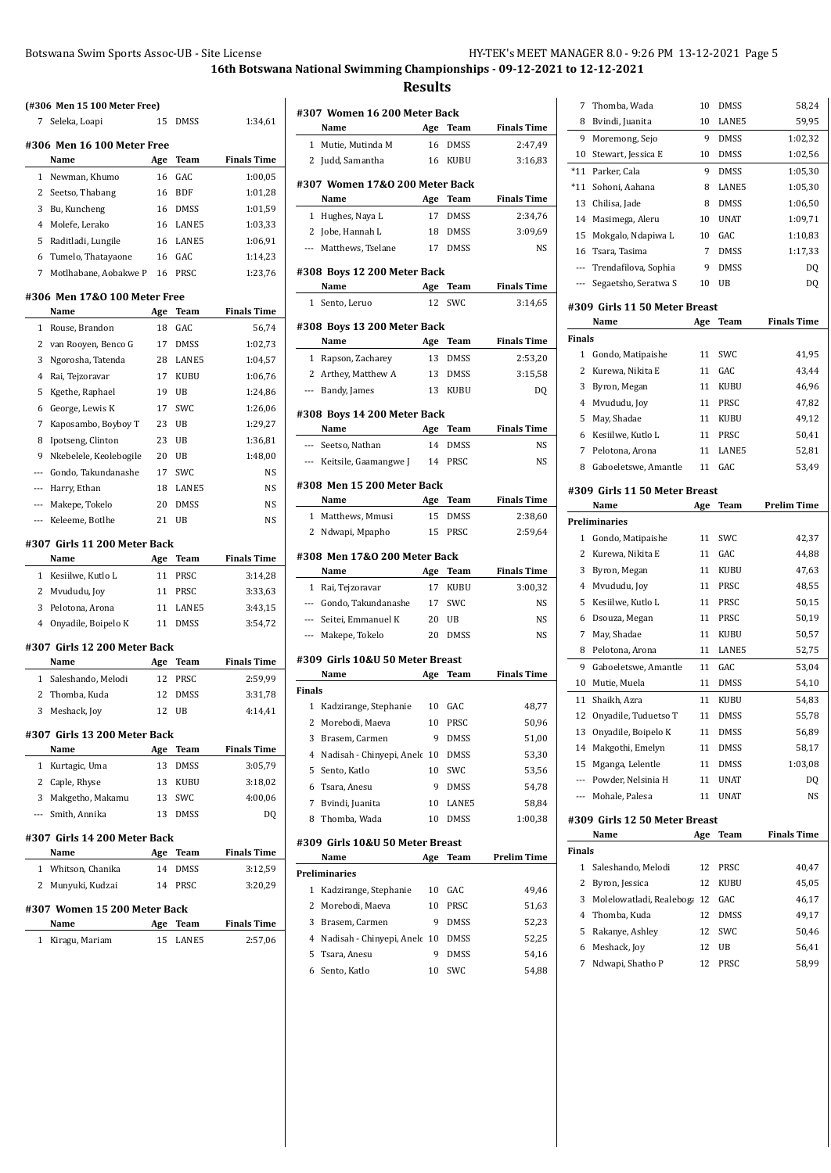7 Thomba, Wada 10 DMSS 58,24 8 Bvindi, Juanita 10 LANE5 59,95

**16th Botswana National Swimming Championships - 09-12-2021 to 12-12-2021 Results**

|                          | (#306 Men 15 100 Meter Free)          |     |             |                    |
|--------------------------|---------------------------------------|-----|-------------|--------------------|
| 7                        | Seleka, Loapi                         | 15  | <b>DMSS</b> | 1:34,61            |
|                          | #306 Men 16 100 Meter Free            |     |             |                    |
|                          | Name                                  | Age | Team        | <b>Finals Time</b> |
| 1                        | Newman, Khumo                         | 16  | GAC         | 1:00,05            |
| 2                        | Seetso, Thabang                       | 16  | <b>BDF</b>  | 1:01,28            |
| 3                        | Bu, Kuncheng                          | 16  | DMSS        | 1:01,59            |
| 4                        | Molefe, Lerako                        | 16  | LANE5       | 1:03,33            |
| 5                        | Raditladi, Lungile                    | 16  | LANE5       | 1:06,91            |
| 6                        | Tumelo, Thatayaone                    | 16  | GAC         | 1:14,23            |
| 7                        | Motlhabane, Aobakwe P                 | 16  | PRSC        | 1:23,76            |
|                          | #306 Men 17&0 100 Meter Free          |     |             |                    |
|                          | Name                                  | Age | Team        | <b>Finals Time</b> |
| 1                        | Rouse, Brandon                        | 18  | GAC         | 56,74              |
| 2                        | van Rooyen, Benco G                   | 17  | <b>DMSS</b> | 1:02,73            |
| 3                        | Ngorosha, Tatenda                     | 28  | LANE5       | 1:04,57            |
| 4                        | Rai, Tejzoravar                       | 17  | KUBU        | 1:06,76            |
| 5                        | Kgethe, Raphael                       | 19  | UB          | 1:24,86            |
| 6                        | George, Lewis K                       | 17  | SWC         | 1:26,06            |
| 7                        | Kaposambo, Boyboy T                   | 23  | UB          | 1:29,27            |
| 8                        | Ipotseng, Clinton                     | 23  | UB          | 1:36,81            |
| 9                        | Nkebelele, Keolebogile                | 20  | UB          | 1:48,00            |
| ---                      | Gondo, Takundanashe                   | 17  | <b>SWC</b>  | NS                 |
| $\qquad \qquad -$        | Harry, Ethan                          | 18  | LANE5       | NS                 |
| ---                      | Makepe, Tokelo                        | 20  | DMSS        | NS                 |
| ---                      | Keleeme, Botlhe                       | 21  | UB          | NS                 |
|                          |                                       |     |             |                    |
|                          | #307  Girls 11 200 Meter Back<br>Name | Age | Team        | <b>Finals Time</b> |
| 1                        | Kesiilwe, Kutlo L                     | 11  | PRSC        | 3:14,28            |
| 2                        | Mvududu, Joy                          | 11  | PRSC        | 3:33,63            |
| 3                        | Pelotona, Arona                       | 11  | LANE5       | 3:43,15            |
| 4                        | Onyadile, Boipelo K                   | 11  | <b>DMSS</b> | 3:54,72            |
|                          |                                       |     |             |                    |
|                          | #307 Girls 12 200 Meter Back          |     |             |                    |
|                          | Name                                  | Age | Team        | Finals Time        |
| 1                        | Saleshando, Melodi                    | 12  | PRSC        | 2:59,99            |
| 2                        | Thomba, Kuda                          | 12  | <b>DMSS</b> | 3:31,78            |
| 3                        | Meshack, Joy                          | 12  | UB          | 4:14,41            |
|                          | #307 Girls 13 200 Meter Back          |     |             |                    |
|                          | Name                                  | Age | Team        | <b>Finals Time</b> |
| 1                        | Kurtagic, Uma                         | 13  | DMSS        | 3:05,79            |
| 2                        | Caple, Rhyse                          | 13  | KUBU        | 3:18,02            |
| 3                        | Makgetho, Makamu                      | 13  | SWC         | 4:00,06            |
| $\overline{\phantom{a}}$ | Smith, Annika                         | 13  | <b>DMSS</b> | DQ                 |
|                          | #307 Girls 14 200 Meter Back          |     |             |                    |
|                          | Name                                  | Age | Team        | <b>Finals Time</b> |
| 1                        | Whitson, Chanika                      | 14  | DMSS        | 3:12,59            |
| 2                        | Munyuki, Kudzai                       | 14  | PRSC        | 3:20,29            |
|                          | #307 Women 15 200 Meter Back          |     |             |                    |
|                          | Name                                  | Age | Team        | <b>Finals Time</b> |
| 1                        | Kiragu, Mariam                        | 15  | LANE5       | 2:57,06            |
|                          |                                       |     |             |                    |

|                | #307 Women 16 200 Meter Back             |          |             |                    |
|----------------|------------------------------------------|----------|-------------|--------------------|
|                | Name                                     | Age      | Team        | <b>Finals Time</b> |
| 1              | Mutie, Mutinda M                         | 16       | <b>DMSS</b> | 2:47,49            |
| 2              | Judd, Samantha                           | 16       | KUBU        | 3:16,83            |
|                | #307  Women 17&0 200 Meter Back          |          |             |                    |
|                | Name                                     |          | Age Team    | <b>Finals Time</b> |
| 1              | Hughes, Naya L                           | 17       | <b>DMSS</b> | 2:34,76            |
|                | 2 Jobe, Hannah L                         | 18       | DMSS        | 3:09,69            |
|                | --- Matthews, Tselane                    | 17       | DMSS        | NS                 |
|                |                                          |          |             |                    |
|                | #308 Boys 12 200 Meter Back              |          |             |                    |
|                | Name                                     | Age      | Team        | <b>Finals Time</b> |
| $\mathbf{1}$   | Sento, Leruo                             | 12       | SWC         | 3:14,65            |
|                | #308 Boys 13 200 Meter Back              |          |             |                    |
|                | Name                                     | Age      | Team        | <b>Finals Time</b> |
| 1              | Rapson, Zacharey                         | 13       | DMSS        | 2:53,20            |
|                | 2 Arthey, Matthew A                      | 13       | DMSS        | 3:15,58            |
| ---            | Bandy, James                             | 13       | <b>KUBU</b> | DQ                 |
|                | #308 Boys 14 200 Meter Back              |          |             |                    |
|                | Name                                     | Age      | Team        | <b>Finals Time</b> |
|                | --- Seetso, Nathan                       | 14       | <b>DMSS</b> | NS                 |
| $\overline{a}$ | Keitsile, Gaamangwe J                    | 14       | PRSC        | NS                 |
|                |                                          |          |             |                    |
|                | #308 Men 15 200 Meter Back               |          |             |                    |
|                | Name                                     | Age      | Team        | <b>Finals Time</b> |
|                | 1 Matthews, Mmusi                        | 15       | DMSS        | 2:38,60            |
| 2              | Ndwapi, Mpapho                           | 15       | PRSC        | 2:59,64            |
|                | #308 Men 17&0 200 Meter Back             |          |             |                    |
|                | Name                                     | Age      | Team        | <b>Finals Time</b> |
| $\mathbf{1}$   | Rai, Tejzoravar                          | 17       | KUBU        | 3:00,32            |
| $---$          | Gondo, Takundanashe                      | 17       | SWC         | NS                 |
| $\cdots$       | Seitei, Emmanuel K                       | 20       | UB          | NS                 |
| ---            | Makepe, Tokelo                           | 20       | <b>DMSS</b> | NS                 |
|                |                                          |          |             |                    |
|                | #309  Girls 10&U 50 Meter Breast<br>Name | Age      | Team        | <b>Finals Time</b> |
| Finals         |                                          |          |             |                    |
| 1              | Kadzirange, Stephanie                    | 10       | GAC         | 48,77              |
| $\mathbf{2}$   | Morebodi, Maeva                          | 10       | PRSC        | 50,96              |
| 3              | Brasem, Carmen                           | 9        | DMSS        | 51,00              |
| 4              | Nadisah - Chinyepi, Anele                | 10       | DMSS        | 53,30              |
| 5              | Sento, Katlo                             | 10       | SWC         | 53,56              |
| 6              | Tsara, Anesu                             | 9        | DMSS        | 54,78              |
|                |                                          |          | LANE5       |                    |
| 7<br>8         | Bvindi, Juanita<br>Thomba, Wada          | 10<br>10 | <b>DMSS</b> | 58,84<br>1:00,38   |
|                |                                          |          |             |                    |
|                | #309  Girls 10&U 50 Meter Breast         |          |             |                    |
|                | Name                                     | Age      | Team        | <b>Prelim Time</b> |
|                | Preliminaries                            |          |             |                    |
| 1              | Kadzirange, Stephanie                    | 10       | GAC         | 49,46              |
| 2              | Morebodi, Maeva                          | 10       | PRSC        | 51,63              |

3 Brasem, Carmen 9 DMSS 52,23 Nadisah - Chinyepi, Anele 10 DMSS 52,25 Tsara, Anesu 9 DMSS 54,16 Sento, Katlo 10 SWC 54,88

| 9              | Moremong, Sejo                | 9   | DMSS        | 1:02,32            |
|----------------|-------------------------------|-----|-------------|--------------------|
| 10             | Stewart, Jessica E            | 10  | DMSS        | 1:02,56            |
| $*11$          | Parker, Cala                  | 9   | <b>DMSS</b> | 1:05,30            |
| *11            | Sohoni, Aahana                | 8   | LANE5       | 1:05,30            |
| 13             | Chilisa, Jade                 | 8   | DMSS        | 1:06,50            |
| 14             | Masimega, Aleru               | 10  | <b>UNAT</b> | 1:09,71            |
| 15             | Mokgalo, Ndapiwa L            | 10  | GAC         | 1:10,83            |
| 16             | Tsara, Tasima                 | 7   | DMSS        | 1:17,33            |
| ---            | Trendafilova, Sophia          | 9   | DMSS        | DQ                 |
| ---            | Segaetsho, Seratwa S          | 10  | UB          | DQ                 |
|                | #309 Girls 11 50 Meter Breast |     |             |                    |
|                | Name                          | Age | Team        | <b>Finals Time</b> |
| <b>Finals</b>  |                               |     |             |                    |
| 1              | Gondo, Matipaishe             | 11  | SWC         | 41,95              |
| $\overline{c}$ | Kurewa, Nikita E              | 11  | GAC         | 43,44              |
| 3              | Byron, Megan                  | 11  | <b>KUBU</b> | 46,96              |
| 4              | Mvududu, Joy                  | 11  | PRSC        | 47,82              |
| 5              | May, Shadae                   | 11  | KUBU        | 49,12              |
| 6              | Kesiilwe, Kutlo L             | 11  | PRSC        | 50,41              |
| 7              | Pelotona, Arona               | 11  | LANE5       | 52,81              |
| 8              | Gaboeletswe, Amantle          | 11  | GAC         | 53,49              |
|                | #309 Girls 11 50 Meter Breast |     |             |                    |
|                | Name                          | Age | Team        | <b>Prelim Time</b> |
|                | Preliminaries                 |     |             |                    |
| 1              | Gondo, Matipaishe             | 11  | SWC         | 42,37              |
| 2              | Kurewa, Nikita E              | 11  | GAC         | 44,88              |
| 3              | Byron, Megan                  | 11  | KUBU        | 47,63              |
| 4              | Mvududu, Joy                  | 11  | PRSC        | 48,55              |
| 5              | Kesiilwe, Kutlo L             | 11  | PRSC        | 50,15              |
| 6              | Dsouza, Megan                 | 11  | PRSC        | 50,19              |
| 7              | May, Shadae                   | 11  | KUBU        | 50,57              |
| 8              | Pelotona, Arona               | 11  | LANE5       | 52,75              |
| 9              | Gaboeletswe, Amantle          | 11  | GAC         | 53,04              |
| 10             | Mutie, Muela                  | 11  | DMSS        | 54,10              |
| 11             | Shaikh, Azra                  | 11  | KUBU        | 54,83              |
| 12             | Onyadile, Tuduetso T          | 11  | DMSS        | 55,78              |
| 13             | Onyadile, Boipelo K           | 11  | DMSS        | 56,89              |
| 14             | Makgothi, Emelyn              | 11  | <b>DMSS</b> | 58,17              |
| 15             | Mganga, Lelentle              | 11  | DMSS        | 1:03,08            |
| ---            | Powder, Nelsinia H            | 11  | UNAT        | DQ                 |
|                | --- Mohale, Palesa            | 11  | UNAT        | NS                 |
|                | #309 Girls 12 50 Meter Breast |     |             |                    |
|                | Name                          | Age | Team        | <b>Finals Time</b> |
| Finals         |                               |     |             |                    |
| 1              | Saleshando, Melodi            | 12  | PRSC        | 40,47              |
| 2              | Byron, Jessica                | 12  | KUBU        | 45,05              |
| 3              | Molelowatladi, Realeboga      | 12  | GAC         | 46,17              |
| 4              | Thomba, Kuda                  | 12  | DMSS        | 49,17              |
| 5              | Rakanye, Ashley               | 12  | SWC         | 50,46              |
| 6              | Meshack, Joy                  | 12  | UB          | 56,41              |

7 Ndwapi, Shatho P 12 PRSC 58,99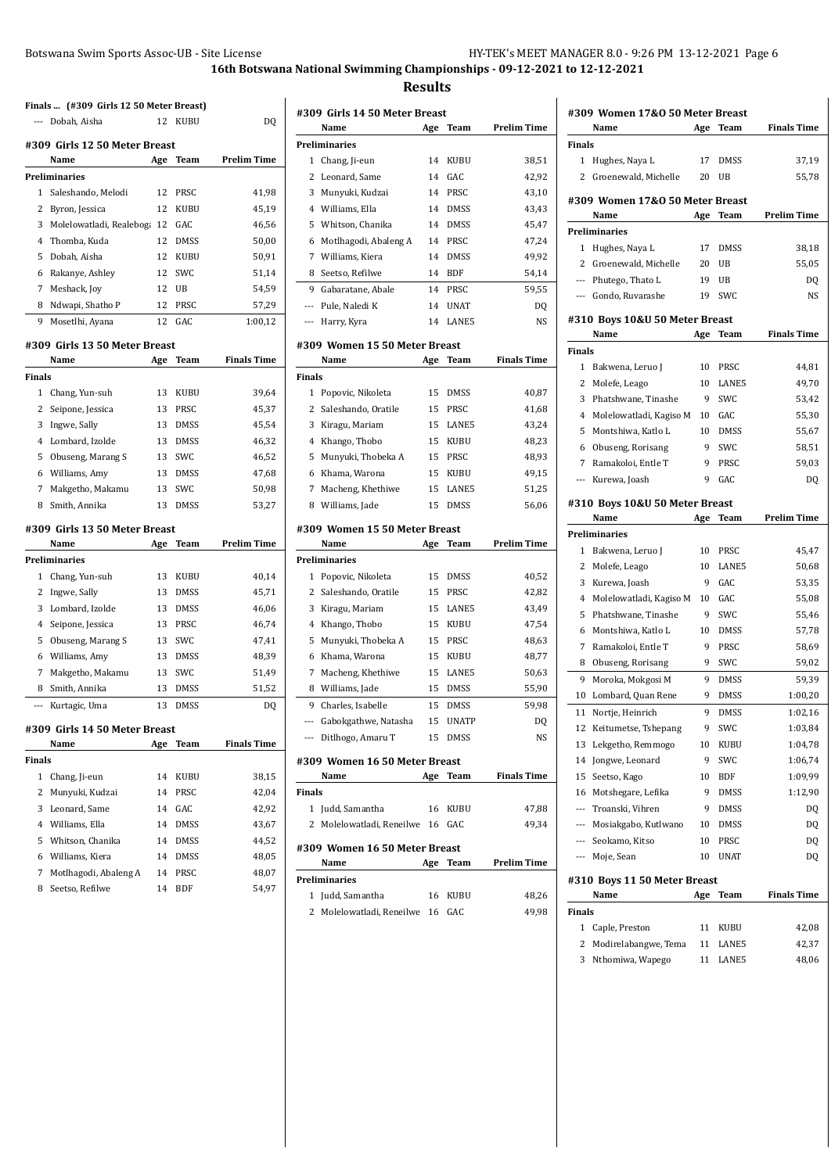**Results**

|                | Finals  (#309 Girls 12 50 Meter Breast) |     |             |                    |
|----------------|-----------------------------------------|-----|-------------|--------------------|
|                | --- Dobah, Aisha                        | 12  | <b>KUBU</b> | D <sub>0</sub>     |
|                | #309 Girls 12 50 Meter Breast           |     |             |                    |
|                | Name                                    | Age | Team        | <b>Prelim Time</b> |
|                | Preliminaries                           |     |             |                    |
| 1              | Saleshando, Melodi                      | 12  | PRSC        | 41,98              |
| $\overline{c}$ | Byron, Jessica                          | 12  | KUBU        | 45,19              |
| 3              | Molelowatladi, Realeboga                | 12  | GAC         | 46,56              |
| 4              | Thomba, Kuda                            | 12  | <b>DMSS</b> | 50,00              |
| 5              | Dobah, Aisha                            | 12  | <b>KUBU</b> | 50,91              |
| 6              | Rakanye, Ashley                         | 12  | SWC         | 51,14              |
| 7              | Meshack, Joy                            | 12  | UB          | 54,59              |
| 8              | Ndwapi, Shatho P                        | 12  | PRSC        | 57,29              |
| 9              | Mosetlhi, Ayana                         | 12  | GAC         | 1:00,12            |
|                | #309 Girls 13 50 Meter Breast           |     |             |                    |
|                | Name                                    | Age | Team        | <b>Finals Time</b> |
| Finals         |                                         |     |             |                    |
| 1              | Chang, Yun-suh                          | 13  | KUBU        | 39,64              |
| 2              | Seipone, Jessica                        | 13  | PRSC        | 45,37              |
| 3              | Ingwe, Sally                            | 13  | <b>DMSS</b> | 45,54              |
| 4              | Lombard, Izolde                         | 13  | <b>DMSS</b> | 46,32              |
| 5              | Obuseng, Marang S                       | 13  | SWC         | 46,52              |
| 6              | Williams, Amy                           | 13  | <b>DMSS</b> | 47,68              |
| 7              | Makgetho, Makamu                        | 13  | SWC         | 50,98              |
| 8              | Smith, Annika                           | 13  | <b>DMSS</b> | 53,27              |
|                |                                         |     |             |                    |
|                | #309 Girls 13 50 Meter Breast           |     |             |                    |
|                | Name                                    | Age | Team        | <b>Prelim Time</b> |
|                | Preliminaries                           |     |             |                    |
| 1              | Chang, Yun-suh                          | 13  | KUBU        | 40,14              |
| 2              | Ingwe, Sally                            | 13  | <b>DMSS</b> | 45,71              |
| 3              | Lombard, Izolde                         | 13  | <b>DMSS</b> | 46,06              |
| 4              | Seipone, Jessica                        | 13  | PRSC        | 46,74              |
| 5              | Obuseng, Marang S                       | 13  | SWC         | 47,41              |
| 6              | Williams, Amy                           | 13  | <b>DMSS</b> | 48,39              |
| 7              | Makgetho, Makamu                        | 13  | SWC         | 51,49              |
| 8              | Smith, Annika                           | 13  | <b>DMSS</b> | 51,52              |
| ---            | Kurtagic, Uma                           | 13  | <b>DMSS</b> | DQ                 |
|                | #309 Girls 14 50 Meter Breast           |     |             |                    |
|                | Name                                    | Age | Team        | <b>Finals Time</b> |
| Finals         |                                         |     |             |                    |
| 1              | Chang, Ji-eun                           | 14  | KUBU        | 38,15              |
| 2              | Munyuki, Kudzai                         | 14  | PRSC        | 42,04              |
| 3              | Leonard, Same                           | 14  | GAC         | 42,92              |
| 4              | Williams, Ella                          | 14  | DMSS        | 43,67              |
| 5              | Whitson, Chanika                        | 14  | DMSS        | 44,52              |
| 6              | Williams, Kiera                         | 14  | DMSS        | 48,05              |
| 7              | Motlhagodi, Abaleng A                   | 14  | PRSC        | 48,07              |
| 8              | Seetso, Refilwe                         | 14  | BDF         | 54,97              |
|                |                                         |     |             |                    |

|       | #309 Girls 14 50 Meter Breast |     |             |             |
|-------|-------------------------------|-----|-------------|-------------|
|       | Name                          | Age | Team        | Prelim Time |
|       | <b>Preliminaries</b>          |     |             |             |
| 1     | Chang, Ji-eun                 | 14  | <b>KUBU</b> | 38,51       |
| 2     | Leonard, Same                 | 14  | GAC         | 42,92       |
| 3     | Munyuki, Kudzai               | 14  | <b>PRSC</b> | 43,10       |
| 4     | Williams, Ella                | 14  | <b>DMSS</b> | 43.43       |
|       | 5 Whitson, Chanika            | 14  | <b>DMSS</b> | 45,47       |
| 6     | Motlhagodi, Abaleng A         | 14  | PRSC        | 47.24       |
| 7     | Williams, Kiera               | 14  | <b>DMSS</b> | 49,92       |
| 8     | Seetso, Refilwe               | 14  | <b>BDF</b>  | 54,14       |
| 9     | Gabaratane, Abale             | 14  | <b>PRSC</b> | 59,55       |
| $---$ | Pule, Naledi K                | 14  | <b>UNAT</b> | DQ          |
|       | Harry, Kyra                   | 14  | LANE5       | NS          |
|       | #309 Women 15 50 Meter Breast |     |             |             |

|        | Name                  | Age | Team        | <b>Finals Time</b> |
|--------|-----------------------|-----|-------------|--------------------|
| Finals |                       |     |             |                    |
| 1      | Popovic, Nikoleta     | 15  | <b>DMSS</b> | 40,87              |
|        | 2 Saleshando, Oratile | 15  | <b>PRSC</b> | 41,68              |
| 3      | Kiragu, Mariam        |     | 15 LANE5    | 43,24              |
|        | 4 Khango, Thobo       | 15  | <b>KUBU</b> | 48,23              |
|        | 5 Munyuki, Thobeka A  | 15  | <b>PRSC</b> | 48,93              |
|        | 6 Khama, Warona       | 15  | <b>KUBU</b> | 49.15              |
| 7      | Macheng, Khethiwe     | 15  | LANE5       | 51,25              |
| 8      | Williams, Jade        | 15  | <b>DMSS</b> | 56.06              |

#### **#309 Women 15 50 Meter Breast**

|     | Name                          | Age | Team         | Prelim Time        |
|-----|-------------------------------|-----|--------------|--------------------|
|     | Preliminaries                 |     |              |                    |
| 1   | Popovic, Nikoleta             | 15  | <b>DMSS</b>  | 40,52              |
| 2   | Saleshando, Oratile           | 15  | PRSC         | 42,82              |
| 3   | Kiragu, Mariam                | 15  | LANE5        | 43,49              |
| 4   | Khango, Thobo                 | 15  | <b>KUBU</b>  | 47,54              |
| 5   | Munyuki, Thobeka A            | 15  | PRSC         | 48,63              |
| 6   | Khama, Warona                 | 15  | <b>KUBU</b>  | 48,77              |
| 7   | Macheng, Khethiwe             | 15  | LANE5        | 50,63              |
| 8   | Williams, Jade                | 15  | <b>DMSS</b>  | 55,90              |
| 9   | Charles, Isabelle             | 15  | <b>DMSS</b>  | 59,98              |
| --- | Gabokgathwe, Natasha          | 15  | <b>UNATP</b> | DQ                 |
|     | Ditlhogo, Amaru T             | 15  | <b>DMSS</b>  | NS                 |
|     | #309 Women 16 50 Meter Breast |     |              |                    |
|     | Name                          | Age | Team         | <b>Finals Time</b> |

|        | Name                             | Age | Team    | <b>Finals Time</b> |
|--------|----------------------------------|-----|---------|--------------------|
| Finals |                                  |     |         |                    |
|        | 1 Judd, Samantha                 |     | 16 KUBU | 47,88              |
|        | 2 Molelowatladi, Reneilwe 16 GAC |     |         | 49.34              |
|        | #309 Women 16 50 Meter Breast    |     |         |                    |
|        | Name                             | Age | Team    | <b>Prelim Time</b> |
|        | Preliminaries                    |     |         |                    |
|        | 1 Judd, Samantha                 | 16  | KUBU    | 48.26              |

| 1 Judd, Samantha                 | 10 KUBU | 48.ZD |
|----------------------------------|---------|-------|
| 2 Molelowatladi, Reneilwe 16 GAC |         | 49.98 |

|                | Name                            | Age | Team        | <b>Finals Time</b> |
|----------------|---------------------------------|-----|-------------|--------------------|
| <b>Finals</b>  |                                 |     |             |                    |
| 1              | Hughes, Naya L                  | 17  | <b>DMSS</b> | 37,19              |
| 2              | Groenewald, Michelle            | 20  | UB          | 55,78              |
|                |                                 |     |             |                    |
|                | #309 Women 17&0 50 Meter Breast |     |             |                    |
|                | Name                            | Age | Team        | <b>Prelim Time</b> |
|                | <b>Preliminaries</b>            |     |             |                    |
| 1              | Hughes, Naya L                  | 17  | DMSS        | 38,18              |
| 2              | Groenewald, Michelle            | 20  | UB          | 55,05              |
|                | --- Phutego, Thato L            | 19  | UB          | DQ                 |
| ---            | Gondo, Ruvarashe                | 19  | SWC         | NS                 |
|                | #310 Boys 10&U 50 Meter Breast  |     |             |                    |
|                | Name                            | Age | Team        | <b>Finals Time</b> |
| <b>Finals</b>  |                                 |     |             |                    |
| 1              | Bakwena, Leruo J                | 10  | PRSC        | 44,81              |
| 2              | Molefe, Leago                   | 10  | LANE5       | 49,70              |
| 3              | Phatshwane, Tinashe             | 9   | <b>SWC</b>  | 53,42              |
| $\overline{4}$ | Molelowatladi, Kagiso M         | 10  | GAC         | 55,30              |
| 5              | Montshiwa, Katlo L              | 10  | DMSS        | 55,67              |
| 6              | Obuseng, Rorisang               | 9   | <b>SWC</b>  | 58,51              |
| 7              | Ramakoloi, Entle T              | 9   | PRSC        | 59,03              |
| ---            | Kurewa, Joash                   | 9   | GAC         | DQ                 |
|                |                                 |     |             |                    |
|                | #310 Boys 10&U 50 Meter Breast  |     |             |                    |
|                | Name                            | Age | Team        | <b>Prelim Time</b> |
|                | Preliminaries                   |     |             |                    |
| 1              | Bakwena, Leruo J                | 10  | PRSC        | 45,47              |
| 2              | Molefe, Leago                   | 10  | LANE5       | 50,68              |
| 3              | Kurewa, Joash                   | 9   | GAC         | 53,35              |
| $\overline{4}$ | Molelowatladi, Kagiso M         | 10  | GAC         | 55,08              |
| 5              | Phatshwane, Tinashe             | 9   | <b>SWC</b>  | 55,46              |
| 6              | Montshiwa, Katlo L              | 10  | DMSS        | 57,78              |
| 7              | Ramakoloi, Entle T              | 9   | PRSC        | 58,69              |
| 8              | Obuseng, Rorisang               | 9   | <b>SWC</b>  | 59,02              |
| 9              | Moroka, Mokgosi M               | 9   | <b>DMSS</b> | 59,39              |
| 10             | Lombard, Quan Rene              | 9   | DMSS        | 1:00,20            |
| 11             | Nortje, Heinrich                | 9   | <b>DMSS</b> | 1:02,16            |
| 12             | Keitumetse, Tshepang            | 9   | SWC         | 1:03,84            |
| 13             | Lekgetho, Remmogo               | 10  | KUBU        | 1:04,78            |
| 14             | Jongwe, Leonard                 | 9   | SWC         | 1:06,74            |
| 15             | Seetso, Kago                    | 10  | <b>BDF</b>  | 1:09,99            |
| 16             | Motshegare, Lefika              | 9   | <b>DMSS</b> | 1:12,90            |
| ---            | Troanski, Vihren                | 9   | <b>DMSS</b> | DO                 |
| ---            | Mosiakgabo, Kutlwano            | 10  | <b>DMSS</b> | DQ                 |
|                | --- Seokamo, Kitso              | 10  | PRSC        | DQ                 |
| ---            | Moje, Sean                      | 10  | <b>UNAT</b> | DQ                 |
|                |                                 |     |             |                    |
|                | #310 Boys 11 50 Meter Breast    |     |             |                    |
|                | Name                            | Age | Team        | <b>Finals Time</b> |
| <b>Finals</b>  |                                 |     |             |                    |
| 1              | Caple, Preston                  | 11  | KUBU        | 42,08              |
| 2              | Modirelabangwe, Tema            | 11  | LANE5       | 42,37              |
| 3              | Nthomiwa, Wapego                | 11  | LANE5       | 48,06              |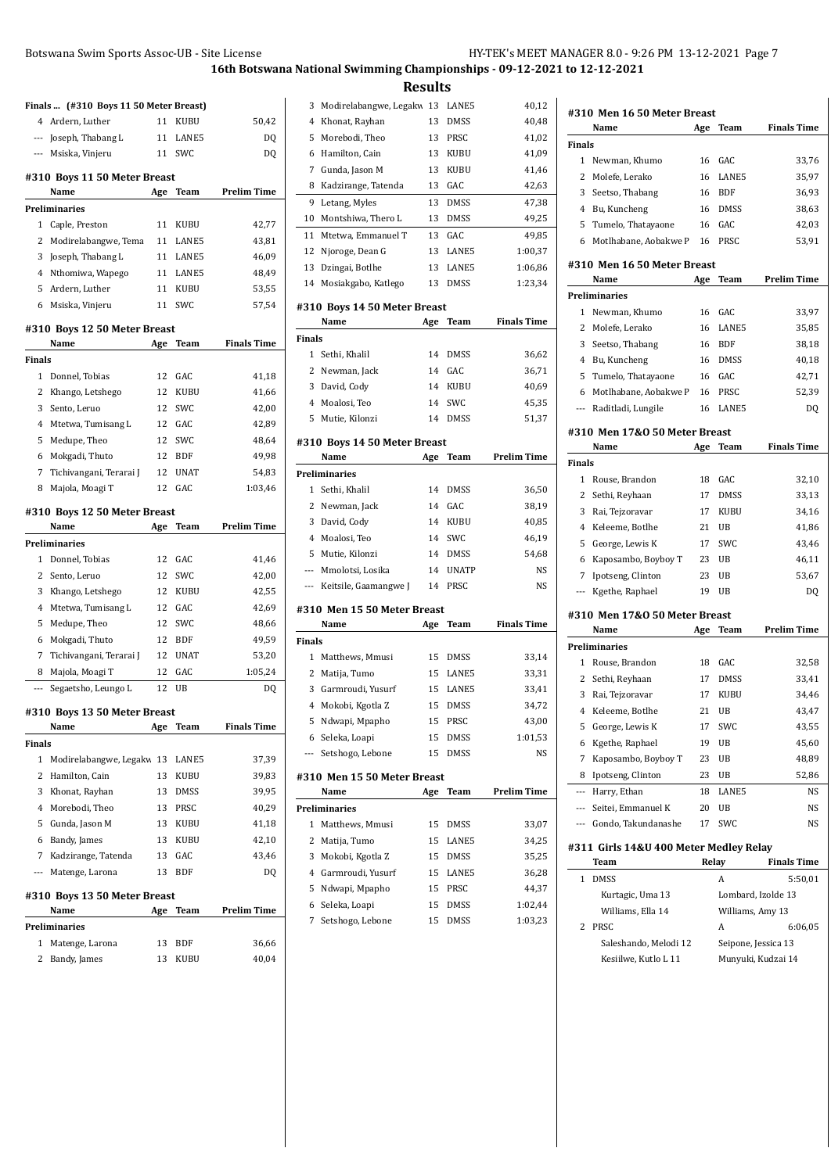**Results**

|                          | Finals  (#310 Boys 11 50 Meter Breast) |     |             |                    |
|--------------------------|----------------------------------------|-----|-------------|--------------------|
| $4^{\circ}$              | Ardern, Luther                         | 11  | <b>KUBU</b> | 50,42              |
|                          | --- Joseph, Thabang L                  | 11  | LANE5       | DQ                 |
| $\qquad \qquad -$        | Msiska, Vinjeru                        | 11  | SWC         | DQ                 |
|                          |                                        |     |             |                    |
|                          | #310 Boys 11 50 Meter Breast<br>Name   | Age | Team        | <b>Prelim Time</b> |
|                          | Preliminaries                          |     |             |                    |
| 1                        | Caple, Preston                         | 11  | KUBU        | 42,77              |
| 2                        | Modirelabangwe, Tema                   | 11  | LANE5       | 43,81              |
| 3                        | Joseph, Thabang L                      | 11  | LANE5       | 46,09              |
| 4                        | Nthomiwa, Wapego                       | 11  | LANE5       | 48,49              |
| 5                        | Ardern, Luther                         | 11  | KUBU        | 53,55              |
| 6                        | Msiska, Vinjeru                        | 11  | SWC         | 57,54              |
|                          |                                        |     |             |                    |
|                          | #310 Boys 12 50 Meter Breast<br>Name   | Age | Team        | <b>Finals Time</b> |
| Finals                   |                                        |     |             |                    |
| 1                        | Donnel, Tobias                         | 12  | GAC         | 41,18              |
| 2                        | Khango, Letshego                       | 12  | KUBU        | 41,66              |
| 3                        | Sento, Leruo                           | 12  | SWC         | 42,00              |
| $\overline{4}$           | Mtetwa, Tumisang L                     | 12  | GAC         | 42,89              |
| 5                        | Medupe, Theo                           | 12  | SWC         | 48,64              |
| 6                        | Mokgadi, Thuto                         | 12  | <b>BDF</b>  | 49,98              |
| 7                        | Tichivangani, Terarai J                | 12  | <b>UNAT</b> | 54,83              |
| 8                        | Majola, Moagi T                        | 12  | GAC         | 1:03,46            |
|                          |                                        |     |             |                    |
|                          | #310 Boys 12 50 Meter Breast<br>Name   | Age | Team        | <b>Prelim Time</b> |
|                          | Preliminaries                          |     |             |                    |
| 1                        | Donnel, Tobias                         | 12  | GAC         | 41,46              |
| 2                        | Sento, Leruo                           | 12  | SWC         | 42,00              |
| 3                        | Khango, Letshego                       | 12  | KUBU        | 42,55              |
| $\overline{4}$           | Mtetwa, Tumisang L                     | 12  | GAC         | 42,69              |
| 5                        | Medupe, Theo                           | 12  | SWC         | 48,66              |
| 6                        | Mokgadi, Thuto                         | 12  | <b>BDF</b>  | 49,59              |
| 7                        | Tichivangani, Terarai J                | 12  | <b>UNAT</b> | 53,20              |
| 8                        | Majola, Moagi T                        | 12  | GAC         | 1:05,24            |
| $\overline{\phantom{a}}$ | Segaetsho, Leungo L                    | 12  | UB          | DQ                 |
|                          | #310 Boys 13 50 Meter Breast           |     |             |                    |
|                          | Name                                   | Age | Team        | <b>Finals Time</b> |
| Finals                   |                                        |     |             |                    |
| 1                        | Modirelabangwe, Legakw 13              |     | LANE5       | 37,39              |
| 2                        | Hamilton, Cain                         | 13  | KUBU        | 39,83              |
| 3                        | Khonat, Rayhan                         | 13  | DMSS        | 39,95              |
| 4                        | Morebodi, Theo                         | 13  | PRSC        | 40,29              |
| 5                        | Gunda, Jason M                         | 13  | KUBU        | 41,18              |
| 6                        | Bandy, James                           | 13  | KUBU        | 42,10              |
| 7                        | Kadzirange, Tatenda                    | 13  | GAC         | 43,46              |
| $\overline{\phantom{a}}$ | Matenge, Larona                        | 13  | <b>BDF</b>  | DQ                 |
|                          | #310 Boys 13 50 Meter Breast           |     |             |                    |
|                          | Name                                   | Age | Team        | <b>Prelim Time</b> |
|                          | Preliminaries                          |     |             |                    |
| 1                        | Matenge, Larona                        | 13  | BDF         | 36,66              |
| 2                        | Bandy, James                           | 13  | KUBU        | 40,04              |
|                          |                                        |     |             |                    |

| 3            | Modirelabangwe, Legakw 13            |     | LANE5        | 40,12              |
|--------------|--------------------------------------|-----|--------------|--------------------|
| 4            | Khonat, Rayhan                       | 13  | <b>DMSS</b>  | 40,48              |
| 5            | Morebodi, Theo                       | 13  | PRSC         | 41,02              |
| 6            | Hamilton, Cain                       | 13  | KUBU         | 41,09              |
| 7            | Gunda, Jason M                       | 13  | KUBU         | 41,46              |
| 8            | Kadzirange, Tatenda                  | 13  | GAC          | 42,63              |
| 9            | Letang, Myles                        | 13  | <b>DMSS</b>  | 47,38              |
| 10           | Montshiwa, Thero L                   | 13  | DMSS         | 49,25              |
| 11           | Mtetwa, Emmanuel T                   | 13  | GAC          | 49,85              |
| 12           | Njoroge, Dean G                      | 13  | LANE5        | 1:00.37            |
| 13           | Dzingai, Botlhe                      | 13  | LANE5        | 1:06,86            |
| 14           | Mosiakgabo, Katlego                  | 13  | <b>DMSS</b>  | 1:23,34            |
|              |                                      |     |              |                    |
|              | #310 Boys 14 50 Meter Breast<br>Name |     | Team         | <b>Finals Time</b> |
| Finals       |                                      | Age |              |                    |
| $\mathbf{1}$ | Sethi, Khalil                        | 14  | <b>DMSS</b>  | 36,62              |
| $\mathbf{2}$ | Newman, Jack                         | 14  | GAC          | 36,71              |
| 3            | David, Cody                          | 14  | KUBU         | 40,69              |
|              | 4 Moalosi, Teo                       | 14  | SWC          | 45,35              |
| 5            | Mutie, Kilonzi                       | 14  | DMSS         | 51,37              |
|              |                                      |     |              |                    |
|              | #310 Boys 14 50 Meter Breast         |     |              |                    |
|              | Name                                 | Age | Team         | Prelim Time        |
|              | <b>Preliminaries</b>                 |     |              |                    |
| 1            | Sethi, Khalil                        | 14  | <b>DMSS</b>  | 36,50              |
| 2            | Newman, Jack                         | 14  | GAC          | 38,19              |
| 3            | David, Cody                          | 14  | KUBU         | 40,85              |
| $4^{\circ}$  | Moalosi, Teo                         | 14  | SWC          | 46,19              |
|              | 5 Mutie, Kilonzi                     | 14  | DMSS         | 54,68              |
|              | --- Mmolotsi, Losika                 | 14  | <b>UNATP</b> | NS.                |
|              | --- Keitsile, Gaamangwe J            | 14  | PRSC         | NS                 |
|              | #310  Men 15 50 Meter Breast         |     |              |                    |
|              | Name                                 | Age | Team         | <b>Finals Time</b> |
| Finals       |                                      |     |              |                    |
|              | 1 Matthews, Mmusi                    | 15  | DMSS         | 33,14              |
| 2            | Matija, Tumo                         | 15  | LANE5        | 33,31              |
| 3            | Garmroudi, Yusurf                    | 15  | LANE5        | 33,41              |
| $^{4}$       | Mokobi, Kgotla Z                     | 15  | <b>DMSS</b>  | 34,72              |
| 5            | Ndwapi, Mpapho                       | 15  | PRSC         | 43,00              |
| 6            | Seleka, Loapi                        | 15  | DMSS         | 1:01,53            |
| ---          | Setshogo, Lebone                     | 15  | DMSS         | NS                 |
|              | #310 Men 15 50 Meter Breast          |     |              |                    |
|              | Name                                 | Age | Team         | <b>Prelim Time</b> |
|              | <b>Preliminaries</b>                 |     |              |                    |
| 1            | Matthews, Mmusi                      | 15  | <b>DMSS</b>  | 33,07              |
| 2            | Matija, Tumo                         | 15  | LANE5        | 34,25              |
| 3            | Mokobi, Kgotla Z                     | 15  | DMSS         | 35,25              |
| 4            | Garmroudi, Yusurf                    | 15  | LANE5        | 36,28              |
| 5            | Ndwapi, Mpapho                       | 15  | PRSC         | 44,37              |
| 6            | Seleka, Loapi                        | 15  | DMSS         | 1:02,44            |
| 7            | Setshogo, Lebone                     | 15  | DMSS         | 1:03,23            |
|              |                                      |     |              |                    |

|               | #310 Men 16 50 Meter Breast<br>Name    |       |                  | <b>Finals Time</b> |
|---------------|----------------------------------------|-------|------------------|--------------------|
| <b>Finals</b> |                                        | Age   | Team             |                    |
| 1             | Newman, Khumo                          | 16    | GAC              | 33,76              |
| 2             | Molefe, Lerako                         | 16    | LANE5            | 35,97              |
| 3             | Seetso, Thabang                        | 16    | BDF              | 36,93              |
| 4             |                                        | 16    | <b>DMSS</b>      |                    |
|               | Bu, Kuncheng                           |       |                  | 38,63              |
| 5             | Tumelo, Thatayaone                     | 16    | GAC              | 42,03              |
| 6             | Motlhabane, Aobakwe P                  | 16    | PRSC             | 53,91              |
|               | #310 Men 16 50 Meter Breast            |       |                  |                    |
|               | Name                                   | Age   | Team             | <b>Prelim Time</b> |
|               | Preliminaries                          |       |                  |                    |
| 1             | Newman, Khumo                          | 16    | GAC              | 33,97              |
| 2             | Molefe, Lerako                         | 16    | LANE5            | 35,85              |
| 3             | Seetso, Thabang                        | 16    | BDF              | 38,18              |
| 4             | Bu, Kuncheng                           | 16    | <b>DMSS</b>      | 40,18              |
| 5             | Tumelo, Thatayaone                     | 16    | GAC              | 42,71              |
| 6             | Motlhabane, Aobakwe P                  | 16    | PRSC             | 52,39              |
| $---$         | Raditladi, Lungile                     | 16    | LANE5            | D <sub>0</sub>     |
|               | #310 Men 17&0 50 Meter Breast          |       |                  |                    |
|               | Name                                   | Age   | Team             | Finals Time        |
| Finals        |                                        |       |                  |                    |
| 1             | Rouse, Brandon                         | 18    | GAC              | 32,10              |
| 2             | Sethi, Reyhaan                         | 17    | DMSS             | 33,13              |
| 3             | Rai, Tejzoravar                        | 17    | KUBU             | 34,16              |
| 4             | Keleeme, Botlhe                        | 21    | UB               | 41,86              |
| 5             | George, Lewis K                        | 17    | SWC              | 43,46              |
| 6             | Kaposambo, Boyboy T                    | 23    | UB               | 46,11              |
| 7             | Ipotseng, Clinton                      | 23    | UB               | 53,67              |
| ---           | Kgethe, Raphael                        | 19    | UB               | DQ                 |
|               |                                        |       |                  |                    |
|               | #310 Men 17&0 50 Meter Breast          |       |                  |                    |
|               | Name                                   | Age   | Team             | Prelim Time        |
|               | Preliminaries                          |       |                  |                    |
| $\mathbf{1}$  | Rouse, Brandon                         | 18    | GAC              | 32,58              |
| 2             | Sethi, Reyhaan                         | 17    | <b>DMSS</b>      | 33,41              |
| 3             | Rai, Tejzoravar                        | 17    | KUBU             | 34,46              |
| 4             | Keleeme, Botlhe                        | 21    | UB               | 43,47              |
|               | 5 George, Lewis K                      | 17    | SWC              | 43,55              |
| 6             | Kgethe, Raphael                        | 19    | UB               | 45,60              |
| 7             | Kaposambo, Boyboy T                    | 23    | UB               | 48,89              |
| 8             | Ipotseng, Clinton                      | 23    | UB               | 52,86              |
| ---           | Harry, Ethan                           | 18    | LANE5            | NS                 |
| ---           | Seitei, Emmanuel K                     | 20    | UB               | NS                 |
| $---$         | Gondo, Takundanashe                    | 17    | SWC              | NS                 |
|               | #311 Girls 14&U 400 Meter Medley Relay |       |                  |                    |
|               | Team                                   | Relay |                  | <b>Finals Time</b> |
| 1             | DMSS                                   |       | A                | 5:50,01            |
|               | Kurtagic, Uma 13                       |       |                  | Lombard, Izolde 13 |
|               | Williams, Ella 14                      |       | Williams, Amy 13 |                    |
|               |                                        |       |                  |                    |

2 PRSC A 6:06,05 Saleshando, Melodi 12 Seipone, Jessica 13 Kesiilwe, Kutlo L 11 Munyuki, Kudzai 14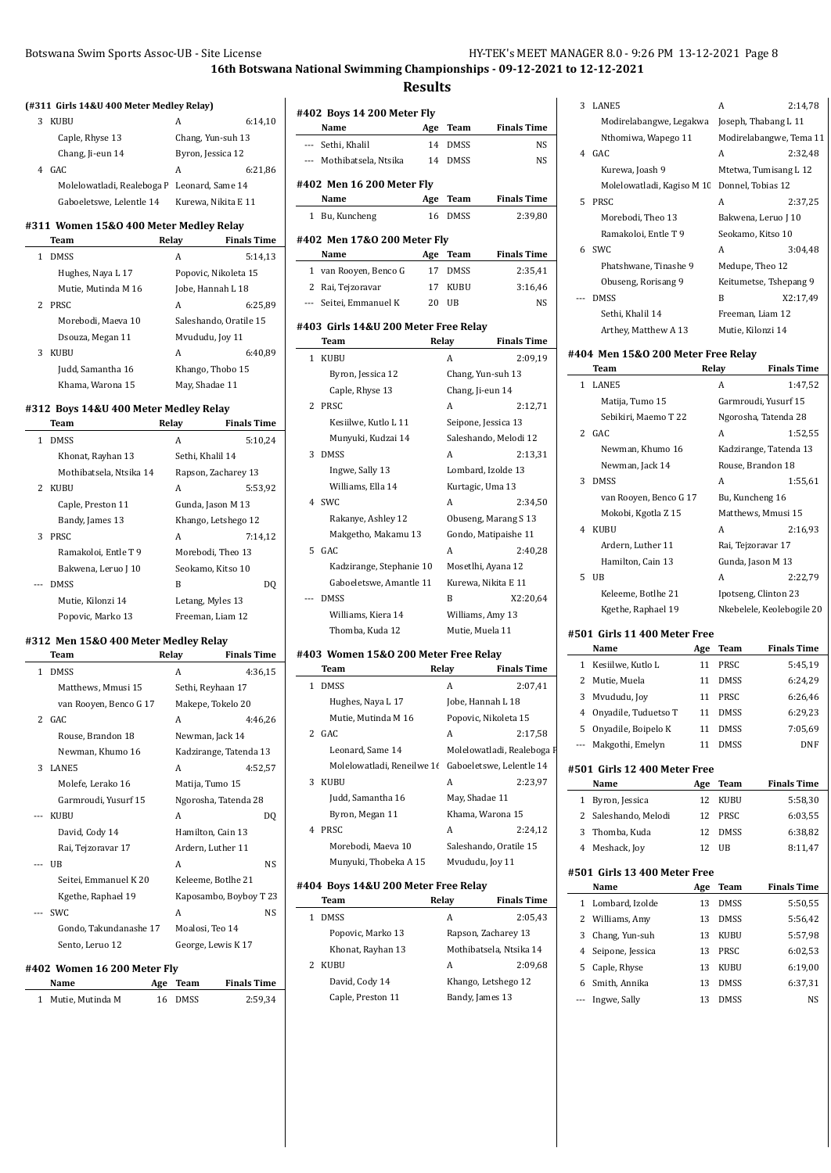**Results**

| 3 KUBU |                  |                   | 6: |
|--------|------------------|-------------------|----|
|        | Caple, Rhyse 13  | Chang, Yun-suh 13 |    |
|        | Chang, Ji-eun 14 | Byron, Jessica 12 |    |

**(#311 Girls 14&U 400 Meter Medley Relay)**

| Chang, Ji-eun 14                            | Byron, Jessica 12   |         |
|---------------------------------------------|---------------------|---------|
| 4 GAC                                       | А                   | 6:21,86 |
| Molelowatladi, Realeboga F Leonard, Same 14 |                     |         |
| Gaboeletswe, Lelentle 14                    | Kurewa, Nikita E 11 |         |

 $6:14,10$ 

#### **#311 Women 15&O 400 Meter Medley Relay**

|   | Team                | Relay           | <b>Finals Time</b>     |
|---|---------------------|-----------------|------------------------|
|   | <b>DMSS</b>         | А               | 5:14.13                |
|   | Hughes, Naya L 17   |                 | Popovic, Nikoleta 15   |
|   | Mutie, Mutinda M 16 |                 | Jobe, Hannah L 18      |
| 2 | <b>PRSC</b>         | А               | 6:25.89                |
|   | Morebodi, Maeva 10  |                 | Saleshando, Oratile 15 |
|   | Dsouza, Megan 11    | Mvududu, Joy 11 |                        |
| 3 | <b>KUBU</b>         | A               | 6:40.89                |
|   | Judd, Samantha 16   |                 | Khango, Thobo 15       |
|   | Khama, Warona 15    | May, Shadae 11  |                        |

#### **#312 Boys 14&U 400 Meter Medley Relay**

|    | Team                    | Relay               | <b>Finals Time</b> |
|----|-------------------------|---------------------|--------------------|
| 1. | <b>DMSS</b>             | A                   | 5:10,24            |
|    | Khonat, Rayhan 13       | Sethi, Khalil 14    |                    |
|    | Mothibatsela, Ntsika 14 | Rapson, Zacharey 13 |                    |
|    | 2 KUBU                  | A                   | 5:53,92            |
|    | Caple, Preston 11       | Gunda, Jason M 13   |                    |
|    | Bandy, James 13         | Khango, Letshego 12 |                    |
| 3  | PRSC                    | A                   | 7:14.12            |
|    | Ramakoloi, Entle T 9    | Morebodi, Theo 13   |                    |
|    | Bakwena, Leruo J 10     | Seokamo, Kitso 10   |                    |
|    | <b>DMSS</b>             | B                   | DO                 |
|    | Mutie, Kilonzi 14       | Letang, Myles 13    |                    |
|    | Popovic, Marko 13       | Freeman, Liam 12    |                    |

### **#312 Men 15&O 400 Meter Medley Relay**

|   | Team                   | Relay           | <b>Finals Time</b>     |
|---|------------------------|-----------------|------------------------|
| 1 | <b>DMSS</b>            | A               | 4:36.15                |
|   | Matthews, Mmusi 15     |                 | Sethi, Reyhaan 17      |
|   | van Rooyen, Benco G 17 |                 | Makepe, Tokelo 20      |
|   | $2$ GAC                | A               | 4:46.26                |
|   | Rouse, Brandon 18      | Newman, Jack 14 |                        |
|   | Newman, Khumo 16       |                 | Kadzirange, Tatenda 13 |
| 3 | LANE5                  | A               | 4:52,57                |
|   | Molefe, Lerako 16      | Matija, Tumo 15 |                        |
|   | Garmroudi, Yusurf 15   |                 | Ngorosha, Tatenda 28   |
|   | <b>KUBU</b>            | A               | DO                     |
|   | David, Cody 14         |                 | Hamilton, Cain 13      |
|   | Rai, Tejzoravar 17     |                 | Ardern, Luther 11      |
|   | UB                     | A               | NS.                    |
|   | Seitei, Emmanuel K 20  |                 | Keleeme, Botlhe 21     |
|   | Kgethe, Raphael 19     |                 | Kaposambo, Boyboy T 23 |
|   | SWC.                   | A               | NS.                    |
|   | Gondo, Takundanashe 17 | Moalosi, Teo 14 |                        |
|   | Sento, Leruo 12        |                 | George, Lewis K 17     |
|   |                        |                 |                        |

### **#402 Women 16 200 Meter Fly**

| Name               | Age Team | <b>Finals Time</b> |
|--------------------|----------|--------------------|
| 1 Mutie, Mutinda M | 16 DMSS  | 2:59,34            |

|              | Name                                  | Age | Team               | <b>Finals Time</b>                |
|--------------|---------------------------------------|-----|--------------------|-----------------------------------|
|              | --- Sethi, Khalil                     | 14  | <b>DMSS</b>        | NS                                |
|              | --- Mothibatsela, Ntsika              | 14  | <b>DMSS</b>        | NS                                |
|              | #402 Men 16 200 Meter Fly             |     |                    |                                   |
|              | Name                                  | Age | Team               | <b>Finals Time</b>                |
|              | 1 Bu, Kuncheng                        | 16  | DMSS               | 2:39,80                           |
|              |                                       |     |                    |                                   |
|              | #402 Men 17&0 200 Meter Fly<br>Name   | Age | Team               | <b>Finals Time</b>                |
|              | 1 van Rooyen, Benco G                 | 17  | DMSS               | 2:35,41                           |
| 2            | Rai, Tejzoravar                       | 17  | KUBU               | 3:16,46                           |
|              | --- Seitei, Emmanuel K                | 20  | UB                 | NS                                |
|              |                                       |     |                    |                                   |
|              | #403  Girls 14&U 200 Meter Free Relay |     |                    |                                   |
|              | Team                                  |     | Relay              | <b>Finals Time</b>                |
| $\mathbf{1}$ | KUBU                                  |     | A                  | 2:09,19                           |
|              | Byron, Jessica 12                     |     |                    | Chang, Yun-suh 13                 |
|              | Caple, Rhyse 13                       |     | Chang, Ji-eun 14   |                                   |
| 2            | PRSC                                  |     | A                  | 2:12,71                           |
|              | Kesiilwe, Kutlo L 11                  |     |                    | Seipone, Jessica 13               |
|              | Munyuki, Kudzai 14                    |     |                    | Saleshando, Melodi 12             |
| 3            | <b>DMSS</b>                           |     | A                  | 2:13,31                           |
|              | Ingwe, Sally 13                       |     | Lombard, Izolde 13 |                                   |
|              | Williams, Ella 14                     |     | Kurtagic, Uma 13   |                                   |
| 4            | SWC                                   |     | A                  | 2:34,50                           |
|              | Rakanye, Ashley 12                    |     |                    | Obuseng, Marang S 13              |
|              | Makgetho, Makamu 13                   |     |                    | Gondo, Matipaishe 11              |
| 5            | GAC                                   |     | A                  | 2:40,28                           |
|              | Kadzirange, Stephanie 10              |     |                    | Mosetlhi, Ayana 12                |
|              | Gaboeletswe, Amantle 11               |     |                    | Kurewa, Nikita E 11               |
|              | <b>DMSS</b>                           |     | B                  | X2:20,64                          |
|              | Williams, Kiera 14                    |     | Williams, Amy 13   |                                   |
|              | Thomba, Kuda 12                       |     | Mutie, Muela 11    |                                   |
|              | #403 Women 15&0 200 Meter Free Relay  |     |                    |                                   |
|              | Team                                  |     | Relay              | <b>Finals Time</b>                |
| 1            | <b>DMSS</b>                           |     | A                  | 2:07,41                           |
|              | Hughes, Naya L 17                     |     |                    | Jobe, Hannah L 18                 |
|              | Mutie, Mutinda M 16                   |     |                    | Popovic, Nikoleta 15              |
| 2            | GAC                                   |     | A                  | 2:17,58                           |
|              | Leonard, Same 14                      |     |                    | Molelowatladi, Realeboga F        |
|              | Molelowatladi, Reneilwe 16            |     |                    | Gaboeletswe, Lelentle 14          |
| 3            | KUBU                                  |     | A                  | 2:23,97                           |
|              | Judd, Samantha 16                     |     | May, Shadae 11     |                                   |
|              |                                       |     |                    |                                   |
|              |                                       |     |                    |                                   |
|              | Byron, Megan 11                       |     |                    | Khama, Warona 15                  |
| 4            | PRSC<br>Morebodi, Maeva 10            |     | A                  | 2:24,12<br>Saleshando, Oratile 15 |

# **#404 Boys 14&U 200 Meter Free Relay**

| Team              | Relay               | <b>Finals Time</b>      |
|-------------------|---------------------|-------------------------|
| <b>DMSS</b>       | A                   | 2:05.43                 |
| Popovic, Marko 13 | Rapson, Zacharey 13 |                         |
| Khonat, Rayhan 13 |                     | Mothibatsela, Ntsika 14 |
| KUBU              | А                   | 2:09.68                 |
| David, Cody 14    | Khango, Letshego 12 |                         |
| Caple, Preston 11 | Bandy, James 13     |                         |
|                   |                     |                         |

| 3     | LANE5                      | A                       | 2:14.78  |
|-------|----------------------------|-------------------------|----------|
|       | Modirelabangwe, Legakwa    | Joseph, Thabang L 11    |          |
|       | Nthomiwa, Wapego 11        | Modirelabangwe, Tema 11 |          |
| 4     | GAC.                       | A                       | 2:32,48  |
|       | Kurewa, Joash 9            | Mtetwa, Tumisang L 12   |          |
|       | Molelowatladi, Kagiso M 10 | Donnel, Tobias 12       |          |
| 5.    | <b>PRSC</b>                | A                       | 2:37,25  |
|       | Morebodi, Theo 13          | Bakwena, Leruo J 10     |          |
|       | Ramakoloi, Entle T 9       | Seokamo, Kitso 10       |          |
| 6     | SWC.                       | A                       | 3:04,48  |
|       | Phatshwane, Tinashe 9      | Medupe, Theo 12         |          |
|       | Obuseng, Rorisang 9        | Keitumetse, Tshepang 9  |          |
| $---$ | <b>DMSS</b>                | B                       | X2:17,49 |
|       | Sethi, Khalil 14           | Freeman, Liam 12        |          |
|       | Arthey, Matthew A 13       | Mutie, Kilonzi 14       |          |

#### **#404 Men 15&O 200 Meter Free Relay**

 $\overline{\phantom{a}}$ 

|     | Team                          | Relay |                      | <b>Finals Time</b>        |
|-----|-------------------------------|-------|----------------------|---------------------------|
| 1   | LANE5                         |       | A                    | 1:47,52                   |
|     | Matija, Tumo 15               |       |                      | Garmroudi, Yusurf 15      |
|     | Sebikiri, Maemo T22           |       |                      | Ngorosha, Tatenda 28      |
| 2   | GAC.                          |       | A                    | 1:52,55                   |
|     | Newman, Khumo 16              |       |                      | Kadzirange, Tatenda 13    |
|     | Newman, Jack 14               |       | Rouse, Brandon 18    |                           |
| 3   | <b>DMSS</b>                   |       | A                    | 1:55,61                   |
|     | van Rooyen, Benco G 17        |       | Bu, Kuncheng 16      |                           |
|     | Mokobi, Kgotla Z 15           |       |                      | Matthews, Mmusi 15        |
| 4   | <b>KUBU</b>                   |       | A                    | 2:16,93                   |
|     | Ardern, Luther 11             |       | Rai, Tejzoravar 17   |                           |
|     | Hamilton, Cain 13             |       | Gunda, Jason M 13    |                           |
| 5   | UB                            |       | A                    | 2:22.79                   |
|     | Keleeme, Botlhe 21            |       | Ipotseng, Clinton 23 |                           |
|     | Kgethe, Raphael 19            |       |                      | Nkebelele, Keolebogile 20 |
|     | #501  Girls 11 400 Meter Free |       |                      |                           |
|     | Name                          | Age   | Team                 | <b>Finals Time</b>        |
| 1   | Kesiilwe, Kutlo L             | 11    | PRSC                 | 5:45,19                   |
| 2   | Mutie, Muela                  | 11    | <b>DMSS</b>          | 6:24,29                   |
| 3   | Mvududu, Joy                  | 11    | PRSC                 | 6:26,46                   |
| 4   | Onyadile, Tuduetso T          | 11    | <b>DMSS</b>          | 6:29,23                   |
| 5   | Onyadile, Boipelo K           | 11    | <b>DMSS</b>          | 7:05,69                   |
| --- | Makgothi, Emelyn              | 11    | <b>DMSS</b>          | DNF                       |
|     | #501 Girls 12 400 Meter Free  |       |                      |                           |
|     | Name                          | Age   | Team                 | <b>Finals Time</b>        |
| 1   | Byron, Jessica                | 12    | KUBU                 | 5:58,30                   |
| 2   | Saleshando, Melodi            | 12    | PRSC                 | 6:03,55                   |

|  | 2 Saleshando, Melodi | 12 PROU | 0.UJ,JJ |
|--|----------------------|---------|---------|
|  | 3 Thomba, Kuda       | 12 DMSS | 6:38.82 |
|  | 4 Meshack, Joy       | 12 UB   | 8:11.47 |
|  |                      |         |         |

# **#501 Girls 13 400 Meter Free**

|    | Name             | Age | Team        | <b>Finals Time</b> |
|----|------------------|-----|-------------|--------------------|
| 1. | Lombard, Izolde  | 13  | <b>DMSS</b> | 5:50,55            |
|    | 2 Williams, Amy  | 13  | <b>DMSS</b> | 5:56,42            |
| 3  | Chang, Yun-suh   | 13  | KUBU        | 5:57,98            |
| 4  | Seipone, Jessica | 13  | PRSC        | 6:02,53            |
| 5. | Caple, Rhyse     | 13  | KUBU        | 6:19,00            |
|    | Smith, Annika    | 13  | <b>DMSS</b> | 6:37,31            |
|    | Ingwe, Sally     | 13  | <b>DMSS</b> | NS                 |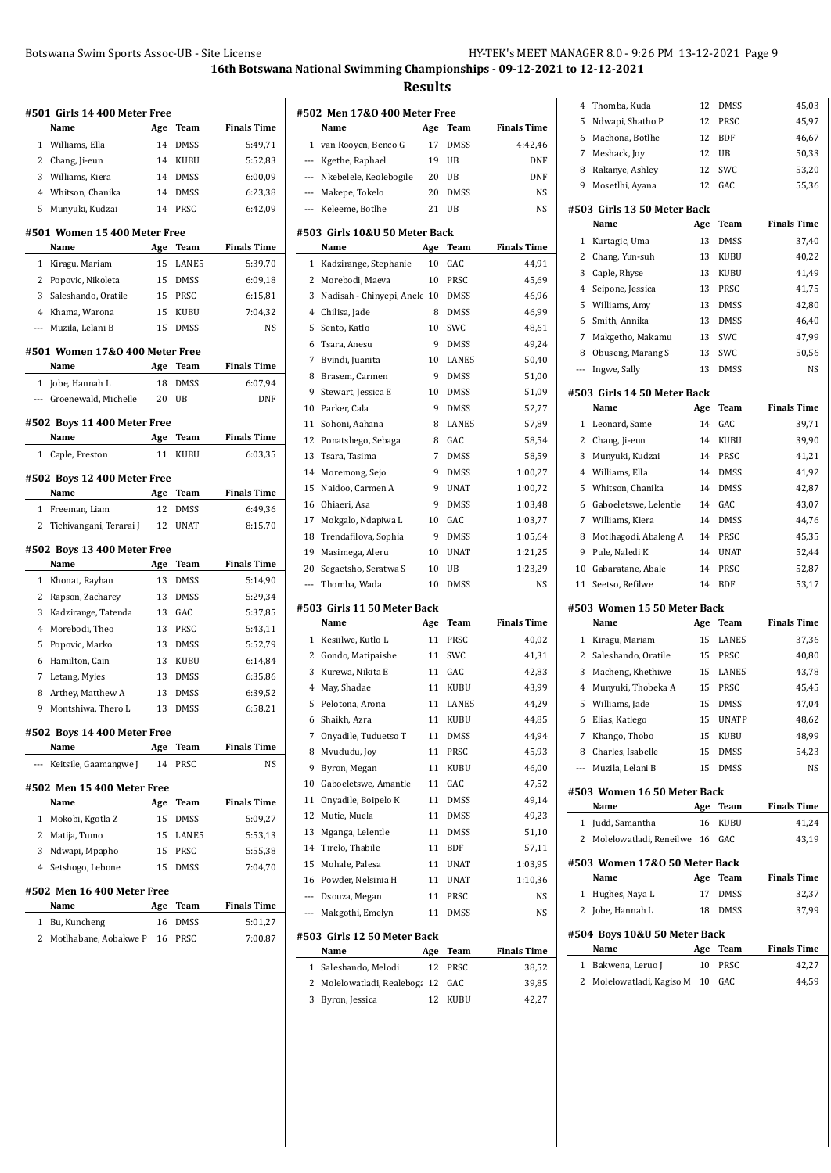|                | #501 Girls 14 400 Meter Free   |     |             |                    |
|----------------|--------------------------------|-----|-------------|--------------------|
|                | Name                           | Age | Team        | <b>Finals Time</b> |
| $\mathbf{1}$   | Williams, Ella                 | 14  | DMSS        | 5:49.71            |
| $\overline{2}$ | Chang, Ji-eun                  | 14  | KUBU        | 5:52,83            |
| 3              | Williams, Kiera                | 14  | DMSS        | 6:00,09            |
|                | 4 Whitson, Chanika             | 14  | <b>DMSS</b> | 6:23,38            |
| 5              | Munyuki, Kudzai                | 14  | PRSC        | 6:42,09            |
|                | #501 Women 15 400 Meter Free   |     |             |                    |
|                | Name                           | Age | <b>Team</b> | <b>Finals Time</b> |
| 1              | Kiragu, Mariam                 | 15  | LANE5       | 5:39.70            |
| 2              | Popovic, Nikoleta              | 15  | <b>DMSS</b> | 6:09,18            |
| 3              | Saleshando, Oratile            | 15  | PRSC        | 6:15,81            |
| $\overline{4}$ | Khama, Warona                  | 15  | KUBU        | 7:04,32            |
| $---$          | Muzila, Lelani B               | 15  | <b>DMSS</b> | NS                 |
|                | #501 Women 17&0 400 Meter Free |     |             |                    |
|                | Name                           | Age | Team        | <b>Finals Time</b> |
| 1              | Jobe, Hannah L                 | 18  | DMSS        | 6:07,94            |
|                | --- Groenewald, Michelle       | 20  | UB          | <b>DNF</b>         |
|                | #502 Boys 11 400 Meter Free    |     |             |                    |
|                | Name                           | Age | Team        | <b>Finals Time</b> |
| 1              | Caple, Preston                 | 11  | KUBU        | 6:03,35            |
|                | #502 Boys 12 400 Meter Free    |     |             |                    |
|                | Name                           | Age | Team        | <b>Finals Time</b> |
| $\mathbf{1}$   | Freeman, Liam                  | 12  | DMSS        | 6:49,36            |
| $\overline{2}$ | Tichivangani, Terarai J        | 12  | <b>UNAT</b> | 8:15,70            |
|                | #502 Boys 13 400 Meter Free    |     |             |                    |
|                | Name                           | Age | Team        | <b>Finals Time</b> |
| 1              | Khonat, Rayhan                 | 13  | DMSS        | 5:14,90            |
| 2              | Rapson, Zacharey               | 13  | <b>DMSS</b> | 5:29,34            |
| 3              | Kadzirange, Tatenda            | 13  | GAC         | 5:37,85            |
| 4              | Morebodi, Theo                 | 13  | PRSC        | 5:43,11            |
| 5              | Popovic, Marko                 | 13  | <b>DMSS</b> | 5:52,79            |
| 6              | Hamilton, Cain                 | 13  | <b>KUBU</b> | 6:14,84            |
| 7              | Letang, Myles                  | 13  | DMSS        | 6:35,86            |
| 8              | Arthey, Matthew A              | 13  | <b>DMSS</b> | 6:39,52            |
| 9              | Montshiwa, Thero L             | 13  | DMSS        | 6:58,21            |
|                | #502 Boys 14 400 Meter Free    |     |             |                    |
|                | Name                           | Age | Team        | <b>Finals Time</b> |
|                | Keitsile, Gaamangwe J          | 14  | PRSC        | NS                 |
|                | #502 Men 15 400 Meter Free     |     |             |                    |
|                | Name                           | Age | Team        | <b>Finals Time</b> |
| 1              | Mokobi, Kgotla Z               | 15  | DMSS        | 5:09,27            |
| 2              | Matija, Tumo                   | 15  | LANE5       | 5:53,13            |
| 3              | Ndwapi, Mpapho                 | 15  | PRSC        | 5:55,38            |
| 4              | Setshogo, Lebone               | 15  | DMSS        | 7:04,70            |
|                | #502 Men 16 400 Meter Free     |     |             |                    |
|                | Name                           | Age | Team        | <b>Finals Time</b> |
| 1              | Bu, Kuncheng                   | 16  | DMSS        | 5:01,27            |
| 2              | Motlhabane, Aobakwe P          | 16  | PRSC        | 7:00,87            |
|                |                                |     |             |                    |

| #502 Men 17&0 400 Meter Free |                                      |     |             |                    |  |  |
|------------------------------|--------------------------------------|-----|-------------|--------------------|--|--|
|                              | Name                                 | Age | Team        | <b>Finals Time</b> |  |  |
| 1                            | van Rooyen, Benco G                  | 17  | <b>DMSS</b> | 4:42,46            |  |  |
|                              | --- Kgethe, Raphael                  | 19  | UB          | DNF                |  |  |
|                              | --- Nkebelele, Keolebogile           | 20  | UB          | DNF                |  |  |
|                              | --- Makepe, Tokelo                   | 20  | DMSS        | NS                 |  |  |
| $---$                        | Keleeme, Botlhe                      | 21  | UB          | NS                 |  |  |
|                              | #503 Girls 10&U 50 Meter Back        |     |             |                    |  |  |
|                              | Name                                 | Age | Team        | <b>Finals Time</b> |  |  |
| 1                            | Kadzirange, Stephanie                | 10  | GAC         | 44,91              |  |  |
| 2                            | Morebodi, Maeva                      | 10  | PRSC        | 45,69              |  |  |
| 3                            | Nadisah - Chinyepi, Anele            | 10  | DMSS        | 46,96              |  |  |
| 4                            | Chilisa, Jade                        | 8   | <b>DMSS</b> | 46,99              |  |  |
| 5                            | Sento, Katlo                         | 10  | SWC         | 48,61              |  |  |
| 6                            | Tsara, Anesu                         | 9   | DMSS        | 49,24              |  |  |
| 7                            | Bvindi, Juanita                      | 10  | LANE5       | 50,40              |  |  |
| 8                            | Brasem, Carmen                       | 9   | <b>DMSS</b> | 51,00              |  |  |
| 9                            | Stewart, Jessica E                   | 10  | <b>DMSS</b> | 51,09              |  |  |
| 10                           | Parker, Cala                         | 9   | <b>DMSS</b> | 52,77              |  |  |
| 11                           | Sohoni, Aahana                       | 8   | LANE5       | 57,89              |  |  |
| 12                           | Ponatshego, Sebaga                   | 8   | GAC         | 58,54              |  |  |
| 13                           | Tsara, Tasima                        | 7   | DMSS        | 58,59              |  |  |
| 14                           | Moremong, Sejo                       | 9   | DMSS        | 1:00,27            |  |  |
| 15                           | Naidoo, Carmen A                     | 9   | <b>UNAT</b> | 1:00,72            |  |  |
| 16                           | Ohiaeri, Asa                         | 9   | <b>DMSS</b> | 1:03,48            |  |  |
| 17                           | Mokgalo, Ndapiwa L                   | 10  | GAC         | 1:03,77            |  |  |
| 18                           | Trendafilova, Sophia                 | 9   | DMSS        | 1:05,64            |  |  |
| 19                           | Masimega, Aleru                      | 10  | <b>UNAT</b> | 1:21,25            |  |  |
| 20                           | Segaetsho, Seratwa S                 | 10  | UB          | 1:23,29            |  |  |
| $\cdots$                     | Thomba, Wada                         | 10  | DMSS        | NS                 |  |  |
|                              | #503 Girls 11 50 Meter Back          |     |             |                    |  |  |
|                              | Name                                 | Age | Team        | <b>Finals Time</b> |  |  |
| 1                            | Kesiilwe, Kutlo L                    | 11  | PRSC        | 40,02              |  |  |
| 2                            | Gondo, Matipaishe                    | 11  | SWC         | 41,31              |  |  |
| 3                            | Kurewa, Nikita E                     | 11  | GAC         | 42,83              |  |  |
| 4                            | May, Shadae                          | 11  | KUBU        | 43,99              |  |  |
| 5                            | Pelotona, Arona                      | 11  | LANE5       | 44,29              |  |  |
| 6                            | Shaikh, Azra                         | 11  | KUBU        | 44,85              |  |  |
| 7                            | Onyadile, Tuduetso T                 | 11  | DMSS        | 44,94              |  |  |
| 8                            | Mvududu, Joy                         | 11  | PRSC        | 45,93              |  |  |
| 9                            | Byron, Megan                         | 11  | KUBU        | 46,00              |  |  |
| 10                           | Gaboeletswe, Amantle                 | 11  | GAC         | 47,52              |  |  |
| 11                           | Onyadile, Boipelo K                  | 11  | DMSS        | 49,14              |  |  |
| 12                           | Mutie, Muela                         | 11  | DMSS        | 49,23              |  |  |
| 13                           | Mganga, Lelentle                     | 11  | DMSS        | 51,10              |  |  |
| 14                           | Tirelo, Thabile                      | 11  | BDF         | 57,11              |  |  |
| 15                           | Mohale, Palesa                       | 11  | UNAT        | 1:03,95            |  |  |
| 16                           | Powder, Nelsinia H                   | 11  | UNAT        | 1:10,36            |  |  |
| $\overline{\phantom{a}}$     | Dsouza, Megan                        | 11  | PRSC        | NS                 |  |  |
| ---                          | Makgothi, Emelyn                     | 11  | DMSS        | NS                 |  |  |
|                              |                                      |     |             |                    |  |  |
|                              | #503  Girls 12 50 Meter Back<br>Name | Age | Team        | <b>Finals Time</b> |  |  |
| 1                            | Saleshando, Melodi                   | 12  | PRSC        | 38,52              |  |  |
| 2                            | Molelowatladi, Realeboga             | 12  | GAC         | 39,85              |  |  |
| 3                            | Byron, Jessica                       | 12  | KUBU        | 42,27              |  |  |
|                              |                                      |     |             |                    |  |  |

| 4            | Thomba, Kuda                        | 12       | DMSS         | 45,03              |
|--------------|-------------------------------------|----------|--------------|--------------------|
| 5            | Ndwapi, Shatho P                    | 12       | PRSC         | 45,97              |
| 6            | Machona, Botlhe                     | 12       | BDF          | 46,67              |
| 7            | Meshack, Joy                        | 12       | UB           | 50,33              |
| 8            | Rakanye, Ashley                     | 12       | SWC          | 53,20              |
| 9            | Mosetlhi, Ayana                     | 12       | GAC          | 55,36              |
|              | #503 Girls 13 50 Meter Back         |          |              |                    |
|              | Name                                | Age      | Team         | <b>Finals Time</b> |
| 1            | Kurtagic, Uma                       | 13       | DMSS         | 37,40              |
| 2            | Chang, Yun-suh                      | 13       | KUBU         | 40,22              |
| 3            | Caple, Rhyse                        | 13       | KUBU         | 41,49              |
| 4            | Seipone, Jessica                    | 13       | PRSC         | 41,75              |
| 5            | Williams, Amy                       | 13       | DMSS         | 42,80              |
| 6            | Smith, Annika                       | 13       | DMSS         | 46,40              |
| 7            | Makgetho, Makamu                    | 13       | SWC          | 47,99              |
| 8            | Obuseng, Marang S                   | 13<br>13 | SWC<br>DMSS  | 50,56<br>NS        |
| ---          | Ingwe, Sally                        |          |              |                    |
|              | #503 Girls 14 50 Meter Back<br>Name | Age      | Team         | <b>Finals Time</b> |
| 1            | Leonard, Same                       | 14       | GAC          | 39,71              |
| 2            | Chang, Ji-eun                       | 14       | KUBU         | 39,90              |
| 3            | Munyuki, Kudzai                     | 14       | PRSC         | 41,21              |
| 4            | Williams, Ella                      | 14       | DMSS         | 41,92              |
| 5            | Whitson, Chanika                    | 14       | DMSS         | 42,87              |
| 6            | Gaboeletswe, Lelentle               | 14       | GAC          | 43,07              |
| 7            | Williams, Kiera                     | 14       | DMSS         | 44,76              |
| 8            | Motlhagodi, Abaleng A               | 14       | PRSC         | 45,35              |
| 9            | Pule, Naledi K                      | 14       | UNAT         | 52,44              |
| 10           | Gabaratane, Abale                   | 14       | PRSC         | 52,87              |
| 11           | Seetso, Refilwe                     | 14       | BDF          | 53,17              |
|              | #503 Women 15 50 Meter Back         |          |              |                    |
|              | Name                                | Age      | Team         | <b>Finals Time</b> |
| 1            | Kiragu, Mariam                      | 15       | LANE5        | 37,36              |
| 2            | Saleshando, Oratile                 | 15       | PRSC         | 40,80              |
| 3            | Macheng, Khethiwe                   | 15       | LANE5        | 43,78              |
| 4            | Munyuki, Thobeka A                  | 15       | PRSC         | 45,45              |
| 5            | Williams, Jade                      | 15       | DMSS         | 47,04              |
|              | 6 Elias, Katlego                    | 15       | <b>UNATP</b> | 48,62              |
| 7            | Khango, Thobo                       | 15       | KUBU         | 48,99              |
| 8            | Charles, Isabelle                   | 15       | DMSS         | 54,23              |
| ---          | Muzila, Lelani B                    | 15       | DMSS         | NS                 |
|              | #503 Women 16 50 Meter Back         |          |              |                    |
|              | Name                                | Age      | Team         | <b>Finals Time</b> |
| 1            | Judd, Samantha                      | 16       | KUBU         | 41,24              |
| 2            | Molelowatladi, Reneilwe             | 16       | GAC          | 43,19              |
|              | #503 Women 17&0 50 Meter Back       |          |              |                    |
|              | Name                                | Age      | Team         | <b>Finals Time</b> |
| $\mathbf{1}$ | Hughes, Naya L                      | 17       | DMSS         | 32,37              |
| 2            | Jobe, Hannah L                      | 18       | DMSS         | 37,99              |
|              | #504 Boys 10&U 50 Meter Back        |          |              |                    |
|              | Name                                | Age      | Team         | <b>Finals Time</b> |
| 1            | Bakwena, Leruo J                    | 10       | PRSC         | 42,27              |
| 2            | Molelowatladi, Kagiso M             | 10       | GAC          | 44,59              |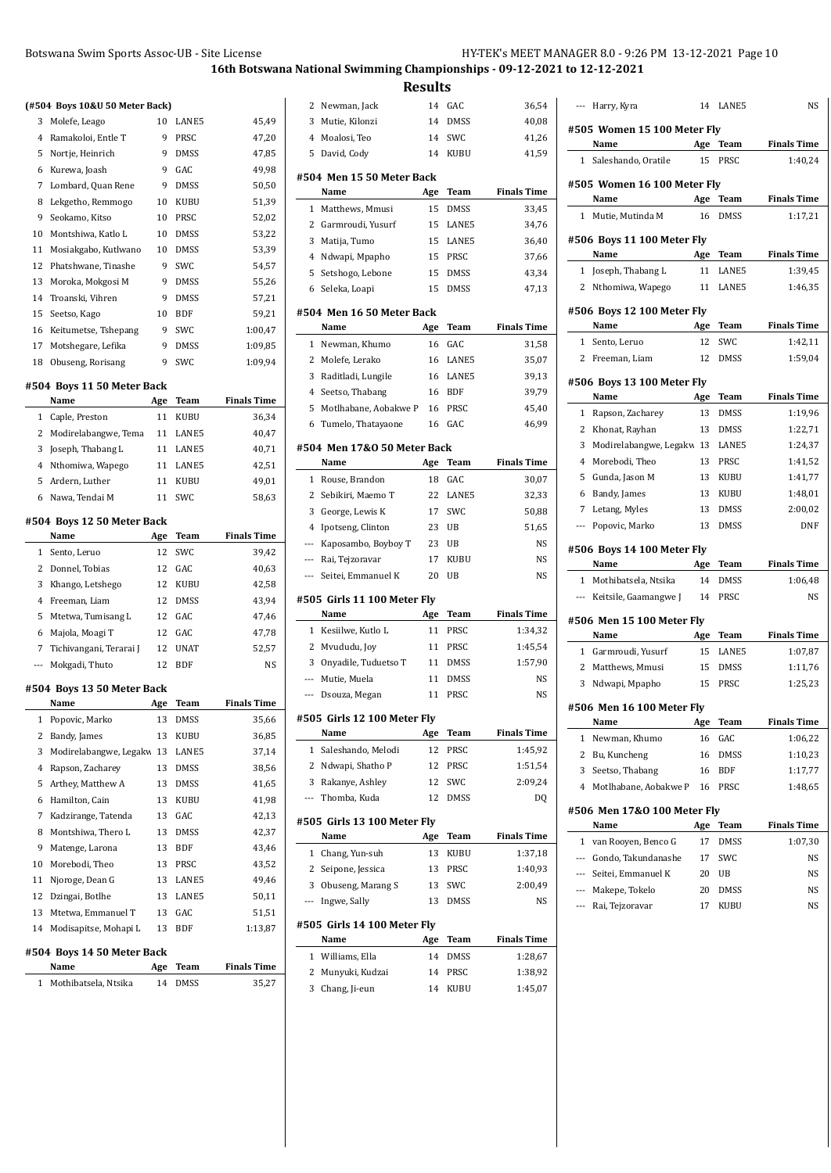**Results**

|     | (#504 Boys 10&U 50 Meter Back) |     |             |                    |
|-----|--------------------------------|-----|-------------|--------------------|
| 3   | Molefe, Leago                  | 10  | LANE5       | 45,49              |
|     | 4 Ramakoloi, Entle T           | 9   | PRSC        | 47,20              |
| 5   | Nortje, Heinrich               | 9   | <b>DMSS</b> | 47,85              |
| 6   | Kurewa, Joash                  | 9   | GAC         | 49,98              |
| 7   | Lombard, Quan Rene             | 9   | <b>DMSS</b> | 50,50              |
| 8   | Lekgetho, Remmogo              | 10  | KUBU        | 51,39              |
| 9   | Seokamo, Kitso                 | 10  | PRSC        | 52,02              |
| 10  | Montshiwa, Katlo L             | 10  | <b>DMSS</b> | 53,22              |
| 11  | Mosiakgabo, Kutlwano           | 10  | <b>DMSS</b> | 53,39              |
| 12  | Phatshwane, Tinashe            | 9   | SWC         | 54,57              |
| 13  | Moroka, Mokgosi M              | 9   | <b>DMSS</b> | 55,26              |
| 14  | Troanski, Vihren               | 9   | <b>DMSS</b> | 57,21              |
| 15  | Seetso, Kago                   | 10  | <b>BDF</b>  | 59,21              |
| 16  | Keitumetse, Tshepang           | 9   | SWC         | 1:00,47            |
| 17  | Motshegare, Lefika             | 9   | DMSS        | 1:09,85            |
| 18  | Obuseng, Rorisang              | 9   | <b>SWC</b>  | 1:09,94            |
|     | #504 Boys 11 50 Meter Back     |     |             |                    |
|     | Name                           | Age | Team        | <b>Finals Time</b> |
| 1   | Caple, Preston                 | 11  | KUBU        | 36,34              |
|     | 2 Modirelabangwe, Tema         | 11  | LANE5       | 40,47              |
|     | 3 Joseph, Thabang L            | 11  | LANE5       | 40,71              |
| 4   | Nthomiwa, Wapego               | 11  | LANE5       | 42,51              |
| 5   | Ardern, Luther                 | 11  | KUBU        | 49,01              |
| 6   | Nawa, Tendai M                 | 11  | SWC         | 58,63              |
|     | #504 Boys 12 50 Meter Back     |     |             |                    |
|     | Name                           | Age | Team        | <b>Finals Time</b> |
| 1   | Sento, Leruo                   | 12  | SWC         | 39,42              |
| 2   | Donnel, Tobias                 | 12  | GAC         | 40,63              |
| 3   | Khango, Letshego               | 12  | KUBU        | 42,58              |
| 4   | Freeman, Liam                  | 12  | <b>DMSS</b> | 43,94              |
| 5   | Mtetwa, Tumisang L             | 12  | GAC         | 47,46              |
| 6   | Majola, Moagi T                | 12  | GAC         | 47,78              |
| 7   | Tichivangani, Terarai J        | 12  | <b>UNAT</b> | 52,57              |
| --- | Mokgadi, Thuto                 | 12  | <b>BDF</b>  | NS                 |
|     | #504 Boys 13 50 Meter Back     |     |             |                    |
|     | Name                           | Age | Team        | <b>Finals Time</b> |
| 1   | Popovic, Marko                 | 13  | DMSS        | 35,66              |
| 2   | Bandy, James                   | 13  | KUBU        | 36,85              |
| 3   | Modirelabangwe, Legakw         | 13  | LANE5       | 37,14              |
| 4   | Rapson, Zacharey               | 13  | DMSS        | 38,56              |
| 5   | Arthey, Matthew A              | 13  | DMSS        | 41,65              |
| 6   | Hamilton, Cain                 | 13  | KUBU        | 41,98              |
| 7   | Kadzirange, Tatenda            | 13  | GAC         | 42,13              |
| 8   | Montshiwa, Thero L             | 13  | DMSS        | 42,37              |
|     | Matenge, Larona                | 13  | <b>BDF</b>  | 43,46              |
| 9   |                                | 13  | PRSC        | 43,52              |
| 10  | Morebodi, Theo                 |     |             |                    |
| 11  | Njoroge, Dean G                | 13  | LANE5       | 49,46              |
| 12  | Dzingai, Botlhe                | 13  | LANE5       | 50,11              |
| 13  | Mtetwa, Emmanuel T             | 13  | GAC         | 51,51              |
| 14  | Modisapitse, Mohapi L          | 13  | BDF         | 1:13,87            |
|     | #504 Boys 14 50 Meter Back     |     |             |                    |
|     | Name                           | Age | Team        | <b>Finals Time</b> |

|     |                              | <b>Kesuits</b> |            |                    |
|-----|------------------------------|----------------|------------|--------------------|
| 2   | Newman, Jack                 | 14             | GAC        | 36,54              |
| 3   | Mutie, Kilonzi               | 14             | DMSS       | 40,08              |
| 4   | Moalosi, Teo                 | 14             | SWC        | 41,26              |
| 5   | David, Cody                  | 14             | KUBU       | 41,59              |
|     |                              |                |            |                    |
|     | #504 Men 15 50 Meter Back    |                |            |                    |
|     | Name                         | Age            | Team       | <b>Finals Time</b> |
| 1   | Matthews, Mmusi              | 15             | DMSS       | 33,45              |
| 2   | Garmroudi, Yusurf            | 15             | LANE5      | 34,76              |
| 3   | Matija, Tumo                 | 15             | LANE5      | 36,40              |
| 4   | Ndwapi, Mpapho               | 15             | PRSC       | 37,66              |
| 5   | Setshogo, Lebone             | 15             | DMSS       | 43,34              |
| 6   | Seleka, Loapi                | 15             | DMSS       | 47,13              |
|     | #504 Men 16 50 Meter Back    |                |            |                    |
|     | Name                         | Age            | Team       | <b>Finals Time</b> |
| 1   | Newman, Khumo                | 16             | GAC        | 31,58              |
| 2   | Molefe, Lerako               | 16             | LANE5      | 35,07              |
| 3   | Raditladi, Lungile           | 16             | LANE5      | 39,13              |
| 4   | Seetso, Thabang              | 16             | <b>BDF</b> | 39,79              |
| 5   | Motlhabane, Aobakwe P        | 16             | PRSC       | 45,40              |
| 6   | Tumelo, Thatayaone           | 16             | GAC        | 46,99              |
|     |                              |                |            |                    |
|     | #504 Men 17&0 50 Meter Back  |                |            |                    |
|     | Name                         | Age            | Team       | <b>Finals Time</b> |
| 1   | Rouse, Brandon               | 18             | GAC        | 30,07              |
| 2   | Sebikiri, Maemo T            | 22             | LANE5      | 32,33              |
| 3   | George, Lewis K              | 17             | SWC        | 50,88              |
| 4   | Ipotseng, Clinton            | 23             | UB         | 51,65              |
| --- | Kaposambo, Boyboy T          | 23             | UB         | NS                 |
| --- | Rai, Tejzoravar              | 17             | KUBU       | NS                 |
| --- | Seitei, Emmanuel K           | 20             | UB         | NS                 |
|     | #505 Girls 11 100 Meter Fly  |                |            |                    |
|     | Name                         | Age            | Team       | <b>Finals Time</b> |
| 1   | Kesiilwe, Kutlo L            | 11             | PRSC       | 1:34,32            |
| 2   | Mvududu, Joy                 | 11             | PRSC       | 1:45,54            |
| 3   | Onyadile, Tuduetso T         | 11             | DMSS       | 1:57,90            |
| --- | Mutie, Muela                 | 11             | DMSS       | NS                 |
| --- | Dsouza, Megan                | 11             | PRSC       | NS                 |
|     |                              |                |            |                    |
|     | #505 Girls 12 100 Meter Flv  |                |            |                    |
|     | Name                         | Age            | Team       | <b>Finals Time</b> |
| 1   | Saleshando, Melodi           | 12             | PRSC       | 1:45,92            |
| 2   |                              |                | PRSC       | 1:51,54            |
|     | Ndwapi, Shatho P             | 12             |            |                    |
| 3   | Rakanye, Ashley              | 12             | SWC        | 2:09,24            |
| --- | Thomba, Kuda                 | 12             | DMSS       | DQ                 |
|     |                              |                |            |                    |
|     | #505  Girls 13 100 Meter Fly |                |            |                    |
|     | Name                         | Age            | Team       | <b>Finals Time</b> |
| 1   | Chang, Yun-suh               | 13             | KUBU       | 1:37,18            |
| 2   | Seipone, Jessica             | 13             | PRSC       | 1:40,93            |
| 3   | Obuseng, Marang S            | 13             | SWC        | 2:00,49            |
| --- | Ingwe, Sally                 | 13             | DMSS       | NS                 |
|     | #505  Girls 14 100 Meter Fly |                |            |                    |
|     | Name                         | Age            | Team       | <b>Finals Time</b> |
| 1   | Williams, Ella               | 14             | DMSS       | 1:28,67            |
| 2   | Munyuki, Kudzai              | 14             | PRSC       | 1:38,92            |
| 3   | Chang, Ji-eun                | 14             | KUBU       | 1:45,07            |
|     |                              |                |            |                    |
|     |                              |                |            |                    |

|                          | --- Harry, Kyra                     | 14  | LANE5       | <b>NS</b>          |
|--------------------------|-------------------------------------|-----|-------------|--------------------|
|                          | #505 Women 15 100 Meter Fly         |     |             |                    |
|                          | Name                                | Age | Team        | <b>Finals Time</b> |
| $1\,$                    | Saleshando, Oratile                 | 15  | PRSC        | 1:40,24            |
|                          | #505 Women 16 100 Meter Fly<br>Name | Age | Team        | <b>Finals Time</b> |
| 1                        | Mutie, Mutinda M                    | 16  | <b>DMSS</b> | 1:17,21            |
|                          |                                     |     |             |                    |
|                          | #506 Boys 11 100 Meter Fly<br>Name  | Age | Team        | <b>Finals Time</b> |
|                          | 1 Joseph, Thabang L                 | 11  | LANE5       | 1:39,45            |
|                          | 2 Nthomiwa, Wapego                  | 11  | LANE5       | 1:46,35            |
|                          | #506 Boys 12 100 Meter Fly          |     |             |                    |
|                          | Name                                | Age | Team        | <b>Finals Time</b> |
| 1                        | Sento, Leruo                        | 12  | <b>SWC</b>  | 1:42,11            |
| 2                        | Freeman, Liam                       | 12  | <b>DMSS</b> | 1:59,04            |
|                          | #506 Boys 13 100 Meter Fly          |     |             |                    |
|                          | Name                                | Age | Team        | <b>Finals Time</b> |
|                          | 1 Rapson, Zacharey                  | 13  | <b>DMSS</b> | 1:19,96            |
|                          | 2 Khonat, Rayhan                    | 13  | DMSS        | 1:22,71            |
| 3                        | Modirelabangwe, Legakw 13           |     | LANE5       | 1:24,37            |
|                          | 4 Morebodi, Theo                    | 13  | PRSC        | 1:41,52            |
|                          | 5 Gunda, Jason M                    | 13  | <b>KUBU</b> | 1:41,77            |
|                          | 6 Bandy, James                      | 13  | KUBU        | 1:48,01            |
| 7                        | Letang, Myles                       | 13  | <b>DMSS</b> | 2:00,02            |
| $\overline{\phantom{a}}$ | Popovic, Marko                      | 13  | <b>DMSS</b> | <b>DNF</b>         |
|                          | #506 Boys 14 100 Meter Fly          |     |             |                    |
|                          | Name                                | Age | <b>Team</b> | <b>Finals Time</b> |
|                          | 1 Mothibatsela, Ntsika              | 14  | DMSS        | 1:06,48            |
|                          | --- Keitsile, Gaamangwe J           | 14  | PRSC        | <b>NS</b>          |
|                          | #506 Men 15 100 Meter Fly           |     |             |                    |
|                          | Name                                | Age | Team        | <b>Finals Time</b> |
| 1                        | Garmroudi, Yusurf                   | 15  | LANE5       | 1:07,87            |
|                          | 2 Matthews, Mmusi                   | 15  | <b>DMSS</b> | 1:11,76            |
| 3                        | Ndwapi, Mpapho                      | 15  | PRSC        | 1:25,23            |
|                          | #506 Men 16 100 Meter Fly           |     |             |                    |
|                          | Name                                | Age | Team        | Finals Time        |
| 1                        | Newman, Khumo                       | 16  | GAC         | 1:06,22            |
| 2                        | Bu, Kuncheng                        | 16  | <b>DMSS</b> | 1:10,23            |
| 3                        | Seetso, Thabang                     | 16  | BDF         | 1:17,77            |
| 4                        | Motlhabane, Aobakwe P               | 16  | PRSC        | 1:48,65            |
|                          | #506 Men 17&0 100 Meter Fly<br>Name | Age | Team        | <b>Finals Time</b> |
| 1                        | van Rooyen, Benco G                 | 17  | DMSS        | 1:07,30            |
|                          | --- Gondo, Takundanashe             | 17  | SWC         | NS                 |
|                          | --- Seitei, Emmanuel K              | 20  | UB          | NS                 |
|                          | --- Makepe, Tokelo                  | 20  | <b>DMSS</b> | NS                 |
| ---                      | Rai, Tejzoravar                     | 17  | KUBU        | NS                 |
|                          |                                     |     |             |                    |
|                          |                                     |     |             |                    |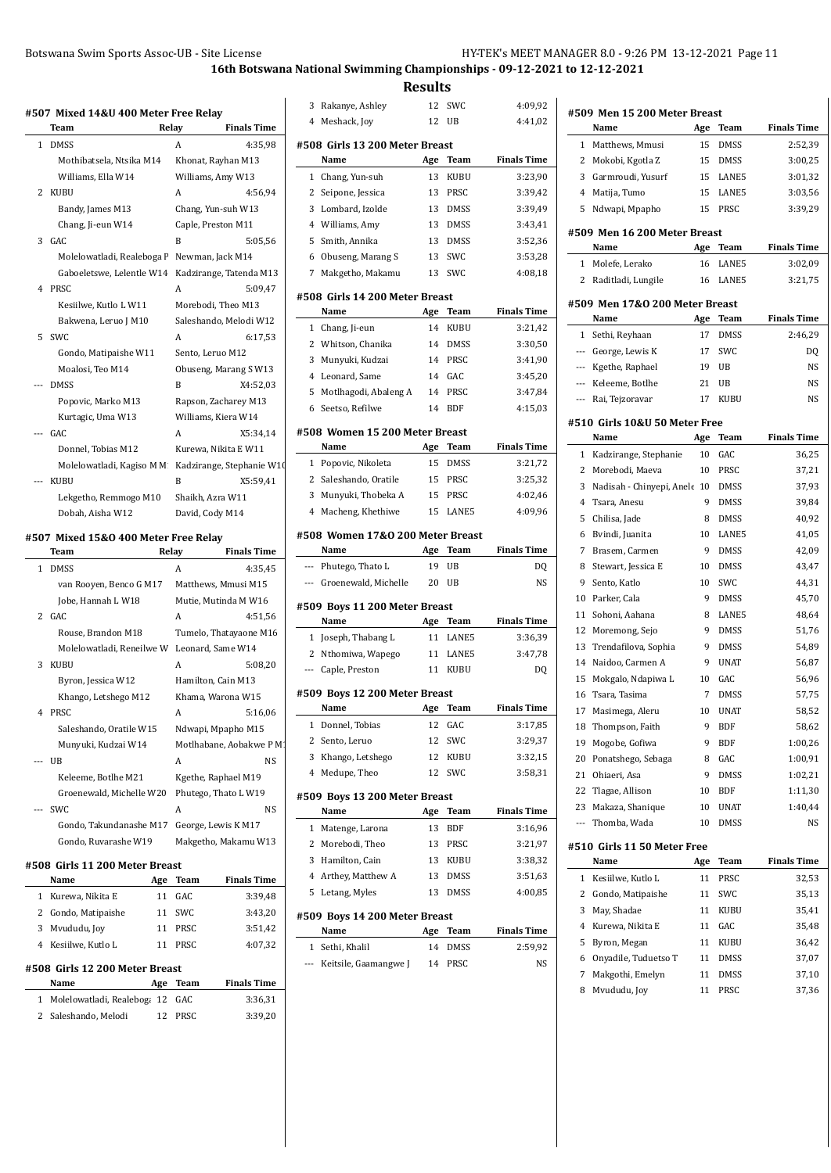|                |                                                | 16th Botswana Natior        |                                                                                |
|----------------|------------------------------------------------|-----------------------------|--------------------------------------------------------------------------------|
|                | #507 Mixed 14&U 400 Meter Free Relay           |                             | 3 R                                                                            |
|                | Team                                           | Relay<br><b>Finals Time</b> | 4 M                                                                            |
| 1              | <b>DMSS</b>                                    | 4:35,98<br>A                | #508                                                                           |
|                | Mothibatsela, Ntsika M14                       | Khonat, Rayhan M13          |                                                                                |
|                | Williams, Ella W14                             | Williams, Amy W13           | 1                                                                              |
| 2              | KUBU                                           | А<br>4:56,94                | $\mathbf{2}$                                                                   |
|                | Bandy, James M13                               | Chang, Yun-suh W13          | 3 L                                                                            |
|                | Chang, Ji-eun W14                              | Caple, Preston M11          | 4 W                                                                            |
| 3              | GAC                                            | B<br>5:05,56                | 5                                                                              |
|                | Molelowatladi, Realeboga F Newman, Jack M14    |                             | 60                                                                             |
|                | Gaboeletswe, Lelentle W14                      | Kadzirange, Tatenda M13     | 7 M                                                                            |
| 4              | PRSC                                           | A<br>5:09,47                | #508                                                                           |
|                | Kesiilwe, Kutlo L W11                          | Morebodi, Theo M13          |                                                                                |
|                | Bakwena, Leruo J M10                           | Saleshando, Melodi W12      | 1                                                                              |
| 5              | SWC                                            | 6:17,53<br>А                | 2 W                                                                            |
|                | Gondo, Matipaishe W11                          | Sento, Leruo M12            | 3                                                                              |
|                | Moalosi, Teo M14                               | Obuseng, Marang SW13        | 4 L                                                                            |
|                | <b>DMSS</b>                                    | B<br>X4:52,03               | 5                                                                              |
|                | Popovic, Marko M13                             | Rapson, Zacharey M13        | 6S                                                                             |
|                | Kurtagic, Uma W13                              | Williams, Kiera W14         |                                                                                |
|                | GAC                                            | А<br>X5:34,14               | #508 '                                                                         |
|                | Donnel, Tobias M12                             | Kurewa, Nikita E W11        |                                                                                |
|                | Molelowatladi, Kagiso M M                      | Kadzirange, Stephanie W10   | 1                                                                              |
| $\overline{a}$ | <b>KUBU</b>                                    | X5:59,41<br>B               | 2 Sa                                                                           |
|                | Lekgetho, Remmogo M10                          | Shaikh, Azra W11            | 3                                                                              |
|                | Dobah, Aisha W12                               | David, Cody M14             | 4                                                                              |
|                | #507 Mixed 15&0 400 Meter Free Relay           |                             | #508 '                                                                         |
|                | Team                                           | <b>Finals Time</b><br>Relay | --- Pl                                                                         |
| 1              | <b>DMSS</b>                                    | A<br>4:35,45                |                                                                                |
|                |                                                |                             |                                                                                |
|                | van Rooyen, Benco G M17                        | Matthews, Mmusi M15         | --- G                                                                          |
|                | Jobe, Hannah L W18                             | Mutie, Mutinda M W16        |                                                                                |
| 2              | GAC                                            | A<br>4:51,56                |                                                                                |
|                | Rouse, Brandon M18                             | Tumelo, Thatayaone M16      |                                                                                |
|                | Molelowatladi, Reneilwe W                      | Leonard, Same W14           |                                                                                |
| 3              | <b>KUBU</b>                                    | A<br>5:08,20                |                                                                                |
|                | Byron, Jessica W12                             | Hamilton, Cain M13          |                                                                                |
|                | Khango, Letshego M12                           | Khama, Warona W15           |                                                                                |
| 4              | PRSC                                           | A<br>5:16,06                |                                                                                |
|                | Saleshando, Oratile W15                        | Ndwapi, Mpapho M15          |                                                                                |
|                | Munyuki, Kudzai W14                            | Motlhabane, Aobakwe P M1    |                                                                                |
| ---            | UB                                             | NS<br>А                     |                                                                                |
|                | Keleeme, Botlhe M21                            | Kgethe, Raphael M19         |                                                                                |
|                | Groenewald, Michelle W20                       | Phutego, Thato L W19        |                                                                                |
|                | SWC                                            | A<br>NS                     |                                                                                |
|                | Gondo, Takundanashe M17                        | George, Lewis K M17         | 1                                                                              |
|                | Gondo, Ruvarashe W19                           | Makgetho, Makamu W13        | #509<br>1<br>$\overline{2}$<br>---<br>#509!<br>1<br>2<br>3<br>4<br>#509<br>2 M |
|                | #508  Girls 11 200 Meter Breast                |                             |                                                                                |
|                | Name<br>Age                                    | <b>Finals Time</b><br>Team  |                                                                                |
| $\mathbf{1}$   | Kurewa, Nikita E<br>11                         | GAC<br>3:39,48              |                                                                                |
|                | 2 Gondo, Matipaishe<br>11                      | SWC<br>3:43,20              | 3 H<br>4 A<br>5 <sub>10</sub><br>#509 1                                        |
| 3              | Mvududu, Joy<br>11                             | 3:51,42<br>PRSC             |                                                                                |
| 4              | Kesiilwe, Kutlo L<br>11                        | PRSC<br>4:07,32             |                                                                                |
|                |                                                |                             |                                                                                |
|                | #508  Girls 12 200 Meter Breast<br>Name<br>Age | <b>Finals Time</b><br>Team  |                                                                                |
| 1              | Molelowatladi, Realeboga 12                    | 3:36,31<br>GAC              | $\mathbf{1}$<br>---                                                            |

|                                  |                                        | <b>Results</b> |                    |                               |  |  |  |
|----------------------------------|----------------------------------------|----------------|--------------------|-------------------------------|--|--|--|
|                                  |                                        | 12             | SWC                |                               |  |  |  |
| 3<br>4                           | Rakanye, Ashley<br>Meshack, Joy        | 12             | UB                 | 4:09,92<br>4:41,02            |  |  |  |
|                                  |                                        |                |                    |                               |  |  |  |
|                                  | #508 Girls 13 200 Meter Breast         |                |                    |                               |  |  |  |
|                                  | Name                                   | Age            | Team               | <b>Finals Time</b>            |  |  |  |
| 1                                | Chang, Yun-suh                         | 13             | KUBU               | 3:23,90                       |  |  |  |
| 2                                | Seipone, Jessica                       | 13             | PRSC               | 3:39,42                       |  |  |  |
| 3                                | Lombard, Izolde                        | 13             | <b>DMSS</b>        | 3:39,49                       |  |  |  |
| 4                                | Williams, Amy                          | 13             | <b>DMSS</b>        | 3:43,41                       |  |  |  |
| 5                                | Smith, Annika                          | 13             | <b>DMSS</b>        | 3:52,36                       |  |  |  |
| 6<br>7                           | Obuseng, Marang S<br>Makgetho, Makamu  | 13<br>13       | SWC<br>SWC         | 3:53,28<br>4:08,18            |  |  |  |
|                                  |                                        |                |                    |                               |  |  |  |
|                                  | #508 Girls 14 200 Meter Breast         |                |                    |                               |  |  |  |
|                                  | Name                                   | Age            | Team               | <b>Finals Time</b>            |  |  |  |
| 1                                | Chang, Ji-eun                          | 14             | KUBU               | 3:21,42                       |  |  |  |
|                                  | 2 Whitson, Chanika                     | 14             | DMSS               | 3:30,50                       |  |  |  |
| 3                                | Munyuki, Kudzai                        | 14             | PRSC               | 3:41,90                       |  |  |  |
| 4                                | Leonard, Same                          | 14             | GAC                | 3:45,20                       |  |  |  |
| 5                                | Motlhagodi, Abaleng A                  | 14             | PRSC               | 3:47,84                       |  |  |  |
| 6                                | Seetso, Refilwe                        | 14             | <b>BDF</b>         | 4:15,03                       |  |  |  |
|                                  | #508 Women 15 200 Meter Breast         |                |                    |                               |  |  |  |
|                                  | Name                                   | Age            | Team               | <b>Finals Time</b>            |  |  |  |
| 1                                | Popovic, Nikoleta                      | 15             | DMSS               | 3:21,72                       |  |  |  |
| 2                                | Saleshando, Oratile                    | 15             | PRSC               | 3:25,32                       |  |  |  |
| 3                                | Munyuki, Thobeka A                     | 15             | PRSC               | 4:02,46                       |  |  |  |
| $^{4}$                           | Macheng, Khethiwe                      | 15             | LANE5              | 4:09,96                       |  |  |  |
| #508 Women 17&0 200 Meter Breast |                                        |                |                    |                               |  |  |  |
|                                  |                                        |                |                    |                               |  |  |  |
|                                  | Name                                   | Age            | Team               | <b>Finals Time</b>            |  |  |  |
| $---$                            | Phutego, Thato L                       | 19             | UB                 | DQ                            |  |  |  |
| ---                              | Groenewald, Michelle                   | 20             | UB                 | NS                            |  |  |  |
|                                  | #509 Boys 11 200 Meter Breast          |                |                    |                               |  |  |  |
|                                  | Name                                   | Age            | Team               | <b>Finals Time</b>            |  |  |  |
| 1                                | Joseph, Thabang L                      | 11             | LANE5              | 3:36,39                       |  |  |  |
| 2                                | Nthomiwa, Wapego                       | 11             | LANE5              | 3:47,78                       |  |  |  |
| $\overline{\phantom{a}}$         | Caple, Preston                         | 11             | KUBU               | DQ                            |  |  |  |
|                                  |                                        |                |                    |                               |  |  |  |
|                                  | #509 Boys 12 200 Meter Breast<br>Name  |                | Team               | <b>Finals Time</b>            |  |  |  |
| 1                                | Donnel, Tobias                         | Age<br>12      | GAC                | 3:17,85                       |  |  |  |
| 2                                | Sento, Leruo                           | 12             | SWC                | 3:29,37                       |  |  |  |
| 3                                | Khango, Letshego                       | 12             | KUBU               | 3:32,15                       |  |  |  |
| 4                                | Medupe, Theo                           | 12             | SWC                | 3:58,31                       |  |  |  |
|                                  |                                        |                |                    |                               |  |  |  |
|                                  | #509  Boys 13 200 Meter Breast<br>Name |                |                    |                               |  |  |  |
| 1                                |                                        | Age<br>13      | Team<br><b>BDF</b> | <b>Finals Time</b><br>3:16,96 |  |  |  |
| 2                                | Matenge, Larona<br>Morebodi, Theo      | 13             | PRSC               | 3:21,97                       |  |  |  |
| 3                                | Hamilton, Cain                         | 13             |                    |                               |  |  |  |
| 4                                |                                        | 13             | KUBU<br>DMSS       | 3:38,32<br>3:51,63            |  |  |  |
| 5                                | Arthey, Matthew A<br>Letang, Myles     | 13             | DMSS               | 4:00,85                       |  |  |  |
|                                  |                                        |                |                    |                               |  |  |  |
|                                  | #509  Boys 14 200 Meter Breast         |                |                    |                               |  |  |  |
| 1                                | Name<br>Sethi, Khalil                  | Age<br>14      | Team<br>DMSS       | <b>Finals Time</b><br>2:59,92 |  |  |  |

|                          | Name                             | Age     | Team                     | <b>Finals Time</b> |
|--------------------------|----------------------------------|---------|--------------------------|--------------------|
|                          | 1 Matthews, Mmusi                | 15      | DMSS                     | 2:52,39            |
| 2                        | Mokobi, Kgotla Z                 | 15      | <b>DMSS</b>              | 3:00,25            |
| 3                        | Garmroudi, Yusurf                | 15      | LANE5                    | 3:01,32            |
| 4                        | Matija, Tumo                     | 15      | LANE5                    | 3:03,56            |
| 5                        | Ndwapi, Mpapho                   | 15      | PRSC                     | 3:39,29            |
|                          |                                  |         |                          |                    |
|                          | #509 Men 16 200 Meter Breast     |         |                          |                    |
|                          | Name                             | Age     | <b>Team</b>              | <b>Finals Time</b> |
| 1                        | Molefe, Lerako                   | 16      | LANE5                    | 3:02,09            |
| 2                        | Raditladi, Lungile               | 16      | LANE5                    | 3:21,75            |
|                          | #509 Men 17&0 200 Meter Breast   |         |                          |                    |
|                          | Name                             | Age     | Team                     | <b>Finals Time</b> |
| 1                        | Sethi, Reyhaan                   | 17      | DMSS                     | 2:46,29            |
|                          | --- George, Lewis K              | 17      | SWC                      | DQ                 |
|                          | --- Kgethe, Raphael              | 19      | UB                       | NS                 |
|                          | --- Keleeme, Botlhe              | 21      | UB                       | NS                 |
| $\cdots$                 | Rai, Tejzoravar                  | 17      | KUBU                     | NS                 |
|                          |                                  |         |                          |                    |
|                          | #510 Girls 10&U 50 Meter Free    |         | Team                     | <b>Finals Time</b> |
|                          | Name                             | Age     |                          |                    |
| $\mathbf{1}$             | Kadzirange, Stephanie            | 10      | GAC                      | 36,25              |
| 2                        | Morebodi, Maeva                  | 10      | PRSC                     | 37,21              |
| 3                        | Nadisah - Chinyepi, Anele 10     |         | DMSS                     | 37,93              |
| 4                        | Tsara, Anesu                     | 9       | DMSS                     | 39,84              |
| 5                        | Chilisa, Jade                    | 8       | DMSS                     | 40,92              |
| 6                        | Bvindi, Juanita                  | 10      | LANE5                    | 41,05              |
| 7                        | Brasem, Carmen                   | 9       | DMSS                     | 42,09              |
| 8                        | Stewart, Jessica E               | 10      | DMSS                     | 43,47              |
| 9                        | Sento, Katlo                     | 10      | SWC                      | 44,31              |
| 10                       | Parker, Cala                     | 9       | DMSS                     | 45,70              |
| 11                       | Sohoni, Aahana                   | 8       | LANE5<br><b>DMSS</b>     | 48,64              |
| 12<br>13                 | Moremong, Sejo                   | 9       |                          | 51,76              |
|                          | Trendafilova, Sophia             | 9       | <b>DMSS</b>              | 54,89              |
| 14                       | Naidoo, Carmen A                 | 9       | <b>UNAT</b><br>GAC       | 56,87              |
| 15                       | Mokgalo, Ndapiwa L               | 10      |                          | 56,96              |
| 16                       | Tsara, Tasima                    | 7       | DMSS                     | 57,75              |
| 17<br>18                 | Masimega, Aleru                  | 10<br>9 | <b>UNAT</b>              | 58,52              |
|                          | Thompson, Faith                  |         | <b>BDF</b><br><b>BDF</b> | 58,62              |
| 19                       | Mogobe, Gofiwa                   | 9       |                          | 1:00,26            |
| 20                       | Ponatshego, Sebaga               | 8<br>9  | GAC                      | 1:00,91            |
| 21                       | Ohiaeri, Asa                     |         | DMSS                     | 1:02,21            |
| 22                       | Tlagae, Allison                  | 10      | BDF                      | 1:11,30            |
| 23                       | Makaza, Shanique<br>Thomba, Wada | 10      | <b>UNAT</b>              | 1:40,44            |
| $\overline{\phantom{a}}$ |                                  | 10      | DMSS                     | NS                 |
|                          | #510 Girls 11 50 Meter Free      |         |                          |                    |
|                          | Name                             | Age     | Team                     | <b>Finals Time</b> |
| $\mathbf{1}$             | Kesiilwe, Kutlo L                | 11      | PRSC                     | 32,53              |
| 2                        | Gondo, Matipaishe                | 11      | SWC                      | 35,13              |
| 3                        | May, Shadae                      | 11      | KUBU                     | 35,41              |
| $\overline{4}$           | Kurewa, Nikita E                 | 11      | GAC                      | 35,48              |
| 5                        | Byron, Megan                     | 11      | KUBU                     | 36,42              |
| 6                        | Onyadile, Tuduetso T             | 11      | DMSS                     | 37,07              |
|                          |                                  |         |                          |                    |
| 7                        | Makgothi, Emelyn                 | 11      | DMSS                     | 37,10              |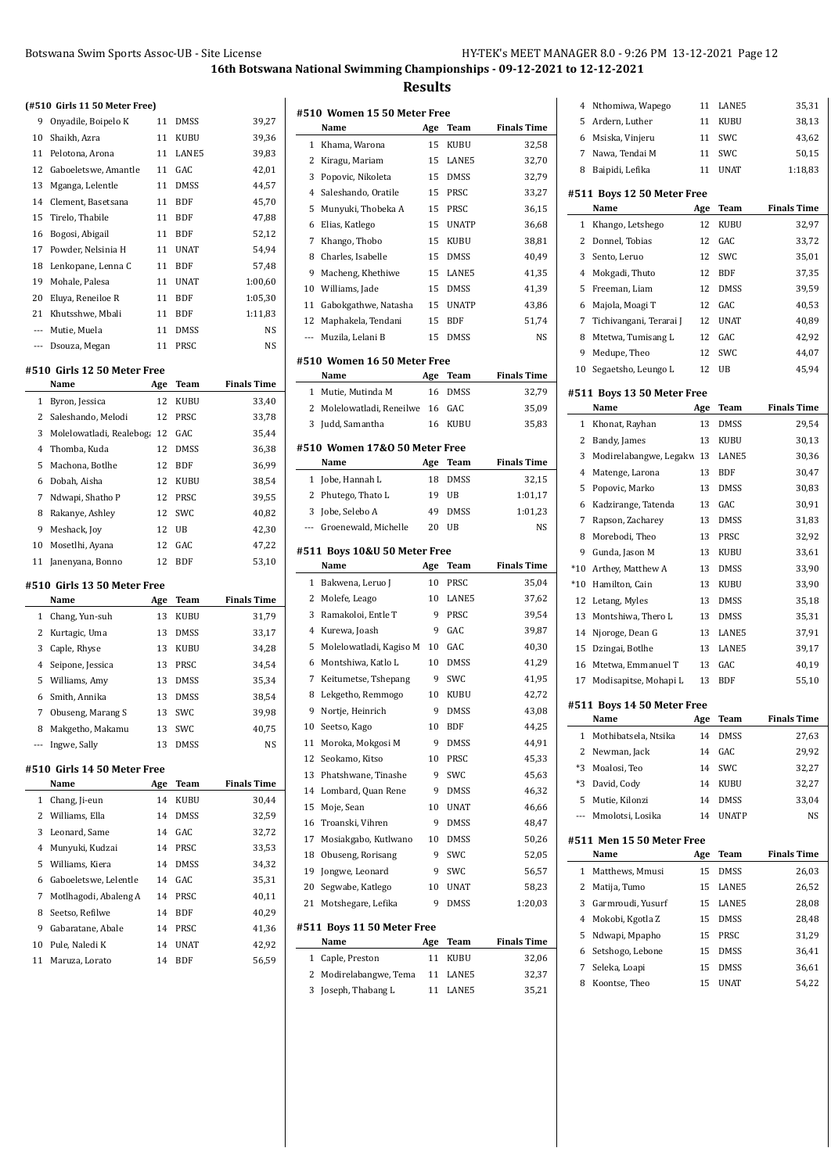|                              | Botswana Swim Sports Assoc-UB - Site License |          |             | 16th Botswa        |
|------------------------------|----------------------------------------------|----------|-------------|--------------------|
|                              | (#510 Girls 11 50 Meter Free)                |          |             |                    |
| 9                            | Onyadile, Boipelo K                          | 11       | DMSS        | 39,27              |
| 10                           | Shaikh, Azra                                 | 11       | KUBU        | 39,36              |
| 11                           | Pelotona, Arona                              | 11       | LANE5       | 39,83              |
| 12                           | Gaboeletswe, Amantle                         | 11       | GAC         | 42,01              |
| 13                           | Mganga, Lelentle                             | 11       | <b>DMSS</b> | 44,57              |
| 14                           | Clement, Basetsana                           | 11       | <b>BDF</b>  | 45,70              |
| 15                           | Tirelo, Thabile                              | 11       | <b>BDF</b>  | 47,88              |
| 16                           | Bogosi, Abigail                              | 11       | <b>BDF</b>  | 52,12              |
| 17                           | Powder, Nelsinia H                           | 11       | <b>UNAT</b> | 54,94              |
| 18                           | Lenkopane, Lenna C                           | 11       | <b>BDF</b>  | 57,48              |
| 19                           | Mohale, Palesa                               | 11       | <b>UNAT</b> | 1:00,60            |
| 20                           | Eluya, Reneiloe R                            | 11       | <b>BDF</b>  | 1:05,30            |
| 21                           | Khutsshwe, Mbali                             | 11       | BDF         | 1:11,83            |
|                              | --- Mutie, Muela                             | 11       | <b>DMSS</b> | NS                 |
| ---                          | Dsouza, Megan                                | 11       | PRSC        | NS                 |
|                              | #510 Girls 12 50 Meter Free<br>Name          | Age      | Team        | <b>Finals Time</b> |
| 1                            | Byron, Jessica                               | 12       | KUBU        | 33,40              |
| 2                            | Saleshando, Melodi                           | 12       | PRSC        | 33,78              |
| 3                            | Molelowatladi, Realeboga 12                  |          | GAC         | 35,44              |
| 4                            | Thomba, Kuda                                 | 12       | <b>DMSS</b> | 36,38              |
| 5                            | Machona, Botlhe                              | 12       | <b>BDF</b>  | 36,99              |
| 6                            | Dobah, Aisha                                 | 12       | KUBU        | 38,54              |
| 7                            | Ndwapi, Shatho P                             | 12       | PRSC        | 39,55              |
| 8                            | Rakanye, Ashley                              | 12       | SWC         | 40,82              |
| 9                            | Meshack, Joy                                 | 12       | UB          | 42,30              |
| 10                           | Mosetlhi, Ayana                              | 12       | GAC         | 47,22              |
| 11                           | Janenyana, Bonno                             | 12       | BDF         | 53,10              |
|                              | #510 Girls 13 50 Meter Free                  |          |             |                    |
|                              | Name                                         | Age      | Team        | <b>Finals Time</b> |
| 1<br>$\overline{\mathbf{c}}$ | Chang, Yun-suh                               | 13       | KUBU        | 31,79              |
|                              | Kurtagic, Uma                                | 13       | DMSS        | 33,17              |
| 3                            | Caple, Rhyse                                 | 13       | KUBU        | 34,28              |
| 4                            | Seipone, Jessica                             | 13       | PRSC        | 34,54              |
| 5                            | Williams, Amy                                | 13       | DMSS        | 35,34              |
| 6                            | Smith, Annika                                | 13       | DMSS        | 38,54              |
| 7                            | Obuseng, Marang S                            | 13       | SWC         | 39,98              |
| 8<br>$---$                   | Makgetho, Makamu<br>Ingwe, Sally             | 13<br>13 | SWC<br>DMSS | 40,75<br>NS        |
|                              | #510 Girls 14 50 Meter Free                  |          |             |                    |
|                              | Name                                         | Age      | Team        | <b>Finals Time</b> |
| 1                            | Chang, Ji-eun                                | 14       | KUBU        | 30,44              |
| 2                            | Williams, Ella                               | 14       | DMSS        | 32,59              |
| 3                            | Leonard, Same                                | 14       | GAC         | 32,72              |
| 4                            | Munyuki, Kudzai                              | 14       | PRSC        | 33,53              |
| 5                            | Williams, Kiera                              | 14       | DMSS        | 34,32              |
| 6                            | Gaboeletswe, Lelentle                        | 14       | GAC         | 35,31              |
| 7                            | Motlhagodi, Abaleng A                        | 14       | PRSC        | 40,11              |
| 8                            | Seetso, Refilwe                              | 14       | BDF         | 40,29              |
| 9                            | Gabaratane, Abale                            | 14       | PRSC        | 41,36              |
| 10                           | Pule, Naledi K                               | 14       | UNAT        | 42,92              |
| 11                           | Maruza, Lorato                               | 14       | BDF         | 56,59              |

|        | #510  Women 15 50 Meter Free              |          |                |                    |
|--------|-------------------------------------------|----------|----------------|--------------------|
|        | Name                                      | Age      | Team           | <b>Finals Time</b> |
| 1      | Khama, Warona                             | 15       | KUBU           | 32,58              |
| 2      | Kiragu, Mariam                            | 15       | LANE5          | 32,70              |
| 3      | Popovic, Nikoleta                         | 15       | <b>DMSS</b>    | 32,79              |
| 4      | Saleshando, Oratile                       | 15       | PRSC           | 33,27              |
| 5      | Munyuki, Thobeka A                        | 15       | PRSC           | 36,15              |
| 6      | Elias, Katlego                            | 15       | <b>UNATP</b>   | 36,68              |
| 7      | Khango, Thobo                             | 15       | KUBU           | 38,81              |
| 8      | Charles, Isabelle                         | 15       | <b>DMSS</b>    | 40,49              |
| 9      | Macheng, Khethiwe                         | 15       | LANE5          | 41,35              |
| 10     | Williams, Jade                            | 15       | <b>DMSS</b>    | 41,39              |
| 11     | Gabokgathwe, Natasha                      | 15       | <b>UNATP</b>   | 43,86              |
| 12     | Maphakela, Tendani                        | 15       | <b>BDF</b>     | 51,74              |
| ---    | Muzila, Lelani B                          | 15       | <b>DMSS</b>    | NS                 |
|        | #510 Women 16 50 Meter Free               |          |                |                    |
|        | Name                                      | Age      | Team           | <b>Finals Time</b> |
| 1      | Mutie, Mutinda M                          | 16       | <b>DMSS</b>    | 32,79              |
| 2      | Molelowatladi, Reneilwe                   | 16       | GAC            | 35,09              |
| 3      | Judd, Samantha                            | 16       | KUBU           | 35,83              |
|        |                                           |          |                |                    |
|        | #510 Women 17&0 50 Meter Free             |          |                |                    |
|        | Name                                      | Age      | Team           | <b>Finals Time</b> |
| 1      | Jobe, Hannah L                            | 18       | <b>DMSS</b>    | 32,15              |
| 2      | Phutego, Thato L                          | 19       | UB             | 1:01,17            |
| 3      | Jobe, Selebo A                            | 49       | <b>DMSS</b>    | 1:01,23            |
| ---    | Groenewald, Michelle                      | 20       | UB             | NS                 |
|        |                                           |          |                |                    |
|        | #511  Boys 10&U 50 Meter Free             |          |                |                    |
|        | Name                                      | Age      | Team           | <b>Finals Time</b> |
| 1      | Bakwena, Leruo J                          | 10       | PRSC           | 35,04              |
| 2      | Molefe, Leago                             | 10       | LANE5          | 37,62              |
| 3      | Ramakoloi, Entle T                        | 9        | PRSC           | 39,54              |
| 4      | Kurewa, Joash                             | 9        | GAC            | 39,87              |
| 5      | Molelowatladi, Kagiso M                   | 10       | GAC            | 40,30              |
| 6      | Montshiwa, Katlo L                        | 10       | <b>DMSS</b>    | 41,29              |
| 7      | Keitumetse, Tshepang                      | 9        | SWC            | 41,95              |
| 8      | Lekgetho, Remmogo                         | 10       | KUBU           | 42,72              |
| 9      | Nortje, Heinrich                          | 9        | <b>DMSS</b>    | 43,08              |
| 10     | Seetso, Kago                              | 10       | <b>BDF</b>     | 44,25              |
| 11     | Moroka, Mokgosi M                         | 9        | <b>DMSS</b>    | 44,91              |
| 12     | Seokamo, Kitso                            | 10       | PRSC           | 45,33              |
| 13     | Phatshwane, Tinashe                       | 9        | SWC            | 45,63              |
| 14     | Lombard, Quan Rene                        | 9        | DMSS           | 46,32              |
| 15     | Moje, Sean                                | 10       | UNAT           | 46,66              |
| 16     | Troanski, Vihren                          | 9        | DMSS           | 48,47              |
| 17     | Mosiakgabo, Kutlwano                      | 10       | <b>DMSS</b>    | 50,26              |
| 18     | Obuseng, Rorisang                         | 9        | <b>SWC</b>     | 52,05              |
| 19     | Jongwe, Leonard                           | 9        | SWC            | 56,57              |
| 20     | Segwabe, Katlego                          | 10       | <b>UNAT</b>    | 58,23              |
| 21     | Motshegare, Lefika                        | 9        | <b>DMSS</b>    | 1:20,03            |
|        |                                           |          |                |                    |
|        | #511 Boys 11 50 Meter Free                |          |                |                    |
|        | Name                                      | Age      | Team           | <b>Finals Time</b> |
| 1      | Caple, Preston                            | 11       | KUBU           | 32,06              |
| 2<br>3 | Modirelabangwe, Tema<br>Joseph, Thabang L | 11<br>11 | LANE5<br>LANE5 | 32,37<br>35,21     |

| 4     | Nthomiwa, Wapego                   | 11  | LANE5        | 35,31              |
|-------|------------------------------------|-----|--------------|--------------------|
| 5     | Ardern, Luther                     | 11  | KUBU         | 38,13              |
| 6     | Msiska, Vinjeru                    | 11  | <b>SWC</b>   | 43,62              |
| 7     | Nawa, Tendai M                     | 11  | SWC          | 50,15              |
| 8     | Baipidi, Lefika                    | 11  | <b>UNAT</b>  | 1:18,83            |
|       |                                    |     |              |                    |
|       | #511 Boys 12 50 Meter Free         |     |              |                    |
|       | Name                               | Age | <b>Team</b>  | <b>Finals Time</b> |
| 1     | Khango, Letshego                   | 12  | KUBU         | 32,97              |
| 2     | Donnel, Tobias                     | 12  | GAC          | 33,72              |
| 3     | Sento, Leruo                       | 12  | SWC          | 35,01              |
| 4     | Mokgadi, Thuto                     | 12  | BDF          | 37,35              |
| 5     | Freeman, Liam                      | 12  | DMSS         | 39,59              |
| 6     | Majola, Moagi T                    | 12  | GAC          | 40,53              |
| 7     | Tichivangani, Terarai J            | 12  | <b>UNAT</b>  | 40,89              |
| 8     | Mtetwa, Tumisang L                 | 12  | GAC          | 42,92              |
| 9     | Medupe, Theo                       | 12  | SWC          | 44,07              |
| 10    | Segaetsho, Leungo L                | 12  | UB           | 45,94              |
|       |                                    |     |              |                    |
|       | #511 Boys 13 50 Meter Free<br>Name | Age | Team         | <b>Finals Time</b> |
| 1     |                                    | 13  |              |                    |
| 2     | Khonat, Rayhan                     | 13  | DMSS<br>KUBU | 29,54              |
|       | Bandy, James                       |     |              | 30,13              |
| 3     | Modirelabangwe, Legakw 13          |     | LANE5        | 30,36              |
| 4     | Matenge, Larona                    | 13  | <b>BDF</b>   | 30,47              |
| 5     | Popovic, Marko                     | 13  | DMSS         | 30,83              |
| 6     | Kadzirange, Tatenda                | 13  | GAC          | 30,91              |
| 7     | Rapson, Zacharey                   | 13  | DMSS         | 31,83              |
| 8     | Morebodi, Theo                     | 13  | PRSC         | 32,92              |
| 9     | Gunda, Jason M                     | 13  | KUBU         | 33,61              |
| $*10$ | Arthey, Matthew A                  | 13  | DMSS         | 33,90              |
| $*10$ | Hamilton, Cain                     | 13  | KUBU         | 33,90              |
| 12    | Letang, Myles                      | 13  | DMSS         | 35,18              |
| 13    | Montshiwa, Thero L                 | 13  | DMSS         | 35,31              |
| 14    | Njoroge, Dean G                    | 13  | LANE5        | 37,91              |
| 15    | Dzingai, Botlhe                    | 13  | LANE5        | 39,17              |
| 16    | Mtetwa, Emmanuel T                 | 13  | GAC          | 40,19              |
| 17    | Modisapitse, Mohapi L              | 13  | BDF          | 55,10              |
|       | #511 Boys 14 50 Meter Free         |     |              |                    |
|       | Name                               | Age | <b>Team</b>  | <b>Finals Time</b> |
| 1     | Mothibatsela, Ntsika               | 14  | DMSS         | 27,63              |
| 2     | Newman, Jack                       | 14  | GAC          | 29,92              |
| *3    | Moalosi, Teo                       | 14  | SWC          | 32,27              |
| *3    | David, Cody                        | 14  | <b>KUBU</b>  | 32,27              |
| 5     | Mutie, Kilonzi                     | 14  | DMSS         | 33,04              |
| ---   | Mmolotsi, Losika                   | 14  | <b>UNATP</b> | NS                 |
|       |                                    |     |              |                    |
|       | #511 Men 15 50 Meter Free          |     |              |                    |
|       | Name                               | Age | Team         | <b>Finals Time</b> |
| 1     | Matthews, Mmusi                    | 15  | DMSS         | 26,03              |
| 2     | Matija, Tumo                       | 15  | LANE5        | 26,52              |
| 3     | Garmroudi, Yusurf                  | 15  | LANE5        | 28,08              |
| 4     | Mokobi, Kgotla Z                   | 15  | DMSS         | 28,48              |
| 5     | Ndwapi, Mpapho                     | 15  | PRSC         | 31,29              |
| 6     | Setshogo, Lebone                   | 15  | DMSS         | 36,41              |
| 7     |                                    |     |              |                    |
|       | Seleka, Loapi                      | 15  | DMSS         | 36,61              |
| 8     | Koontse, Theo                      | 15  | UNAT         | 54,22              |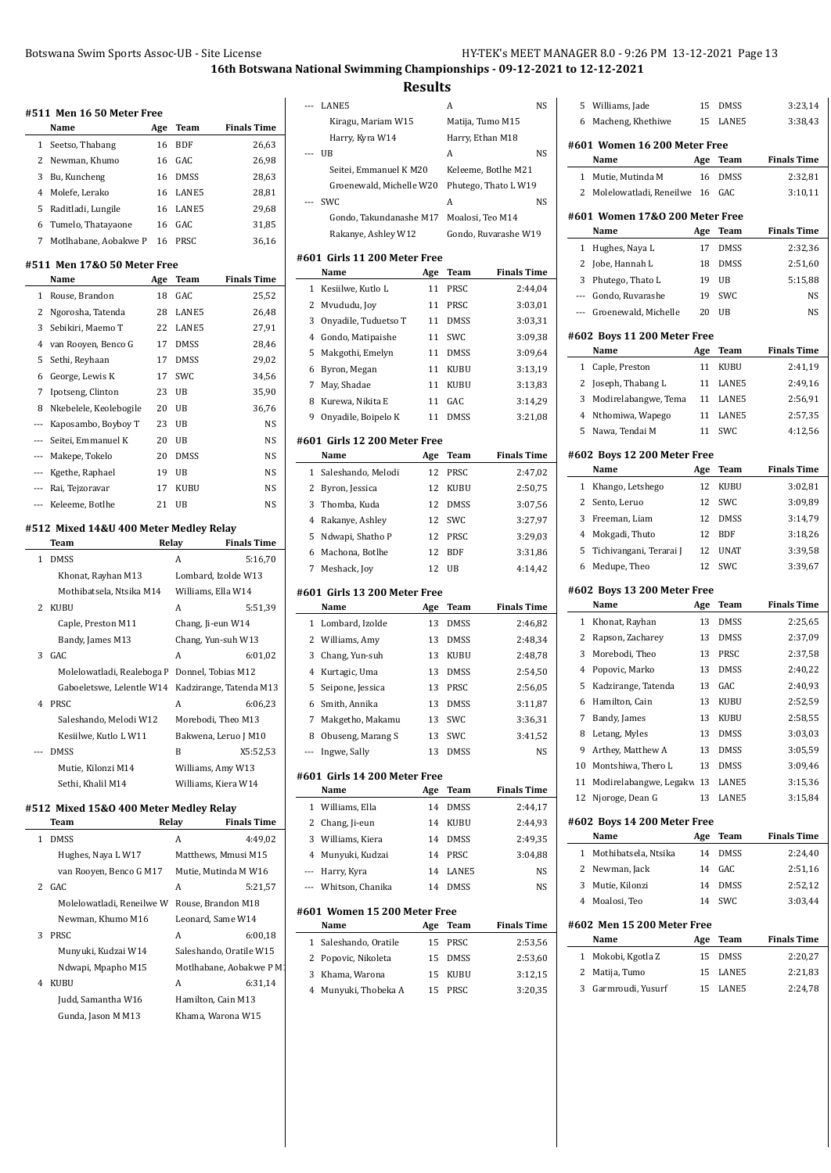**Results**

|     | #511 Men 16 50 Meter Free                      |           |                   |                                         |
|-----|------------------------------------------------|-----------|-------------------|-----------------------------------------|
|     | Name                                           | Age       | Team              | <b>Finals Time</b>                      |
| 1   | Seetso, Thabang                                | 16        | <b>BDF</b>        | 26,63                                   |
| 2   | Newman, Khumo                                  | 16        | GAC               | 26,98                                   |
| 3   | Bu, Kuncheng                                   | 16        | <b>DMSS</b>       | 28,63                                   |
| 4   | Molefe, Lerako                                 | 16        | LANE5             | 28,81                                   |
| 5   | Raditladi, Lungile                             | 16        | LANE5             | 29,68                                   |
| 6   | Tumelo, Thatayaone                             | 16        | GAC               | 31,85                                   |
| 7   | Motlhabane, Aobakwe P                          | 16        | PRSC              | 36,16                                   |
|     | #511 Men 17&0 50 Meter Free<br>Name            |           | Team              | <b>Finals Time</b>                      |
| 1   | Rouse, Brandon                                 | Age<br>18 | GAC               | 25,52                                   |
| 2   | Ngorosha, Tatenda                              | 28        | LANE5             | 26,48                                   |
| 3   | Sebikiri, Maemo T                              | 22        | LANE5             | 27,91                                   |
| 4   |                                                | 17        | <b>DMSS</b>       | 28,46                                   |
|     | van Rooyen, Benco G                            |           |                   |                                         |
| 5   | Sethi, Reyhaan                                 | 17        | <b>DMSS</b>       | 29,02                                   |
| 6   | George, Lewis K                                | 17        | SWC               | 34,56                                   |
| 7   | Ipotseng, Clinton                              | 23        | UB                | 35,90                                   |
| 8   | Nkebelele, Keolebogile                         | 20        | UB                | 36,76                                   |
| --- | Kaposambo, Boyboy T                            | 23        | UB                | NS                                      |
| --- | Seitei, Emmanuel K                             | 20        | UB                | NS                                      |
|     | --- Makepe, Tokelo                             | 20        | DMSS              | <b>NS</b>                               |
| --- | Kgethe, Raphael                                | 19        | UB                | NS                                      |
| --- | Rai, Tejzoravar                                | 17        | KUBU              | NS                                      |
|     | --- Keleeme, Botlhe                            | 21        | UB                | <b>NS</b>                               |
|     | #512 Mixed 14&U 400 Meter Medley Relay<br>Team |           | Relay             | Finals Time                             |
| 1   | <b>DMSS</b>                                    |           | A                 | 5:16,70                                 |
|     | Khonat, Rayhan M13                             |           |                   | Lombard, Izolde W13                     |
|     | Mothibatsela, Ntsika M14                       |           |                   | Williams, Ella W14                      |
| 2   | <b>KUBU</b>                                    |           | A                 | 5:51,39                                 |
|     |                                                |           |                   |                                         |
|     | Caple, Preston M11<br>Bandy, James M13         |           | Chang, Ji-eun W14 |                                         |
| 3   | GAC                                            |           | A                 | Chang, Yun-suh W13<br>6:01.02           |
|     |                                                |           |                   |                                         |
|     | Molelowatladi, Realeboga F                     |           |                   | Donnel, Tobias M12                      |
| 4   | Gaboeletswe, Lelentle W14<br>PRSC              |           | A                 | Kadzirange, Tatenda M13                 |
|     |                                                |           |                   | 6:06,23                                 |
|     | Saleshando, Melodi W12                         |           |                   | Morebodi, Theo M13                      |
|     | Kesiilwe, Kutlo L W11                          |           |                   | Bakwena, Leruo J M10                    |
| --- | <b>DMSS</b>                                    |           | B                 | X5:52,53                                |
|     | Mutie, Kilonzi M14                             |           |                   | Williams, Amy W13                       |
|     | Sethi, Khalil M14                              |           |                   | Williams, Kiera W14                     |
|     | #512 Mixed 15&0 400 Meter Medley Relay<br>Team | Relay     |                   | Finals Time                             |
| 1   | <b>DMSS</b>                                    |           | A                 | 4:49,02                                 |
|     | Hughes, Naya L W17                             |           |                   | Matthews, Mmusi M15                     |
|     |                                                |           |                   | Mutie, Mutinda M W16                    |
|     | van Rooyen, Benco G M17                        |           |                   |                                         |
| 2   | GAC                                            |           |                   |                                         |
|     |                                                |           | А                 | 5:21,57                                 |
|     | Molelowatladi, Reneilwe W                      |           |                   | Rouse, Brandon M18                      |
|     | Newman, Khumo M16                              |           |                   | Leonard, Same W14                       |
| 3   | PRSC                                           |           | A                 | 6:00,18                                 |
|     | Munyuki, Kudzai W14                            |           |                   | Saleshando, Oratile W15                 |
|     | Ndwapi, Mpapho M15                             |           |                   | Motlhabane, Aobakwe P M1                |
| 4   | KUBU                                           |           | А                 | 6:31,14                                 |
|     | Judd, Samantha W16<br>Gunda, Jason M M13       |           |                   | Hamilton, Cain M13<br>Khama, Warona W15 |

| ---         | LANE5                                |           | A                | NS                   |  |  |
|-------------|--------------------------------------|-----------|------------------|----------------------|--|--|
|             | Kiragu, Mariam W15                   |           | Matija, Tumo M15 |                      |  |  |
|             | Harry, Kyra W14                      |           | Harry, Ethan M18 |                      |  |  |
| ---         | UB                                   |           | A                | NS                   |  |  |
|             | Seitei, Emmanuel K M20               |           |                  | Keleeme, Botlhe M21  |  |  |
|             | Groenewald, Michelle W20             |           |                  | Phutego, Thato L W19 |  |  |
|             | SWC                                  |           | A                | NS                   |  |  |
|             | Gondo, Takundanashe M17              |           | Moalosi, Teo M14 |                      |  |  |
|             | Rakanye, Ashley W12                  |           |                  | Gondo, Ruvarashe W19 |  |  |
|             |                                      |           |                  |                      |  |  |
|             | #601 Girls 11 200 Meter Free<br>Name | Age       | Team             | <b>Finals Time</b>   |  |  |
| 1           | Kesiilwe, Kutlo L                    | 11        | PRSC             | 2:44,04              |  |  |
| 2           | Mvududu, Joy                         | 11        | PRSC             | 3:03,01              |  |  |
| 3           | Onyadile, Tuduetso T                 | 11        | DMSS             | 3:03,31              |  |  |
| 4           | Gondo, Matipaishe                    | 11        | SWC              | 3:09,38              |  |  |
| 5           | Makgothi, Emelyn                     | 11        | DMSS             | 3:09,64              |  |  |
| 6           | Byron, Megan                         | 11        | KUBU             | 3:13,19              |  |  |
| 7           | May, Shadae                          | 11        | <b>KUBU</b>      | 3:13,83              |  |  |
| 8           | Kurewa, Nikita E                     | 11        | GAC              | 3:14,29              |  |  |
| 9           | Onyadile, Boipelo K                  | 11        | DMSS             | 3:21,08              |  |  |
|             |                                      |           |                  |                      |  |  |
|             | #601 Girls 12 200 Meter Free         |           |                  |                      |  |  |
|             | Name                                 | Age       | Team             | <b>Finals Time</b>   |  |  |
| 1           | Saleshando, Melodi                   | 12        | PRSC             | 2:47,02              |  |  |
| 2           | Byron, Jessica                       | 12        | KUBU             | 2:50,75              |  |  |
| 3           | Thomba, Kuda                         | 12        | DMSS             | 3:07,56              |  |  |
| 4           | Rakanye, Ashley                      | 12        | SWC              | 3:27,97              |  |  |
| 5           | Ndwapi, Shatho P                     | 12        | PRSC             | 3:29,03              |  |  |
| 6           | Machona, Botlhe                      | 12        | BDF              | 3:31,86              |  |  |
| 7           | Meshack, Joy                         | 12        | UB               | 4:14,42              |  |  |
|             | #601  Girls 13 200 Meter Free        |           |                  |                      |  |  |
|             |                                      |           |                  |                      |  |  |
|             | Name                                 | Age       | Team             | <b>Finals Time</b>   |  |  |
| 1           | Lombard, Izolde                      | 13        | DMSS             | 2:46,82              |  |  |
| 2           | Williams, Amy                        | 13        | <b>DMSS</b>      | 2:48,34              |  |  |
| 3           | Chang, Yun-suh                       | 13        | KUBU             | 2:48,78              |  |  |
| 4           | Kurtagic, Uma                        | 13        | DMSS             | 2:54,50              |  |  |
| 5           | Seipone, Jessica                     | 13        | PRSC             | 2:56,05              |  |  |
| 6           | Smith, Annika                        | 13        | <b>DMSS</b>      | 3:11,87              |  |  |
| $7^{\circ}$ | Makgetho, Makamu                     | 13        | SWC              | 3:36,31              |  |  |
| 8           | Obuseng, Marang S                    | 13        | SWC              | 3:41,52              |  |  |
| ---         | Ingwe, Sally                         | 13        | DMSS             | NS                   |  |  |
|             | #601 Girls 14 200 Meter Free         |           |                  |                      |  |  |
|             | Name                                 | Age       | Team             | <b>Finals Time</b>   |  |  |
| 1           | Williams, Ella                       | 14        | DMSS             | 2:44,17              |  |  |
| 2           | Chang, Ji-eun                        | 14        | KUBU             | 2:44,93              |  |  |
| 3           | Williams, Kiera                      | 14        | <b>DMSS</b>      | 2:49,35              |  |  |
| 4           | Munyuki, Kudzai                      | 14        | PRSC             | 3:04,88              |  |  |
| ---         | Harry, Kyra                          | 14        | LANE5            | <b>NS</b>            |  |  |
| $---$       | Whitson, Chanika                     | 14        | <b>DMSS</b>      | <b>NS</b>            |  |  |
|             |                                      |           |                  |                      |  |  |
|             | #601 Women 15 200 Meter Free<br>Name |           | Team             | <b>Finals Time</b>   |  |  |
| 1           | Saleshando, Oratile                  | Age<br>15 | PRSC             | 2:53,56              |  |  |
| 2           | Popovic, Nikoleta                    | 15        | DMSS             | 2:53,60              |  |  |
| 3           | Khama, Warona                        | 15        | KUBU             | 3:12,15              |  |  |
| 4           | Munyuki, Thobeka A                   | 15        | PRSC             | 3:20,35              |  |  |
|             |                                      |           |                  |                      |  |  |
|             |                                      |           |                  |                      |  |  |

| 5                        | Williams, Jade                       | 15  | DMSS        | 3:23,14            |  |  |  |  |
|--------------------------|--------------------------------------|-----|-------------|--------------------|--|--|--|--|
| 6                        | Macheng, Khethiwe                    | 15  | LANE5       | 3:38,43            |  |  |  |  |
|                          |                                      |     |             |                    |  |  |  |  |
|                          | #601 Women 16 200 Meter Free<br>Name |     |             | <b>Finals Time</b> |  |  |  |  |
|                          |                                      | Age | Team        |                    |  |  |  |  |
| 1                        | Mutie, Mutinda M                     | 16  | DMSS        | 2:32,81            |  |  |  |  |
| 2                        | Molelowatladi, Reneilwe              | 16  | GAC         | 3:10,11            |  |  |  |  |
|                          | #601 Women 17&0 200 Meter Free       |     |             |                    |  |  |  |  |
|                          | Name                                 | Age | Team        | <b>Finals Time</b> |  |  |  |  |
| 1                        | Hughes, Naya L                       | 17  | DMSS        | 2:32,36            |  |  |  |  |
| 2                        | Jobe, Hannah L                       | 18  | DMSS        | 2:51,60            |  |  |  |  |
| 3                        | Phutego, Thato L                     | 19  | UB          | 5:15,88            |  |  |  |  |
| $\overline{\phantom{a}}$ | Gondo, Ruvarashe                     | 19  | SWC         | NS                 |  |  |  |  |
| $\overline{\phantom{a}}$ | Groenewald, Michelle                 | 20  | UB          | NS                 |  |  |  |  |
|                          | #602 Boys 11 200 Meter Free          |     |             |                    |  |  |  |  |
|                          | Name                                 | Age | Team        | <b>Finals Time</b> |  |  |  |  |
| 1                        | Caple, Preston                       | 11  | KUBU        | 2:41,19            |  |  |  |  |
| 2                        | Joseph, Thabang L                    | 11  | LANE5       | 2:49,16            |  |  |  |  |
| 3                        | Modirelabangwe, Tema                 | 11  | LANE5       | 2:56,91            |  |  |  |  |
| 4                        | Nthomiwa, Wapego                     | 11  | LANE5       | 2:57,35            |  |  |  |  |
| 5                        | Nawa, Tendai M                       | 11  | SWC         | 4:12,56            |  |  |  |  |
|                          |                                      |     |             |                    |  |  |  |  |
|                          | #602 Boys 12 200 Meter Free          |     |             |                    |  |  |  |  |
|                          | Name                                 | Age | Team        | <b>Finals Time</b> |  |  |  |  |
| 1                        | Khango, Letshego                     | 12  | KUBU        | 3:02,81            |  |  |  |  |
| 2                        | Sento, Leruo                         | 12  | SWC         | 3:09,89            |  |  |  |  |
| 3                        | Freeman, Liam                        | 12  | DMSS        | 3:14,79            |  |  |  |  |
| 4                        | Mokgadi, Thuto                       | 12  | <b>BDF</b>  | 3:18,26            |  |  |  |  |
| 5                        | Tichivangani, Terarai J              | 12  | <b>UNAT</b> | 3:39,58            |  |  |  |  |
| 6                        | Medupe, Theo                         | 12  | SWC         | 3:39,67            |  |  |  |  |
|                          | #602 Boys 13 200 Meter Free          |     |             |                    |  |  |  |  |
|                          | Name                                 | Age | Team        | <b>Finals Time</b> |  |  |  |  |
| 1                        | Khonat, Rayhan                       | 13  | DMSS        | 2:25,65            |  |  |  |  |
| 2                        | Rapson, Zacharey                     | 13  | <b>DMSS</b> | 2:37,09            |  |  |  |  |
| 3                        | Morebodi, Theo                       | 13  | PRSC        | 2:37,58            |  |  |  |  |
| 4                        | Popovic, Marko                       | 13  | DMSS        | 2:40,22            |  |  |  |  |
| 5                        | Kadzirange, Tatenda                  | 13  | GAC         | 2:40,93            |  |  |  |  |
| 6                        | Hamilton, Cain                       | 13  | KUBU        | 2:52,59            |  |  |  |  |
| 7                        | Bandy, James                         | 13  | KUBU        | 2:58,55            |  |  |  |  |
| 8                        | Letang, Myles                        | 13  | DMSS        | 3:03,03            |  |  |  |  |
| 9                        | Arthey, Matthew A                    | 13  | DMSS        | 3:05,59            |  |  |  |  |
| 10                       | Montshiwa, Thero L                   | 13  | DMSS        | 3:09,46            |  |  |  |  |
| 11                       | Modirelabangwe, Legakw 13            |     | LANE5       | 3:15,36            |  |  |  |  |
| 12                       | Njoroge, Dean G                      | 13  | LANE5       | 3:15,84            |  |  |  |  |
|                          | #602 Boys 14 200 Meter Free          |     |             |                    |  |  |  |  |
|                          | Name                                 | Age | Team        | <b>Finals Time</b> |  |  |  |  |
| 1                        | Mothibatsela, Ntsika                 | 14  | DMSS        | 2:24,40            |  |  |  |  |
| 2                        | Newman, Jack                         | 14  | GAC         | 2:51,16            |  |  |  |  |
| 3                        | Mutie, Kilonzi                       | 14  | DMSS        | 2:52,12            |  |  |  |  |
| 4                        | Moalosi, Teo                         | 14  | SWC         | 3:03,44            |  |  |  |  |
|                          |                                      |     |             |                    |  |  |  |  |
|                          | #602 Men 15 200 Meter Free           |     |             |                    |  |  |  |  |
|                          | Name                                 | Age | Team        | <b>Finals Time</b> |  |  |  |  |
| 1                        | Mokobi, Kgotla Z                     | 15  | DMSS        | 2:20,27            |  |  |  |  |
| 2                        | Matija, Tumo                         | 15  | LANE5       | 2:21,83            |  |  |  |  |
| 3                        |                                      |     |             |                    |  |  |  |  |
|                          | Garmroudi, Yusurf                    | 15  | LANE5       | 2:24,78            |  |  |  |  |
|                          |                                      |     |             |                    |  |  |  |  |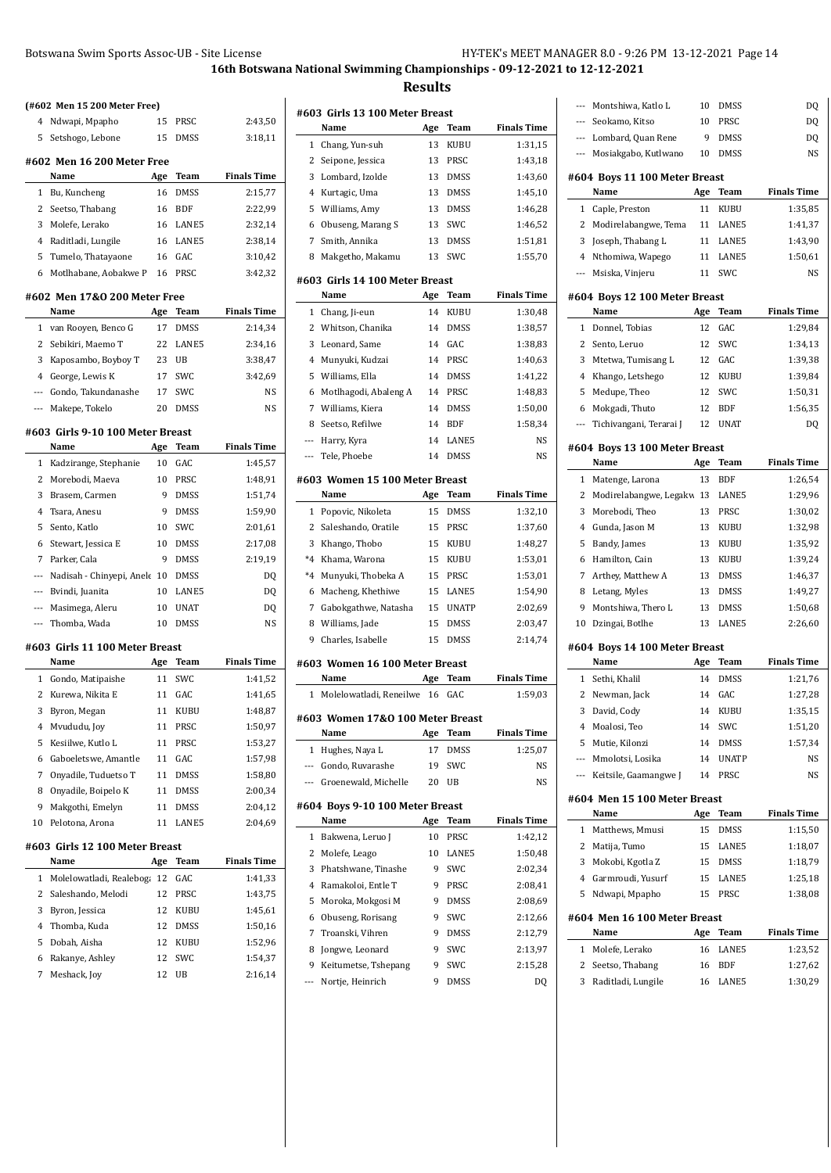**#603 Girls 13 100 Meter Breast**

|                | (#602 Men 15 200 Meter Free)     |     |             |                    |
|----------------|----------------------------------|-----|-------------|--------------------|
| 4              | Ndwapi, Mpapho                   | 15  | PRSC        | 2:43,50            |
| 5              | Setshogo, Lebone                 | 15  | DMSS        | 3:18,11            |
|                | #602 Men 16 200 Meter Free       |     |             |                    |
|                | Name                             | Age | Team        | <b>Finals Time</b> |
| 1              | Bu, Kuncheng                     | 16  | <b>DMSS</b> | 2:15,77            |
| $\overline{2}$ | Seetso, Thabang                  | 16  | <b>BDF</b>  | 2:22,99            |
| 3              | Molefe, Lerako                   | 16  | LANE5       | 2:32,14            |
| 4              | Raditladi, Lungile               | 16  | LANE5       | 2:38,14            |
| 5              | Tumelo, Thatayaone               | 16  | GAC         | 3:10,42            |
| 6              | Motlhabane, Aobakwe P            | 16  | PRSC        | 3:42,32            |
|                | #602 Men 17&0 200 Meter Free     |     |             |                    |
|                | Name                             | Age | Team        | <b>Finals Time</b> |
| 1              | van Rooyen, Benco G              | 17  | DMSS        | 2:14,34            |
| 2              | Sebikiri, Maemo T                | 22  | LANE5       | 2:34,16            |
| 3              | Kaposambo, Boyboy T              | 23  | UB          | 3:38,47            |
| $\overline{4}$ | George, Lewis K                  | 17  | SWC         | 3:42,69            |
| $---$          | Gondo, Takundanashe              | 17  | SWC         | NS                 |
| ---            | Makepe, Tokelo                   | 20  | <b>DMSS</b> | NS                 |
|                | #603 Girls 9-10 100 Meter Breast |     |             |                    |
|                | Name                             | Age | Team        | <b>Finals Time</b> |
| 1              | Kadzirange, Stephanie            | 10  | GAC         | 1:45,57            |
| 2              | Morebodi, Maeva                  | 10  | PRSC        | 1:48,91            |
| 3              | Brasem, Carmen                   | 9   | <b>DMSS</b> | 1:51,74            |
| 4              | Tsara, Anesu                     | 9   | <b>DMSS</b> | 1:59,90            |
| 5              | Sento, Katlo                     | 10  | SWC         | 2:01,61            |
| 6              | Stewart, Jessica E               | 10  | <b>DMSS</b> | 2:17,08            |
| 7              | Parker, Cala                     | 9   | <b>DMSS</b> | 2:19,19            |
| ---            | Nadisah - Chinyepi, Anele        | 10  | <b>DMSS</b> | DQ                 |
|                |                                  |     |             |                    |
| $\cdots$       | Bvindi, Juanita                  | 10  | LANE5       | DQ                 |
| ---            | Masimega, Aleru                  | 10  | <b>UNAT</b> | DQ                 |
| ---            | Thomba, Wada                     | 10  | <b>DMSS</b> | NS                 |
|                | #603 Girls 11 100 Meter Breast   |     |             |                    |
|                | Name                             | Age | Team        | <b>Finals Time</b> |
| $\mathbf{1}$   | Gondo, Matipaishe                | 11  | SWC         | 1:41,52            |
| 2              | Kurewa, Nikita E                 | 11  | GAC         | 1:41,65            |
| 3              | Byron, Megan                     | 11  | KUBU        | 1:48,87            |
| 4              | Mvududu, Joy                     | 11  | PRSC        | 1:50,97            |
| 5              | Kesiilwe, Kutlo L                | 11  | PRSC        | 1:53,27            |
| 6              | Gaboeletswe, Amantle             | 11  | GAC         | 1:57,98            |
| 7              | Onyadile, Tuduetso T             | 11  | <b>DMSS</b> | 1:58,80            |
| 8              | Onyadile, Boipelo K              | 11  | DMSS        | 2:00,34            |
| 9              | Makgothi, Emelyn                 | 11  | DMSS        | 2:04,12            |
| 10             | Pelotona, Arona                  | 11  | LANE5       | 2:04,69            |
|                | #603 Girls 12 100 Meter Breast   |     |             |                    |
|                | Name                             | Age | Team        | <b>Finals Time</b> |
| 1              | Molelowatladi, Realeboga         | 12  | GAC         | 1:41,33            |
| 2              | Saleshando, Melodi               | 12  | PRSC        | 1:43,75            |
| 3              | Byron, Jessica                   | 12  | KUBU        | 1:45,61            |
| 4              | Thomba, Kuda                     | 12  | DMSS        | 1:50,16            |
| 5              | Dobah, Aisha                     | 12  | KUBU        | 1:52,96            |
| 6              | Rakanye, Ashley                  | 12  | SWC         | 1:54,37            |
| 7              | Meshack, Joy                     | 12  | UB          | 2:16,14            |
|                |                                  |     |             |                    |

|                | Name                             | Age | Team         | <b>Finals Time</b> |
|----------------|----------------------------------|-----|--------------|--------------------|
| 1              | Chang, Yun-suh                   | 13  | KUBU         | 1:31,15            |
| 2              | Seipone, Jessica                 | 13  | PRSC         | 1:43,18            |
| 3              | Lombard, Izolde                  | 13  | DMSS         | 1:43,60            |
| 4              | Kurtagic, Uma                    | 13  | DMSS         | 1:45,10            |
| 5              | Williams, Amy                    | 13  | DMSS         | 1:46,28            |
| 6              | Obuseng, Marang S                | 13  | SWC          | 1:46,52            |
| 7              | Smith, Annika                    | 13  | <b>DMSS</b>  | 1:51,81            |
| 8              | Makgetho, Makamu                 | 13  | SWC          | 1:55,70            |
|                | #603 Girls 14 100 Meter Breast   |     |              |                    |
|                | Name                             | Age | Team         | <b>Finals Time</b> |
| 1              | Chang, Ji-eun                    | 14  | KUBU         | 1:30,48            |
| 2              | Whitson, Chanika                 | 14  | DMSS         | 1:38,57            |
| 3              | Leonard, Same                    | 14  | GAC          | 1:38,83            |
| 4              | Munyuki, Kudzai                  | 14  | PRSC         | 1:40,63            |
| 5              | Williams, Ella                   | 14  | DMSS         | 1:41,22            |
| 6              | Motlhagodi, Abaleng A            | 14  | PRSC         | 1:48,83            |
| 7              | Williams, Kiera                  | 14  | <b>DMSS</b>  | 1:50,00            |
| 8              | Seetso, Refilwe                  | 14  | <b>BDF</b>   | 1:58,34            |
| $\overline{a}$ | Harry, Kyra                      | 14  | LANE5        | NS                 |
| ---            | Tele, Phoebe                     | 14  | <b>DMSS</b>  | <b>NS</b>          |
|                | #603 Women 15 100 Meter Breast   |     |              |                    |
|                | Name                             | Age | Team         | <b>Finals Time</b> |
| 1              | Popovic, Nikoleta                | 15  | <b>DMSS</b>  | 1:32,10            |
| 2              | Saleshando, Oratile              | 15  | PRSC         | 1:37,60            |
| 3              | Khango, Thobo                    | 15  | KUBU         | 1:48,27            |
| $*_{4}$        | Khama, Warona                    | 15  | KUBU         | 1:53,01            |
| $*_{4}$        | Munyuki, Thobeka A               | 15  | PRSC         | 1:53,01            |
| 6              | Macheng, Khethiwe                | 15  | LANE5        | 1:54,90            |
| 7              | Gabokgathwe, Natasha             | 15  | <b>UNATP</b> | 2:02,69            |
| 8              | Williams, Jade                   | 15  | DMSS         | 2:03,47            |
| 9              | Charles, Isabelle                | 15  | <b>DMSS</b>  | 2:14,74            |
|                | #603 Women 16 100 Meter Breast   |     |              |                    |
|                | Name                             | Age | Team         | <b>Finals Time</b> |
| $\mathbf{1}$   | Molelowatladi, Reneilwe          | 16  | GAC          | 1:59,03            |
|                | #603 Women 17&0 100 Meter Breast |     |              |                    |
|                | Name                             | Age | <b>Team</b>  | <b>Finals Time</b> |
| 1              | Hughes, Naya L                   |     | 17 DMSS      | 1:25,07            |
|                | --- Gondo, Ruvarashe             | 19  | SWC          | NS                 |
| ---            | Groenewald, Michelle             | 20  | UB           | NS                 |
|                | #604 Boys 9-10 100 Meter Breast  |     |              |                    |
|                | Name                             | Age | Team         | <b>Finals Time</b> |
| $\mathbf{1}$   | Bakwena, Leruo J                 | 10  | PRSC         | 1:42,12            |
| 2              | Molefe, Leago                    | 10  | LANE5        | 1:50,48            |
| 3              | Phatshwane, Tinashe              | 9   | SWC          | 2:02,34            |
| 4              | Ramakoloi, Entle T               | 9   | PRSC         | 2:08,41            |
| 5              | Moroka, Mokgosi M                | 9   | DMSS         | 2:08,69            |
| 6              | Obuseng, Rorisang                | 9   | SWC          | 2:12,66            |
| 7              | Troanski, Vihren                 | 9   | DMSS         | 2:12,79            |
| 8              | Jongwe, Leonard                  | 9   | SWC          | 2:13,97            |
| 9              | Keitumetse, Tshepang             | 9   | SWC          | 2:15,28            |
| ---            | Nortje, Heinrich                 | 9   | DMSS         | DQ                 |
|                |                                  |     |              |                    |
|                |                                  |     |              |                    |

| ---          | Montshiwa, Katlo L                   | 10        | <b>DMSS</b>   | DQ                 |
|--------------|--------------------------------------|-----------|---------------|--------------------|
| $\cdots$     | Seokamo, Kitso                       | 10        | PRSC          | DQ                 |
| $---$        | Lombard, Quan Rene                   | 9         | DMSS          | DQ                 |
| ---          | Mosiakgabo, Kutlwano                 | 10        | DMSS          | NS                 |
|              | #604 Boys 11 100 Meter Breast        |           |               |                    |
|              | Name                                 | Age       | <b>Team</b>   | <b>Finals Time</b> |
| 1            | Caple, Preston                       | 11        | KUBU          | 1:35,85            |
| 2            | Modirelabangwe, Tema                 | 11        | LANE5         | 1:41,37            |
| 3            | Joseph, Thabang L                    | 11        | LANE5         | 1:43,90            |
| 4            | Nthomiwa, Wapego                     | 11        | LANE5         | 1:50,61            |
| ---          | Msiska, Vinjeru                      | 11        | SWC           | NS                 |
|              | #604 Boys 12 100 Meter Breast        |           |               |                    |
|              | Name                                 | Age       | Team          | <b>Finals Time</b> |
| 1            | Donnel, Tobias                       | 12        | GAC           | 1:29,84            |
| 2            | Sento, Leruo                         | 12        | SWC           | 1:34,13            |
| 3            | Mtetwa, Tumisang L                   | 12        | GAC           | 1:39,38            |
| 4            | Khango, Letshego                     | 12        | KUBU          | 1:39,84            |
| 5            | Medupe, Theo                         | 12        | SWC           | 1:50,31            |
| 6            | Mokgadi, Thuto                       | 12        | BDF           | 1:56,35            |
| ---          | Tichivangani, Terarai J              | 12        | <b>UNAT</b>   | DQ                 |
|              | #604 Boys 13 100 Meter Breast        |           |               |                    |
|              | Name                                 | Age       | Team          | <b>Finals Time</b> |
| 1            | Matenge, Larona                      | 13        | BDF           | 1:26,54            |
| 2            | Modirelabangwe, Legakw 13            |           | LANE5         | 1:29,96            |
| 3            | Morebodi, Theo                       | 13        | PRSC          | 1:30,02            |
| 4            | Gunda, Jason M                       | 13        | KUBU          | 1:32,98            |
| 5            | Bandy, James                         | 13        | KUBU          | 1:35,92            |
| 6            | Hamilton, Cain                       | 13        | KUBU          | 1:39,24            |
| 7            | Arthey, Matthew A                    | 13        | DMSS          | 1:46,37            |
| 8            | Letang, Myles                        | 13        | DMSS          | 1:49,27            |
| 9            | Montshiwa, Thero L                   | 13        | DMSS          | 1:50,68            |
| 10           | Dzingai, Botlhe                      | 13        | LANE5         | 2:26,60            |
|              | #604 Boys 14 100 Meter Breast        |           |               |                    |
|              | Name                                 | Age       | Team          | Finals Time        |
| 1            | Sethi, Khalil                        | 14        | DMSS          | 1:21,76            |
| 2            | Newman, Jack                         | 14        | GAC           | 1:27,28            |
| 3            | David, Cody                          | 14        | KUBU          | 1:35,15            |
|              | 4 Moalosi, Teo                       | 14        | SWC           | 1:51,20            |
| 5            | Mutie, Kilonzi                       | 14        | <b>DMSS</b>   | 1:57,34            |
|              | --- Mmolotsi, Losika                 | 14        | <b>UNATP</b>  | NS                 |
| ---          | Keitsile, Gaamangwe J                | 14        | PRSC          | NS                 |
|              |                                      |           |               |                    |
|              | #604 Men 15 100 Meter Breast<br>Name | Age       | Team          | <b>Finals Time</b> |
| 1            | Matthews, Mmusi                      | 15        | DMSS          | 1:15,50            |
| $\mathbf{2}$ | Matija, Tumo                         | 15        | LANE5         | 1:18,07            |
| 3            | Mokobi, Kgotla Z                     | 15        | DMSS          | 1:18,79            |
| 4            | Garmroudi, Yusurf                    | 15        | LANE5         | 1:25,18            |
| 5            | Ndwapi, Mpapho                       | 15        | PRSC          | 1:38,08            |
|              |                                      |           |               |                    |
|              | #604 Men 16 100 Meter Breast<br>Name |           |               | <b>Finals Time</b> |
| 1            | Molefe, Lerako                       | Age<br>16 | Team<br>LANE5 |                    |
| 2            | Seetso, Thabang                      | 16        | BDF           | 1:23,52<br>1:27,62 |
| 3            | Raditladi, Lungile                   | 16        | LANE5         | 1:30,29            |
|              |                                      |           |               |                    |
|              |                                      |           |               |                    |